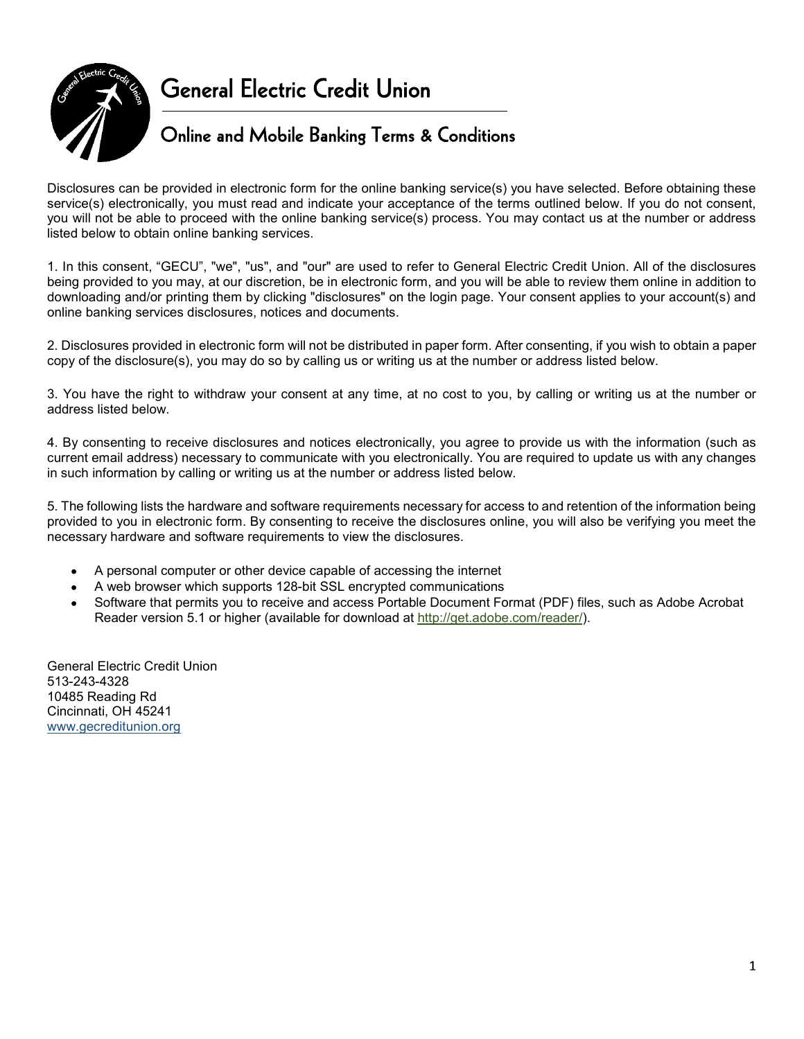

Disclosures can be provided in electronic form for the online banking service(s) you have selected. Before obtaining these service(s) electronically, you must read and indicate your acceptance of the terms outlined below. If you do not consent, you will not be able to proceed with the online banking service(s) process. You may contact us at the number or address listed below to obtain online banking services.

1. In this consent, "GECU", "we", "us", and "our" are used to refer to General Electric Credit Union.<br>1. In this consent, "general and indicate your acceptance of the terms outlined below. If you do not consent,<br>1. In this being provided to you may, at our discretion, be in electronic form, and you will be able to review them online in addition to downloading and/or printing them by clicking "disclosures" on the login page. Your consent applies to your account(s) and online banking services disclosures, notices and documents. **Example 12. Disclosures can be provided in electronic form for the online banking service(s) you have selected. Before obtaining these service(s) electronically, you must read and indicate your acceptance of the terms out** States is the provided in electronic form for the online banking service(s) you have selected. Before obtaining these service(s) electronically, you may to select to General electronically, you may fead and indicatels your Experiences and By provided in electronic form for the online banking service(s) you have selected. Before obtaining these service of the terms of the terms of the terms of the terms of the terms of the terms of the term Disclosures can be provided in electronic form for the online banking service(s) you have selected. Before obtaining these<br>you will not be able to proceed with the online banking service(s) process. You may contact us at t

copy of the disclosure(s), you may do so by calling us or writing us at the number or address listed below.

address listed below.

current email address) necessary to communicate with you electronically. You are required to update us with any changes in such information by calling or writing us at the number or address listed below.

provided to you in electronic form. By consenting to receive the disclosures online, you will also be verifying you meet the necessary hardware and software requirements to view the disclosures.

- A personal computer or other device capable of accessing the internet
- A web browser which supports 128-bit SSL encrypted communications
- Software that permits you to receive and access Portable Document Format (PDF) files, such as Adobe Acrobat Reader version 5.1 or higher (available for download at http://get.adobe.com/reader/).

General Electric Credit Union 513-243-4328 10485 Reading Rd Cincinnati, OH 45241 www.gecreditunion.org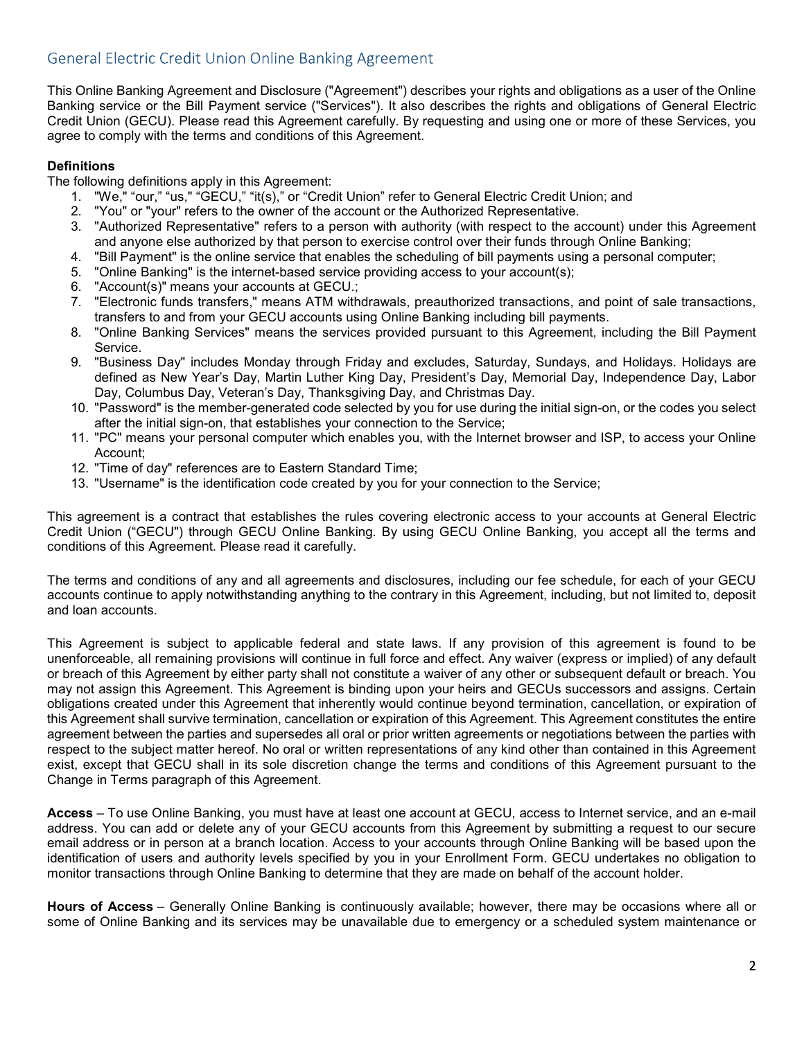This Online Banking Agreement and Disclosure ("Agreement") describes your rights and obligations as a user of the Online General Electric Credit Union Online Banking Agreement<br>This Online Banking Agreement and Disclosure ("Agreement") describes your rights and obligations as a user of the Online<br>Banking service or the Bill Payment service (" General Electric Credit Union Online Banking Agreement<br>This Online Banking Agreement and Disclosure ("Agreement") describes your rights and obligations as a user of the Online<br>Banking service or the Bill Payment service (" agree to comply with the terms and conditions of this Agreement. neral Electric Credit Union Online Banking Agreement<br>
Colline Banking Agreement and Disclosure ("Agreement") describes your rights and obligations as a user of the Online<br>
King service or the Bill Payment service ("Service neral Electric Credit Union Online Banking Agreement<br>
Online Banking Agreement and Disclosure ("Agreement") describes your rights and obligations as a user of<br>
king service or the Bill Payment service ("Services"). It also neral Electric Credit Union Online Banking Agreement<br>
3. Online Banking Agreement and Disclosure ("Agreement") describes your rights and obligations as a user of the Online<br>
Air (include or the Bill Payment services), it a neral Electric Credit Union Online Banking Agreement<br>
Contine Banking Agreement<br>
Alto Union GECU). Please read this Agreement carefully. By requesting and using one or more of these Services, you<br>
alt Union (GECU). Please neral Electric Credit Union Online Banking Agreement<br>
Online Banking Agreement and Disclosure ("Agreement") describes your rights and obligations as a user o<br>
king service or the Bill Payment service ("Services"). It also neral Electric Credit Union Online Banking Agreement<br>
Online Banking Agreement and Disclosure ("Agreement") describes your rights and obligati<br>
King service or the Bill Payment service ("Services"). It also describes the r neral Electric Credit Union Online Banking Agreement<br>
Online Banking Agreement and Disclosure ("Agreement") describes your rights and obligations as a user of the Online<br>
idit Union (GECU), Please read this Agreement caref neral Electric Credit Union Online Banking Agreement<br>
Colline Banking Agreement and Disclosure ("Agreement") describes your rights and obligations as a user of the Online<br>
Ring service or the Bill Payment service ("Service neral Electric Credit Union Online Banking Agreement<br>
Online Banking Agreement and Disclosure ("Agreement") describes your rights and obligations as a user of the Online<br>
Itin Union (GECU), "Please read this Agreement care Christian Apreement and Disclosure ("Agreement") describes your rights and obligations as a user of the Christian service or the Bill Payment service ("Services"). It also describes the rights and obligations of General king service or the SII Payment service ("Services"). It also decorbes the rights and obligations of General Electric<br>situation (GECU). Please read this Agreement carefully By requesting and using one or more of these Serv

# **Definitions**

- The following definitions apply in this Agreement:<br>1. "We," "our," "us," "GECU," "it(s)," or "Credit Union" refer to General Electric Credit Union; and
	-
	- and anyone else authorized by that person to exercise control over their funds through Online Banking;
	-
	-
	-
	- transfers to and from your GECU accounts using Online Banking including bill payments.
	- Service.
- defined as New Year's Day, Martin Luther King Day, President's Day, Memorial Day, Independence Day, Labor Day, Columbus Day, Veteran's Day, Thanksgiving Day, and Christmas Day. 12. "Electronic Time Banking Services" on the detection of this Agreement.<br>
12. "We," "or ""us," "GECU", "it(s)," or "Credit Union" refer to General Electric 1<br>
12. "You"," "us," "GECU," "it(s)," or "Credit Union" refer to 13. "We ""our "text " to the interest of the interest of Created Union" refer to General Electric Credit Union; and<br>
1. "We "our" "ter "code the owner of the account or the Authorized Representative.<br>
2. "You" or "your" re
	- after the initial sign-on, that establishes your connection to the Service;
	- Account;
	-
	-

This agreement is a contract that establishes the rules covering electronic access to your accounts at General Electric Credit Union ("GECU") through GECU Online Banking. By using GECU Online Banking, you accept all the terms and conditions of this Agreement. Please read it carefully.

The terms and conditions of any and all agreements and disclosures, including our fee schedule, for each of your GECU accounts continue to apply notwithstanding anything to the contrary in this Agreement, including, but not limited to, deposit and loan accounts.

This Agreement is subject to applicable federal and state laws. If any provision of this agreement is found to be unenforceable, all remaining provisions will continue in full force and effect. Any waiver (express or implied) of any default or breach of this Agreement by either party shall not constitute a waiver of any other or subsequent default or breach. You may not assign this Agreement. This Agreement is binding upon your heirs and GECUs successors and assigns. Certain <sup>9</sup>. Cusines Day monutes Monnay through Thraqy and excludes. Saturary, sunnages, and Holidays, independence Day, Labor<br>Defined as New Year's Day, Martin Luther King Day, President's Day, Memorial Day, Independence Day, Lab this Agreement shall survive termination, cancellation or expiration of this Agreement. This Agreement constitutes the entire agreement between the parties and supersedes all oral or prior written agreements or negotiations between the parties with respect to the subject matter hereof. No oral or written representations of any kind other than contained in this Agreement exist, except that GECU shall in its sole discretion change the terms and conditions of this Agreement pursuant to the Change in Terms paragraph of this Agreement. Access – To use of the since of the services and or the service of the service (The service is the dentification code created by you for your connection to the Service;<br>Cheff Union ("GECU) through GECU Online Banking, By u The terms and conditions of any and all agreements and disclosures, including our fee schedule, for each of your GECU<br>accounts continue to apply notwithstanding anything to the contrary in this Agreement, including, but no

address. You can add or delete any of your GECU accounts from this Agreement by submitting a request to our secure email address or in person at a branch location. Access to your accounts through Online Banking will be based upon the identification of users and authority levels specified by you in your Enrollment Form. GECU undertakes no obligation to monitor transactions through Online Banking to determine that they are made on behalf of the account holder.

some of Online Banking and its services may be unavailable due to emergency or a scheduled system maintenance or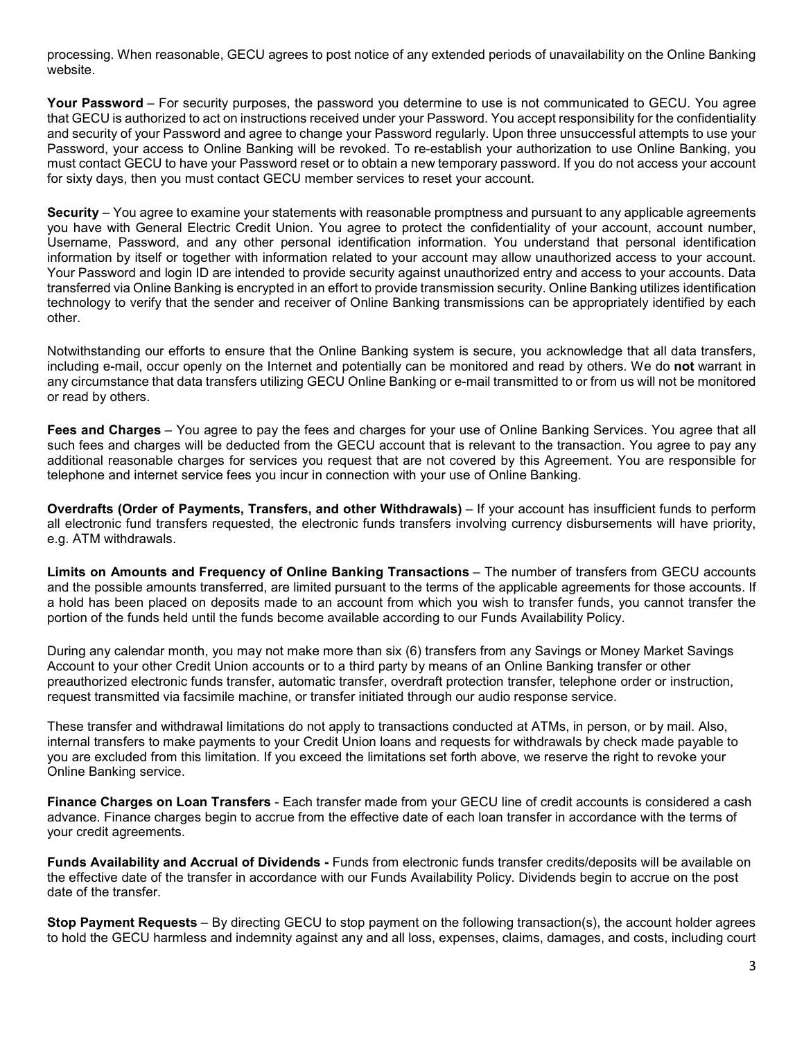processing. When reasonable, GECU agrees to post notice of any extended periods of unavailability on the Online Banking website.

processing. When reasonable, GECU agrees to post notice of any extended periods of unavailability on the Online Banking<br>website.<br>Your Password – For security purposes, the password you determine to use is not communicated that GECU is authorized to act on instructions received under your Password. You accept responsibility for the confidentiality processing. When reasonable, GECU agrees to post notice of any extended periods of unavailability on the Online Banking<br>website.<br>Your Password – For security purposes, the password you determine to use is not communicated Password, your access to Online Banking will be revoked. To re-establish your authorization to use Online Banking, you must contact GECU to have your Password reset or to obtain a new temporary password. If you do not access your account processing. When reasonable, GECU agrees to post notice of any extended periods of unavailability on the Online Banking<br>website.<br>Your Password – For security purposes, the password you determine to use is not communicated

processing. When reasonable, GECU agrees to post notice of any extended periods of unavailability on the Online Banking<br>website.<br>Your Password – For security purposes, the password you determine to use is not communicated you have with General Electric Credit Union. You agree to protect the confidentiality of your account, account number, processing. When reasonable, GECU agrees to post notice of any extended periods of unavailability on the Online Banking<br>website.<br>Your Password – For security purposes, the password you determine to use is not communicated information by itself or together with information related to your account may allow unauthorized access to your account. Your Password and login ID are intended to provide security against unauthorized entry and access to your accounts. Data transferred via Online Banking is encrypted in an effort to provide transmission security. Online Banking utilizes identification technology to verify that the sender and receiver of Online Banking transmissions can be appropriately identified by each other. processing. When reasonable, GECU agrees to post notice of any extended periods of unavailability on the Online Banking<br>Would Password – For security purposes, the password you determine to use is not communicated to GECU. **Your Password** – For security purposes, the password you determine to use is not communicated to GECU. You agree to and instructions received under your Password, You accept responsibility for the confidentiality and SECU most contract the control or read by the measure is the search to the control of the applicable agreements, then you must contact the control or the search of the control of the control of the control of the control of the Use may be the end to the end of the property of Online Banking Transactions – the solution of the most counterparameter in the most of the properties with the most of the properties of the count account in the present of

Notwithstanding our efforts to ensure that the Online Banking system is secure, you acknowledge that all data transfers, including e-mail, occur openly on the Internet and potentially can be monitored and read by others. We do not warrant in or read by others.

such fees and charges will be deducted from the GECU account that is relevant to the transaction. You agree to pay any additional reasonable charges for services you request that are not covered by this Agreement. You are responsible for telephone and internet service fees you incur in connection with your use of Online Banking.

all electronic fund transfers requested, the electronic funds transfers involving currency disbursements will have priority, e.g. ATM withdrawals.

and the possible amounts transferred, are limited pursuant to the terms of the applicable agreements for those accounts. If a hold has been placed on deposits made to an account from which you wish to transfer funds, you cannot transfer the portion of the funds held until the funds become available according to our Funds Availability Policy. other.<br>Natwithstanding our efforts to ensure that the Online Banking system is secure, you acknowledge that all data transfers,<br>nichluding e-mail, occur openly on the Internet and potentially can be monitored and read by o Account to your other Credit Union accounts or to a third party by means of an Online Banking transfer or other **Foes and Charges** – You agree to pay the fees and charges for your use of Online Banking Services. You agree that all suchts and charges will be deducted from the GEOU account that is relevant to the transaction. You agre additional reasonable onarges for services you include that are not covered by this Agreement. You are responsible for<br>**Overdrafts (Order of Payments, Transfers, and other Withdrawals)** – If your account has insufficient f e.g. ATM withdrawals.<br>Limits on Amounts and Frequency of Online Banking Transactions – The number of transfers from GECU accounts<br>Limits on Amounts transferred, are limited pursuant to the terms of the applicable agreement

preauthorized electronic funds transfer, automatic transfer, overdraft protection transfer, telephone order or instruction, request transmitted via facsimile machine, or transfer initiated through our audio response service.

These transfer and withdrawal limitations do not apply to transactions conducted at ATMs, in person, or by mail. Also, internal transfers to make payments to your Credit Union loans and requests for withdrawals by check made payable to Online Banking service. and the possible amounts transferred, are limited pursuant to the terms of the applicable agreements for those accounts. If<br>a hold has been placed on deposits made to an account from which you wish to transfer furths, you

advance. Finance charges begin to accrue from the effective date of each loan transfer in accordance with the terms of your credit agreements.

Funds Availability and Accrual of Dividends - Funds from electronic funds transfer credits/deposits will be available on date of the transfer.

to hold the GECU harmless and indemnity against any and all loss, expenses, claims, damages, and costs, including court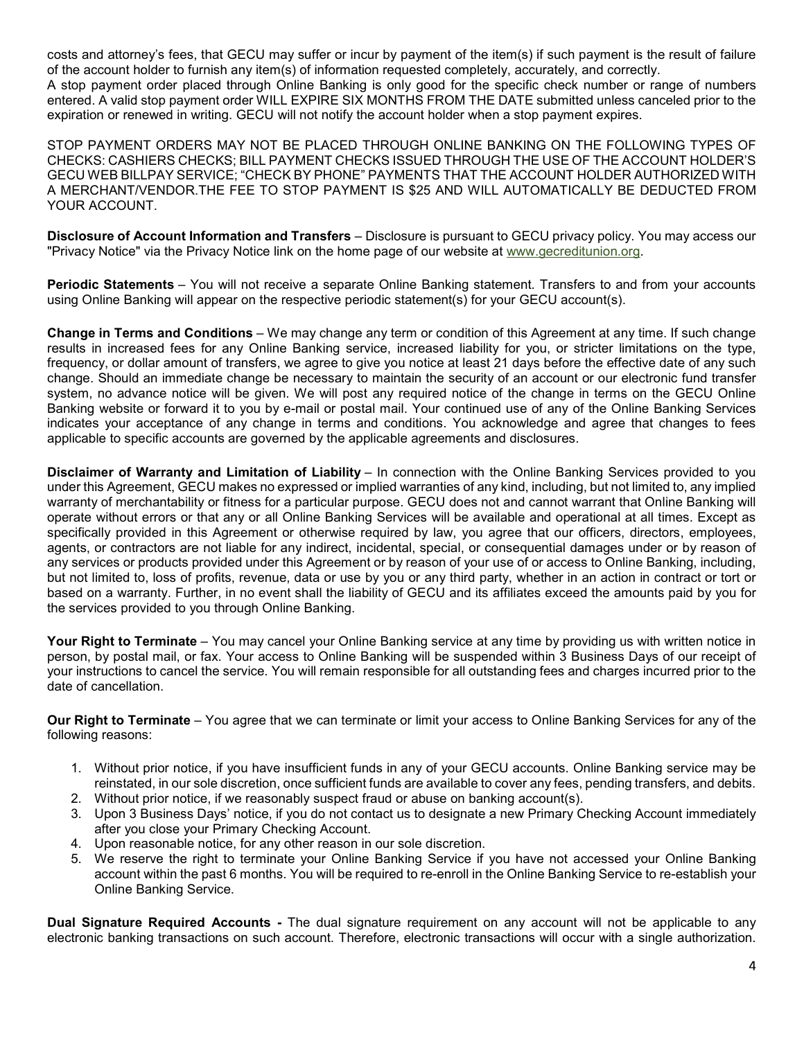costs and attorney's fees, that GECU may suffer or incur by payment of the item(s) if such payment is the result of failure of the account holder to furnish any item(s) of information requested completely, accurately, and correctly.

A stop payment order placed through Online Banking is only good for the specific check number or range of numbers entered. A valid stop payment order WILL EXPIRE SIX MONTHS FROM THE DATE submitted unless canceled prior to the expiration or renewed in writing. GECU will not notify the account holder when a stop payment expires.

STOP PAYMENT ORDERS MAY NOT BE PLACED THROUGH ONLINE BANKING ON THE FOLLOWING TYPES OF CHECKS: CASHIERS CHECKS; BILL PAYMENT CHECKS ISSUED THROUGH THE USE OF THE ACCOUNT HOLDER'S GECU WEB BILLPAY SERVICE; "CHECK BY PHONE" PAYMENTS THAT THE ACCOUNT HOLDER AUTHORIZED WITH A MERCHANT/VENDOR.THE FEE TO STOP PAYMENT IS \$25 AND WILL AUTOMATICALLY BE DEDUCTED FROM YOUR ACCOUNT. costs and attorney's fees, that GECU may suffer or incur by payment of the item(s) if such payment is the result of fallure<br>of the account holder to furnish any item(s) of information requested completely, accurately, and costs and attorney's fees, that GECU may suffer or incur by payment of the item(s) if such payment is the result of failure<br>of the account holder to furnish any item(s) of information requested completely, accurately, and

"Privacy Notice" via the Privacy Notice link on the home page of our website at www.gecreditunion.org.

using Online Banking will appear on the respective periodic statement(s) for your GECU account(s).

costs and attorney's fees, that GEOU may suffer or incur by payment of the item(s) if such payment is the result of failure<br>of the account holder to furnish any item(s) of information requested completely, accounsely, and results in increased fees for any Online Banking service, increased liability for you, or stricter limitations on the type, frequency, or dollar amount of transfers, we agree to give you notice at least 21 days before the effective date of any such change. Should an immediate change be necessary to maintain the security of an account or our electronic fund transfer system, no advance notice will be given. We will post any required notice of the change in terms on the GECU Online Banking website or forward it to you by e-mail or postal mail. Your continued use of any of the Online Banking Services indicates your acceptance of any change in terms and conditions. You acknowledge and agree that changes to fees applicable to specific accounts are governed by the applicable agreements and disclosures. STOP PAYMENT ORDERS MAY NOT BE PLACED THROUGH ONLINE BANKING ON THE FOLLOWING TYPES OF<br>CHECKS: CASHERS CHECKS; BILL PAYMENT CHECKS ISSUED THROUGH THE USE OF THE ACCOUNT HOLDERS<br>CECU WEB BILLPAY SERVICE: "CHECK BY PHONE" PA

under this Agreement, GECU makes no expressed or implied warranties of any kind, including, but not limited to, any implied warranty of merchantability or fitness for a particular purpose. GECU does not and cannot warrant that Online Banking will operate without errors or that any or all Online Banking Services will be available and operational at all times. Except as specifically provided in this Agreement or otherwise required by law, you agree that our officers, directors, employees, agents, or contractors are not liable for any indirect, incidental, special, or consequential damages under or by reason of any services or products provided under this Agreement or by reason of your use of or access to Online Banking, including, Ultstopsure of Account Information and Transfere – Ulscioscules pursuant to GeLCU phrasy points. Through the statement is the Profit of the Branking statement. Transfers to and from your accounts using Online Banking will based on a warranty. Further, in no event shall the liability of GECU and its affiliates exceed the amounts paid by you for the services provided to you through Online Banking. Using Online Banking will appear on the respective periodic statement(s) for your GEU accounting). Change change change change of may change created liability for you, or stricter limitations on the type, frequency, or dol change. Should an immediate change to recessary to maintain the security or an account or our election to recept<br>system, no advance notice will be given. We will post any required notice of the change in terms on the GEOU Solve a conspiration of the service and constraints and constraints and disclosures.<br>
Signal the service of Warranty and Limitation of Liability – In connection with the Online Banking Services provided to you<br>
Dialitane o chainer of Warranty and Limitation of Liability – In connection with the Online Banking Services provident the King-mentric GECU makes no expressed or implied warranties of any kind, including, but not limited to, an exhib ialiane of Warranty and Limitation or Labitury - in connection with the Uniter Branking Services provided to you<br>terthis Agreement, GECU makes no expressed or impied varianties of any kind, including, but not limited to, a may or merchanatabulity or triunes for a particular purpose. Ge:CU does not ano cannot warristed in this Agreement or otherwise required by law, you agree that our officinally provided in this Agreement or otherwise requir are winduct errors or that any or all Unithe Banking Services will be available and operational at all times. Except as<br>the right of the ray or that the payor and that the right to the reserved or one access to product by

person, by postal mail, or fax. Your access to Online Banking will be suspended within 3 Business Days of our receipt of your instructions to cancel the service. You will remain responsible for all outstanding fees and charges incurred prior to the date of cancellation. bused on a werfailth to Terminate – You way. Chrome Cause of the alternations will be apply the the signature of the space of the annual signature in the search of the space of the annual signature of the space of the spac

following reasons:

- reinstated, in our sole discretion, once sufficient funds are available to cover any fees, pending transfers, and debits.
- 
- after you close your Primary Checking Account.<br>4. Upon reasonable notice, for any other reason in our sole discretion.
- 
- account within the past 6 months. You will be required to re-enroll in the Online Banking Service to re-establish your Online Banking Service.

electronic banking transactions on such account. Therefore, electronic transactions will occur with a single authorization.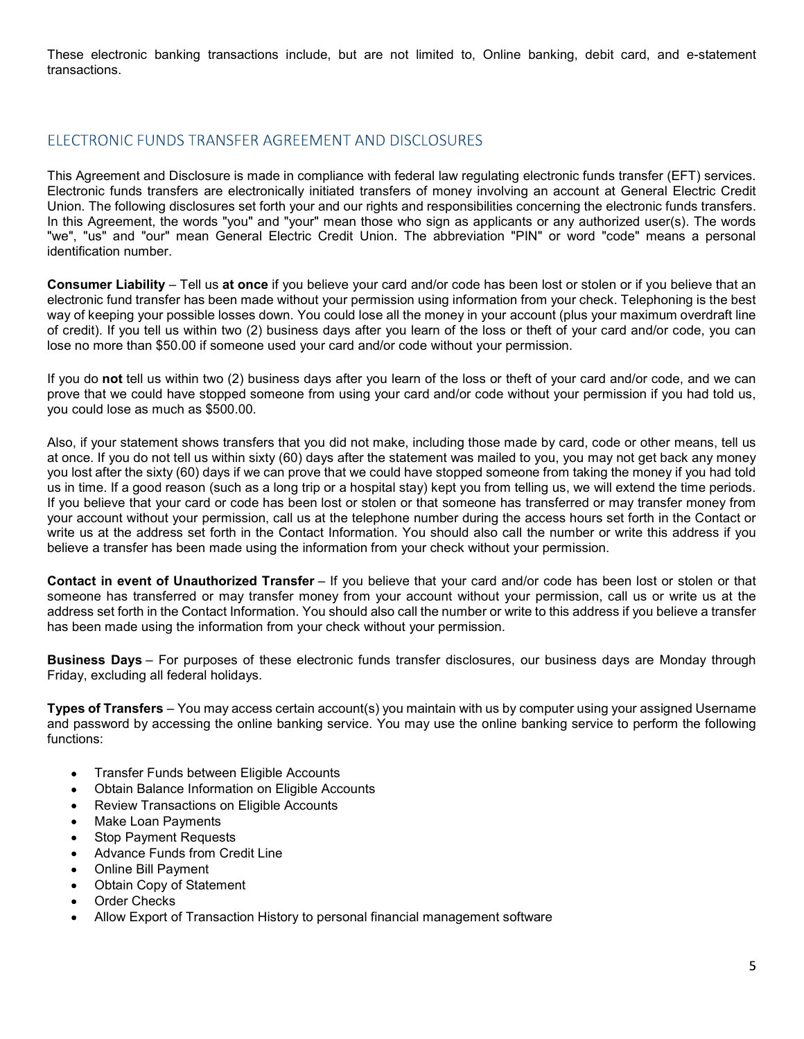These electronic banking transactions include, but are not limited to, Online banking, debit card, and e-statement transactions.

This Agreement and Disclosure is made in compliance with federal law regulating electronic funds transfer (EFT) services. Electronic funds transfers are electronically initiated transfers of money involving an account at General Electric Credit Union. The following disclosures set forth your and our rights and responsibilities concerning the electronic funds transfers. These electronic banking transactions include, but are not limited to, Online banking, debit card, and e-statement<br>transactions.<br>ELECTRONIC FUNDS TRANSFER AGREEMENT AND DISCLOSURES<br>This Agreement and Disclosure is made in "we", "us" and "our" mean General Electric Credit Union. The abbreviation "PIN" or word "code" means a personal identification number. These electronic banking transactions include, but are not limited to, Online banking, debit card, and e-statement<br>transactions.<br>ELECTRONIC FUNDS TRANSFER AGREEMENT AND DISCLOSURES<br>This Agreement and Disclosure is made in These electronic banking transactions include, but are not limited to, Online banking, debit card, and e-statement<br>transactions.<br>Electricity is a counterparticle more transformed in complisions with federal law regulating

electronic fund transfer has been made without your permission using information from your check. Telephoning is the best of credit). If you tell us within two (2) business days after you learn of the loss or theft of your card and/or code, you can lose no more than \$50.00 if someone used your card and/or code without your permission.

If you do not tell us within two (2) business days after you learn of the loss or theft of your card and/or code, and we can prove that we could have stopped someone from using your card and/or code without your permission if you had told us, you could lose as much as \$500.00.

Also, if your statement shows transfers that you did not make, including those made by card, code or other means, tell us ELECTRONIC FUNDS TRANSFER AGREEMENT AND DISCLOSURES<br>This Agreement and Disclosure is made in compliance with federal law regulating electronic funds transfer (EFT) services.<br>Electronic funds transfers are electronically in you lost after the sixty (60) days if we can prove that we could have stopped someone from taking the money if you had told us in time. If a good reason (such as a long trip or a hospital stay) kept you from telling us, we will extend the time periods. If you believe that your card or code has been lost or stolen or that someone has transferred or may transfer money from This Agreement and Disconsure is made in compliance winn heara law regulating electronic unios ranster (tri-1) services.<br>Union, The following disclosures set forth your and our rights and responsibilities concenting the el write us at the address set forth in the Contact Information. You should also call the number or write this address if you believe a transfer has been made using the information from your check without your permission. The and our mean in event of Deliver burstin in the above content in the solution of the solution of the solution of the solution of the solution of the solution of the solution of the solution of the solution of the solut way wheeling you hused to these to the contact information. You whould also call the number of the this address of the purpose of the contact the system in the set in your card and/or code, sou can<br>prove that we could have If you do not tell us within two (2) business days after you learn of the loss or theft of your card and/or code, and we can<br>prove that we could have stopped someone from using your card and/or code without your permission

someone has transferred or may transfer money from your account without your permission, call us or write us at the address set forth in the Contact Information. You should also call the number or write to this address if you believe a transfer has been made using the information from your check without your permission.

Friday, excluding all federal holidays.

and password by accessing the online banking service. You may use the online banking service to perform the following functions:

- Transfer Funds between Eligible Accounts
- Obtain Balance Information on Eligible Accounts
- Review Transactions on Eligible Accounts
- Make Loan Payments
- Stop Payment Requests
- Advance Funds from Credit Line
- Online Bill Payment
- Obtain Copy of Statement
- Order Checks
- Allow Export of Transaction History to personal financial management software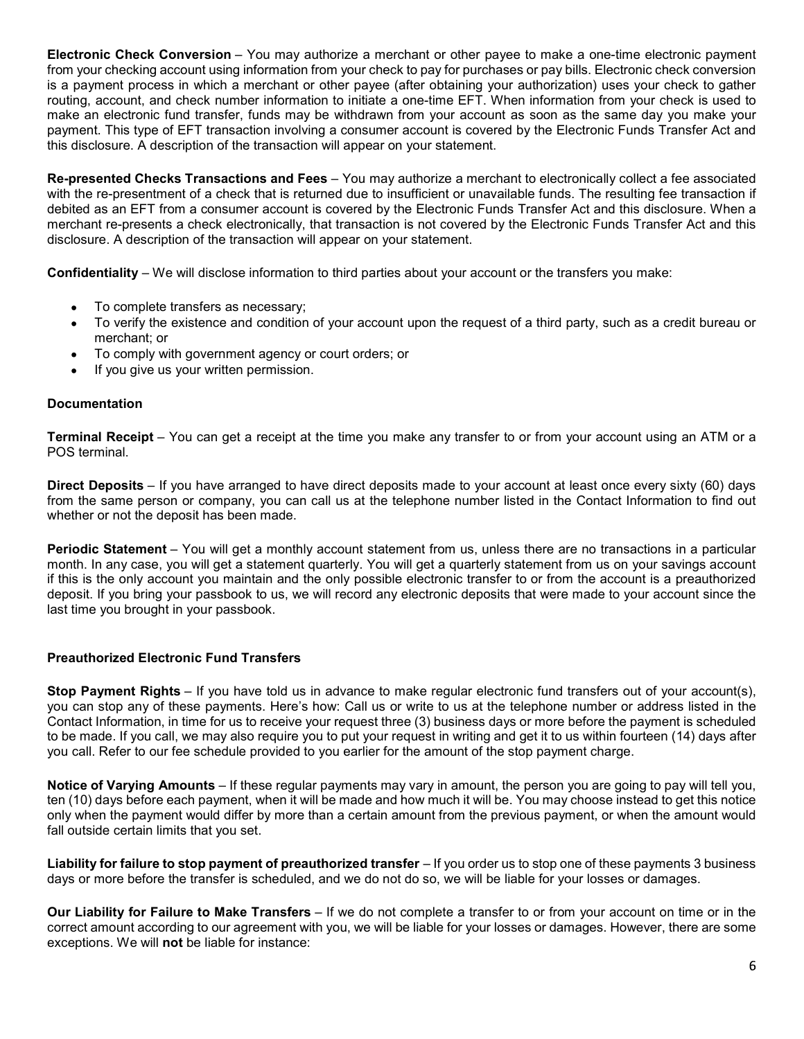Electronic Check Conversion – You may authorize a merchant or other payee to make a one-time electronic payment<br>from your checking account using information from your check to pay for purchases or pay bills. Electronic che from your checking account using information from your check to pay for purchases or pay bills. Electronic check conversion is a payment process in which a merchant or other payee (after obtaining your authorization) uses your check to gather routing, account, and check number information to initiate a one-time EFT. When information from your check is used to make an electronic fund transfer, funds may be withdrawn from your account as soon as the same day you make your payment. This type of EFT transaction involving a consumer account is covered by the Electronic Funds Transfer Act and this disclosure. A description of the transaction will appear on your statement. **Electronic Check Conversion** – You may authorize a merchant or other payee to make a one-time electronic payment<br>from your checking account using information from your check to pay for purchases or pay bills. Electronic c **Electronic Check Conversion** – You may authorize a merchant or other payee to make a one-time electronic payment<br>from your checking account using information from your check to pay for purchases or pay bills. Electronic c nic Check Conversion – You may authorize a merchant or other payee to make a one-time electronic payment<br>
rehecking account using information from your check to pay for purchases or pay bilis. Electronic check to ogather<br>

with the re-presentment of a check that is returned due to insufficient or unavailable funds. The resulting fee transaction if debited as an EFT from a consumer account is covered by the Electronic Funds Transfer Act and this disclosure. When a merchant re-presents a check electronically, that transaction is not covered by the Electronic Funds Transfer Act and this disclosure. A description of the transaction will appear on your statement. routing, account, and check number information to initiale a one-lime EFT. When information from your check is used to<br>make an electronic fund transfer, funds may be withdrawn from your account as soon as the same day you this disclosure. A description of the transaction will appear on your statement.<br> **Re-presentined Checks Transactions and Fees** – You may authorize a merchant to electronically collect a fee associated<br> **Redibed as an EFT** 

- To complete transfers as necessary;
- To verify the existence and condition of your account upon the request of a third party, such as a credit bureau or merchant; or
- 
- If you give us your written permission.

### Documentation

POS terminal.

from the same person or company, you can call us at the telephone number listed in the Contact Information to find out whether or not the deposit has been made.

debited as an EFT from a consumer account is covered by the Electronic Funds Transfer Act and this disclosure. A description of the transaction will appear on your statement.<br> **Confidentiality** – We will disclose informati merchant re-presents a check electronically, that transaction is not covered by the Electronic Funds Transfer Act and this<br> **Confidentiality** – We will disclose information to third parties about your account or the transf if this is the only account you maintain and the only possible electronic transfer to or from the account is a preauthorized deposit. If you bring your passbook to us, we will record any electronic deposits that were made to your account since the last time you brought in your passbook. ■ If you give us your written permission.<br>
Terminal Receipt – You can get a receipt at the time you make any transfer to or from your account using an ATM or a<br>
POS terminal<br>
Poster Upposits – If you have arranged to have POS terminal .<br>
Direct Deposits – If you have arranged to have direct deposits made to your account at least once every sixty (60) days<br>
from the same person or company, you can call us at the telephone number listed in th **Periodic Statement –** You will get a monthly account statement from us, unless there are no transactions in a particular month. In any case, you will get a statement quarterly. You will get a quarterly statement from us o

## Preauthorized Electronic Fund Transfers

you can stop any of these payments. Here's how: Call us or write to us at the telephone number or address listed in the Contact Information, in time for us to receive your request three (3) business days or more before the payment is scheduled to be made. If you call, we may also require you to put your request in writing and get it to us within fourteen (14) days after you call. Refer to our fee schedule provided to you earlier for the amount of the stop payment charge. if this is the only account you manitalin and the only possible electronic transfer to or from the account is a preauthorized differs if this in this may the only possible electronic deposits that were made to your account

ten (10) days before each payment, when it will be made and how much it will be. You may choose instead to get this notice only when the payment would differ by more than a certain amount from the previous payment, or when the amount would fall outside certain limits that you set.

days or more before the transfer is scheduled, and we do not do so, we will be liable for your losses or damages.

correct amount according to our agreement with you, we will be liable for your losses or damages. However, there are some exceptions. We will **not** be liable for instance: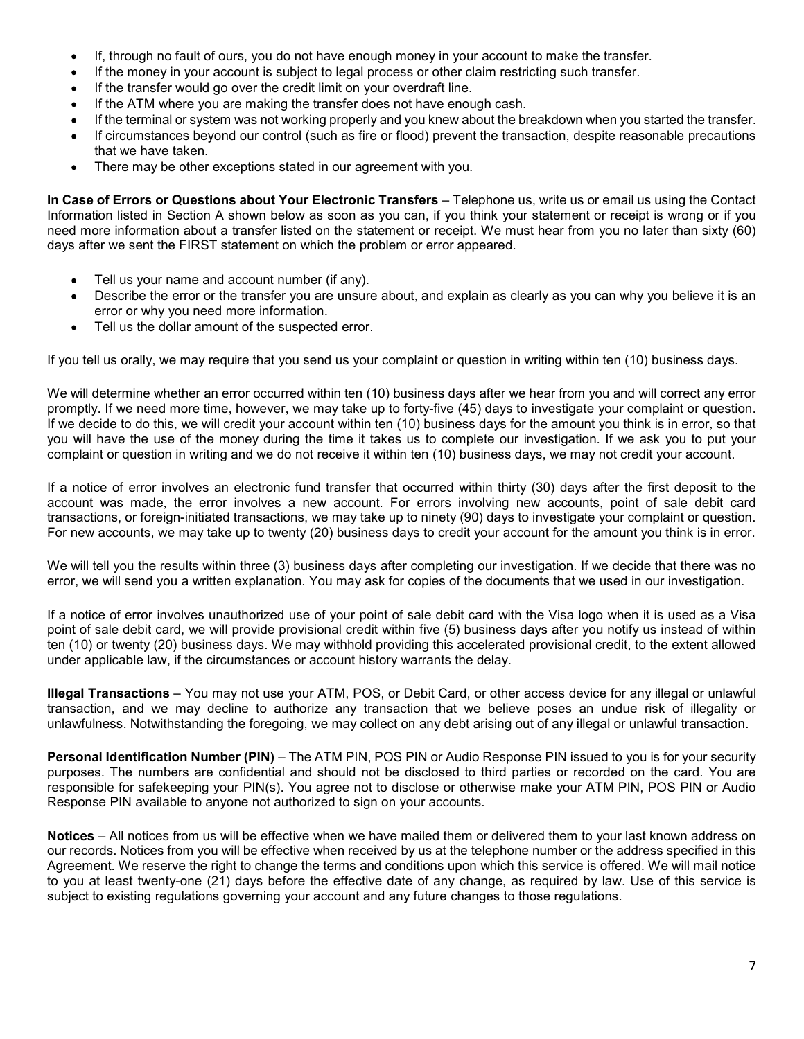- If, through no fault of ours, you do not have enough money in your account to make the transfer.
- If the money in your account is subject to legal process or other claim restricting such transfer.
- If the transfer would go over the credit limit on your overdraft line.
- If the ATM where you are making the transfer does not have enough cash.
- 
- If, through no fault of ours, you do not have enough money in your account to make the transfer.<br>If the money in your account is subject to legal process or other claim restricting such transfer.<br>If the ATM where you are m If circumstances beyond our control (such as fire or flood) prevent the transaction, despite reasonable precautions that we have taken.
- There may be other exceptions stated in our agreement with you.

If, through no fault of ours, you do not have enough money in your account to make the transfer.<br>
If the money in your account is subject to legal process or other claim restricting such transfer.<br>
If the transfer would go Information listed in Section A shown below as soon as you can, if you think your statement or receipt is wrong or if you need more information about a transfer listed on the statement or receipt. We must hear from you no later than sixty (60) days after we sent the FIRST statement on which the problem or error appeared.

- Tell us your name and account number (if any).
- Describe the error or the transfer you are unsure about, and explain as clearly as you can why you believe it is an error or why you need more information.
- Tell us the dollar amount of the suspected error.

If you tell us orally, we may require that you send us your complaint or question in writing within ten (10) business days.

We will determine whether an error occurred within ten (10) business days after we hear from you and will correct any error Fith the more) in year areas would is subject to legal process or other claim restricting such transfer.<br>
If the ATM where you are making the transfer does not have enough cash.<br>
If the RET instances beyond our control (su If we decide to do this, we will credit your account within ten (10) business days for the amount you think is in error, so that you will have the use of the money during the time it takes us to complete our investigation. If we ask you to put your complaint or question in writing and we do not receive it within ten (10) business days, we may not credit your account. In Case of Errors or Question a shout Your Electronic Transfers – Telephone us, wire us or email us using the Contact Transfer is wond or throm think the problem or email is using the Contact the FIRST statement of receipt error or why you need more information.<br>
If you tell us orshdy, we may requested error.<br>
If you tell us orshdy, we may terred rath you send us your complaint or question in writing within ten (10) business days.<br>
We will d If you tell us orally, we may require that you send us your complaint or question in writing within ten (10) business days.<br>We will determine whether an enror occurred within then (10) business days after we hear from you

If a notice of error involves an electronic fund transfer that occurred within thirty (30) days after the first deposit to the account was made, the error involves a new account. For errors involving new accounts, point of sale debit card transactions, or foreign-initiated transactions, we may take up to ninety (90) days to investigate your complaint or question.

We will tell you the results within three (3) business days after completing our investigation. If we decide that there was no error, we will send you a written explanation. You may ask for copies of the documents that we used in our investigation.

If a notice of error involves unauthorized use of your point of sale debit card with the Visa logo when it is used as a Visa point of sale debit card, we will provide provisional credit within five (5) business days after you notify us instead of within under applicable law, if the circumstances or account history warrants the delay. If we decide to do this, we will read it you receluniviting in (10) business days for the amount you think is in error, so that the previse a mean of the security of the security of the money during the time it lakes us to

transaction, and we may decline to authorize any transaction that we believe poses an undue risk of illegality or unlawfulness. Notwithstanding the foregoing, we may collect on any debt arising out of any illegal or unlawful transaction.

purposes. The numbers are confidential and should not be disclosed to third parties or recorded on the card. You are responsible for safekeeping your PIN(s). You agree not to disclose or otherwise make your ATM PIN, POS PIN or Audio Response PIN available to anyone not authorized to sign on your accounts.

account was made, the error involves a new account. For errors involving niew accounts, point of saise debit card<br>transactions, or foreign-initiated transactions, we may take up to hinety (90) days to investigate your comp our records. Notices from you will be effective when received by us at the telephone number or the address specified in this Agreement. We reserve the right to change the terms and conditions upon which this service is offered. We will mail notice We will tell you the results within three (3) business days after completing our investigation. If we decide that there was no<br>error, we will send you a written explanation. You may ask for copies of the documents that we We will tell you the results within three (3) business days after completing our investigation. If we decide that there was no<br>error, we will send you a written explanation. You may ask for copies of the documents that we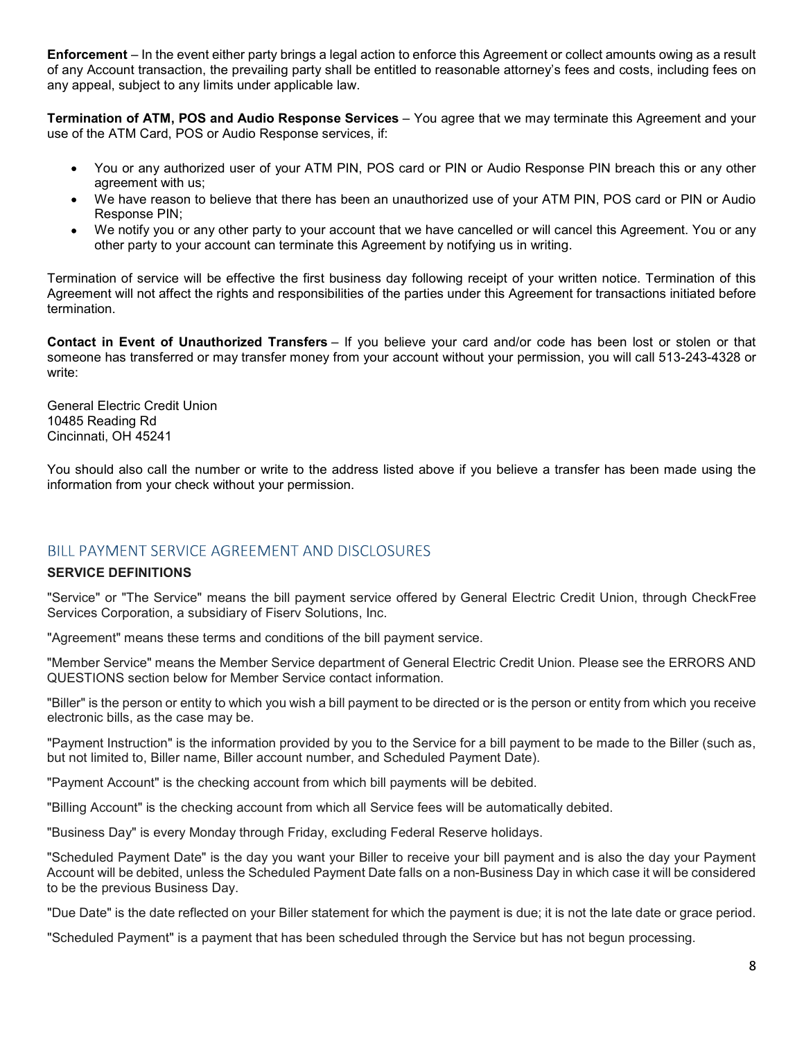Enforcement – In the event either party brings a legal action to enforce this Agreement or collect amounts owing as a result<br>of any Account transaction, the prevailing party shall be entitled to reasonable attorney's fees Enforcement – In the event either party brings a legal action to enforce this Agreement or collect amounts owing as a result<br>of any Account transaction, the prevailing party shall be entitled to reasonable attorney's fees any appeal, subject to any limits under applicable law. **Enforcement** – In the event either party brings a legal action to enforce this Agreement or collect amounts owing as a result<br>of any Account transaction, the prevailing party shall be entitled to reasonable attorney's fe **ment** – In the event either party brings a legal action to enforce this Agreement or collect amounts owing as a result<br>ccount transaction, the prevailing party shall be entitled to reasonable attorney's fees and costs, in **Enforcement** – In the event either party brings a legal action to enforce this Agreement or collect amounts owing as a result<br>of any Account transaction, the prevailing party shall be entitled to reasonable attomey's fees Enforcement – In the event either party brings a legal action to enforce this Agreement or collect amounts owing as a result<br>of any Account transaction, the prevailing party shall be entitled to reasonable attomey's fees a

use of the ATM Card, POS or Audio Response services, if:

- You or any authorized user of your ATM PIN, POS card or PIN or Audio Response PIN breach this or any other agreement with us;
- We have reason to believe that there has been an unauthorized use of your ATM PIN, POS card or PIN or Audio Response PIN;
- other party to your account can terminate this Agreement by notifying us in writing.

Agreement will not affect the rights and responsibilities of the parties under this Agreement for transactions initiated before termination. of any Account transaction, the prevailing party shall be entitled to reasonable attorney's fees and<br>
any appeal, subject to any limits under applicable law.<br>
Termination of ATM, POS and Audio Response Services – You agree • we nouly you or any oner party to your account nat termination of service will be effective the first business day following receipt of your service will be effective the first business day following receipt of your acco Termination of service will be effective the first business day following receipt of your written notice. Termination of this<br>Agreement will not affect the rights and responsibilities of the parties under this Agreement fo Termination of service will be effective the first business day following receipt of your written notice. Termination of this degreement will not affect the rights and responsibilities of the parties under this Agreement f

someone has transferred or may transfer money from your account without your permission, you will call 513-243-4328 or write: We emern win not anets are rights and responsibilities of the parties under this Agreement for transactions intitiated before contact in Event of Unauthorized Transfers – If you believe your card and/or code has been lost Contact in Event of Unauthorized Transfers – If you believe your card and/or code has been lost or stolen or that<br>someone has transferred or may transfer money from your account without your permission, you will call 513-2 Contact in Event of Unauthorized Transfers - If you believe your card and/or code has been lost or stolen or that<br>comeone has transferred or may transfer money from your account without your permission, you will call 513-2

10485 Reading Rd Cincinnati, OH 45241

You should also call the number or write to the address listed above if you believe a transfer has been made using the information from your check without your permission.

Services the person or entity to the person or entity in the person or entity of the person or entity of the person or entity of the person or entity of the person or entity of the person or entity of the person or entity which<br>
Clendral Electric Credit Union<br>
General Electric Credit Union<br>
10485 Reading Rd<br>
You should also call the number or write to the address listed above if you believe a transfer has been<br>
Information from your check w General Electric Credit Union<br>
26 netal Electric Credit Union<br>
2004 should also call the number or write to the address listed above if you believe a transfer has been made using the<br>
2004 should also call the number or wr 1048 Reading Rd<br>Cincinnati, OH 45241<br>Torushand also call the number or write to the address listed above if you believe a transfer has been made using the<br>information from your check without your permission.<br>BLEL PAYMENT S Shammati, Str. Det ...<br>You should also call the number or write to the address listed above if you believe a transfer has been made using the<br>Proformation from your check without your permission.<br>BILL PAYMENT SERVICE AGREE

You should also call the number or write to the address listed above if you believe a transfer has been made using the<br>information from your check without your permission.<br>BILL PAYMENT SERVICE AGREEMENT AND DISCLOSURES<br>SER BILL PAYMENT SERVICE AGREEMENT AND DISCLOSURES<br>SERVICE DEFINITIONS<br>"Service" or "The Service" means the bill payment service offered by General Electric Credit Union, through CheckFree<br>"Agreement" means the service" means BILL PAYMENT SERVICE AGREEMENT AND DISCLOSURES<br>"Service" or "The Service" means the bill payment service offered by General Electric Credit Union, through CheckFree<br>"Services" or The Service" means the solutions, Inc.<br>"Mem BILL PAYIMENT SERVICE AGREEMENT AND DISCLOSURES<br>SERVICE DEFINITIONS<br>"Service" or The Service" means the Bill payment service offered by General Electric Credit Union, through CheckFree<br>"Services Corporation, a subsidiary o BILL PAYMENT SERVICE AGREEMENT AND DISCLOSURES<br>SERVICE DEFINITIONS<br>"Service" or "The Service" means the bill payment service offered by General Electric Credit Union,<br>"Services" or "The Service" means the bill payment serv SERVICE DEFINITIONS<br>"Service" or The Service" means the bill payment service offered by General Electric Credit Union, through CheckFree<br>Services Corporation, a subsidiary of Fiserv Solutions, Inc.<br>"Member Services" means "Schricher" or The Service" means the bull payment is rointed of the Service Credit Union, through CheckFree<br>"Services Corporation, a subsidiary of Fisery Solutions, Inc.<br>"Member Service" means the Member Service departmen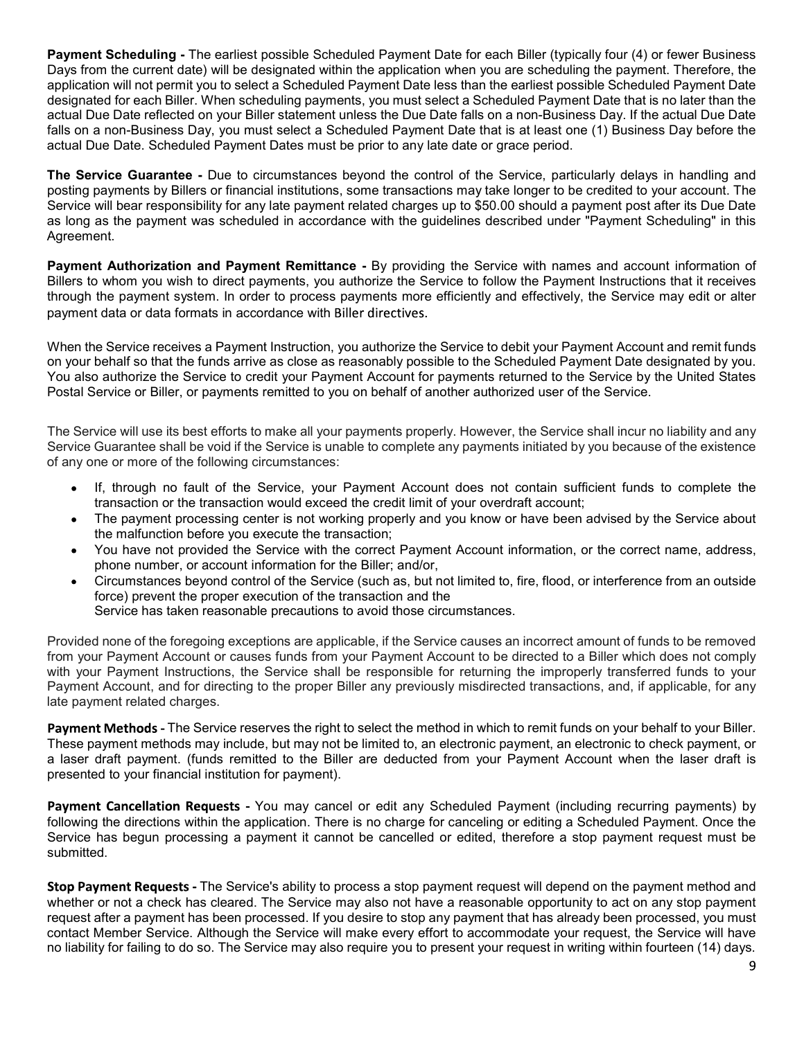**Payment Scheduling -** The earliest possible Scheduled Payment Date for each Biller (typically four (4) or fewer Business<br>Days from the current date) will be designated within the application when you are scheduling the pa **Payment Scheduling -** The earliest possible Scheduled Payment Date for each Biller (typically four (4) or fewer Business Days from the current date) will be designated within the application when you are scheduling the pa **Payment Scheduling -** The earliest possible Scheduled Payment Date for each Biller (typically four (4) or fewer Business<br>Days from the current date) will be designated within the application when you are scheduling the pa **Payment Scheduling -** The earliest possible Scheduled Payment Date for each Biller (typically four (4) or fewer Business<br>Days from the current date) will be designated within the application when you are scheduling the pa **Payment Scheduling -** The earliest possible Scheduled Payment Date for each Biller (typically four (4) or fewer Business Days from the current date) will be designated within the application when you are scheduling the pa **Payment Scheduling** - The earliest possible Scheduled Payment Date for each Biller (typically four (4) or fewer Business Days from the current date) will be designated within the application when you are schedulig the pay **Payment Scheduling -** The earliest possible Scheduled Payment Date for each Biller (typically four (4) or fewer Business<br>Days from the current date) will be designated within the application when you are scheduling the pa **Payment Scheduling -** The earliest possible Scheduled Payment Date for each Biller (typically four (4) or fewer Business<br>Days from the current date) will be designated within the application when you are scheduling the pa **Payment Scheduling -** The earliest possible Scheduled Payment Date for each Biller (typically four (4) or fewer Business<br>Days from the current date) will be designated within the application when you are scheduling the pa **Payment Scheduling** - The earliest possible Scheduled Payment Date for each Biller (typically four (4) or fewer Business<br>Days from the current date) will be designated within the application when you are scheduling the pa **Payment Scheduling -** The earliest possible Scheduled Payment Date for each Biller (typically four (4) or fewer Business<br>Days from the current date) will be designated within the application when you are scheduling the pa **Payment Scheduling - The earliest possible Scheduled Payment Date for each Biller (typically four (4) or fewer Business<br>Days from the current date) will be designated within the application when you are scheduling the pay Payment Scheduling** - The earliest possible Scheduled Payment Date for each Biller (typically four (4) or fewer Business<br>Days from the current date) will be designated within the application when you are scheduling the pa **Payment Scheduling - The earliest possible Scheduled Payment Date for each Biller (typically four (4) or fewer Business<br>Days from the current date) will be designated within the spolication when you are scheduling the pay Payment Scheduling - The earliest possible Scheduled Payment Date for each Biller (typically four (4) or fewer Busin<br>Days from the current date) will be designated within the application when you are scheduling the paymen Payment Scheduling** - The earliest possible Scheduled Payment Date for each Biller (typically four (4) or fewer Business<br>Dapplication will not current date) will be designated within the application will not payment Date **Payment Scheduling -** The earliest possible Scheduled Payment Date for each Biller (typically four (4) or fewer Business<br>Days from the current date) will be designated within the application when you are scheduling the pa **Payment Scheduling** - The earliest possible Scheduled Payment Date for each Biller (typically four (4) or fewer Business<br>Days from the current darb) will be designated within the application when you are scheduling the pa **Payment Scheduling - The earliest possible Scheduled Payment Date for each Biller (typically for 4 of fever Business<br>Days from the current date) will be designated within the application when you are scheduling the paymen** 

Agreement. designated for each Billier. When scheduling payments, you must select a Schedulid Payment Date that is no later than the constrained for each and the constrained for each and the constrained for each and the constrained p actual Due Date reflected on your Biller stratement unless the Due Date falls on a non-Business Day, if the actual Due Date<br>calcula Due Date reflected on your Biller stratement unless the Due Date falls on a non-Business D **Example 12** and 2000 must cell the Service of the Service of the Service of the Service or more of the following circumstances by any point select a Scheduled Payment Date that is at least one (1) Business Day you must se Ute Date. Scheauled Payment Dates must be phor to any iste date or grace period.<br>
Yie Curarantee - Due to circumstances beyond the control of the Service, particularly delays in handling and<br>
viewill bear responsibility fo **vice Guarantee** - Due to circumstances beyond the control of the Service, particularly delays in handling and<br>payments by Billers or financial institutions, some transactions may take longer to be credited to your account Vice Guaranium a - tour to cincumistances suggiving the working properties by Billers or financial institutions, some transactions may take longer to be credited to your account. The will been responsibility for any late p

payments by mental masturant masturations, some transactions into transaction and the certained to you account. The Distriction and Payment related charges up to \$50.00 should a payment post after its Due Date<br>and the paym www loat responsiving via any state provided the account information of the Marian Correct Payment Account information of A Authorization and Payment Remittance - By providing the Service with names and account information as the paytherit was substudied in accolutative with the guidenines described under "Paylitent contedining "in this<br>ent.<br>Ent.<br>The Authorization and Payment Remittance - By providing the Service to follow the Payment Instru ent.<br> **Authorization and Payment Romittance** - By providing the Service to follow the Payment Instructions that it receives<br>
Whom you wish to direct payments, you authorize the Service to follow the Payment Instructions th **it Authorization and Payment Remittance** - By providing the Service with names and account information of whom you wish to direct payments, you authorize the Service to follow the Payment Instructions that it receives the

- 
- 
- 
- 

**Examples and a service has taken respuested and the service we will visually the Service by properties that in conductions that it receives a payment system. In order to process payments more efficiently and effectively,** annot a service in the forest provides a payment and the Service to debit your Payment Account and remit funds<br>on your behalf of the funds arrive as close as reasonably possible to the Service of debit your Payment Account payment caus or data tominals in accountance win binet cince.<br>When the Service to debit your Payment Account and remit funds who may be direct ecrearing that the funds arrive as close as reasonably possible to the Schedule When the Service receives a Payment Instruction, you authorize the Service to debit your Payment Account and remit funds<br>on your behall to funds arrive as close as reasonably possible to the Schedule Payment Date designate When the Service is energy and properties and Paymer McCount and remit tunds<br>
On your Bosts and the prime is the Scheen of the Scheen of the Scheen of the Scheen of the Scheen of the Scheen of the Scheen of the Scheen of P on your behalf so that the funds arrive as close as reassorably possible to the Scheduld Payment<br>You also authorize the Service to credit your Payment Account for payments returned to the S<br>Postal Service or Biller, or pay er, or payments remitted to you on behalf of another authorized user of the Service.<br>
Its best efforts to make all your payments properly. However, the Service shall incur no liability and any<br>
half halls by oid if the Ser The Service will use its best efforts to make all your payments properly. However, the Service shall nour no liability and any<br>Service Guarantee shall be vold if the Service is unable to complete any payments initiated by The Service will use its best efforts to make all your payments properly. However, the Service shall incur no liability and any<br>Service Guarantee shall be voold if the Service is unable to complete any payments initiated b In exertice will use its least emotion of the Service Star information of Gamplete any payments initiated by you because of the ex<br>Service Guarantee shall be void if the Service is unable to complete any payments initiated altionisances.<br>
Service, your Payment Account does not contain sufficient funds to complete the<br>
or would exceed the credit limit of your overdraft account;<br>
there is not working properly and you know or have been advised or the many of the Service, your Payment Account does not contain sufficient funds to complete the<br>
transaction or the transaction would exceed the credit limit of your overdraft account;<br>
The payment processing center is transaction on the transaction would exceed the credit limit of your overdraft account;<br>The payment processing center is not working properly and you know or have been advised by the Service about<br>the mathurcoloo before yo

submitted.

orded the Service with the correct Payment Account information, or the correct name, address, account information for the Service (such as, but not limited to, fire, flood, or interference from an outside proper execution phone number, or account information for the Biller; and/or, the filler and the Direction of the Direction of the standion for the Siervice and the may also force) prevent the proper service has taken reasonable precaution • Cricularistines beyond control of the Service (such as, but not limited to, fire, flood, or interference from an outside<br>Service has taken reasonable precautions to avoid those circumstances.<br>Trovided none of the foregoi force) prevent the proper execution of the transaction and the<br>Service has taken reasonable precautions to avoid those circumstances.<br>Provided none of the foregoing exceptions are applicable, if the Service causes an incor Bervice has taken reasonable precautions to avoid those circumstances.<br>Provided none of the foregoing exceptions are applicable, if the Service causes an incorrect amount of funds to be removed<br>from your Payment Institucio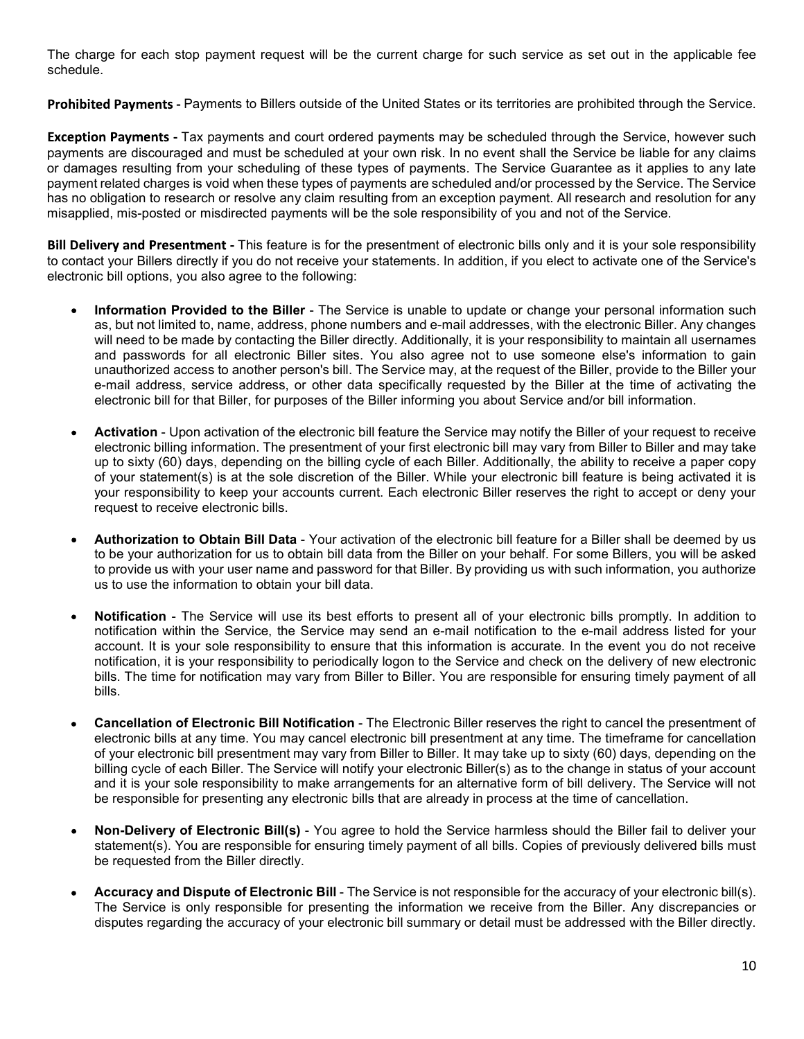The charge for each stop payment request will be the current charge for such service as set out in the applicable fee<br>schedule.<br>Prohibited Payments - Payments to Billers outside of the United States or its territories are schedule.

For payment request will be the current charge for such service as set out in the applicable fee<br>Payments to Billers outside of the United States or its territories are prohibited through the Service.<br>Tax payments and cour top payment request will be the current charge for such service as set out in the applicable fee<br>Payments to Billers outside of the United States or its territories are prohibited through the Service.<br>Tax payments and cour The charge for each stop payment request will be the current charge for such service as set out in the applicable fee<br>schedule.<br>**Prohibited Payments -** Payments to Billers outside of the United States or its territories ar The charge for each stop payment request will be the current charge for such service as set out in the applicable fee<br>schedule.<br>**Prohibited Payments** - Payments to Billers outside of the United States or its territories ar The charge for each stop payment request will be the current charge for such service as set out in the applicable fee<br>schedule.<br>**Prohibited Payments - P**ayments to Billers outside of the United States or its territories ar The charge for each stop payment request will be the current charge for such service as set out in the applicable fee<br> **Prohibited Payments** - Payments to Billers outside of the United States or its territories are prohibi The charge for each stop payment request will be the current charge for such service as set out in the applicable fee<br>schedule.<br>**Prohibited Payments** - Payments to Billers outside of the United States or its territories ar ent request will be the current charge for such service as set out in the applicable fee<br>s to Billers outside of the United States or its territories are prohibited through the Service.<br>ents and court ordered payments may The charge for each stop payment request will be the current charge for such service as set out in the applicable fee<br>schedule.<br> **Prohibited Payments -** Payments to Billers outside of the United States or its territories a The charge for each stop payment request will be the current charge for such service as set out in the applicable<br>schedule.<br> **Prohibited Payments -** Payments to Billers outside of the United States or its territories are p

- Information Provided to the Billers shone numbers and e-mail addresses, with the alter and most passively e-fromatilated through the Service, however such and payments Tax payments and court ordered payments may be sched is for each stop payment request will be the current charge for such service as set out in the applicable fee<br>
a.<br>
Bas are discourage and must be Billers outside of the United States or its territories are prohibited throu igne for each stop payment request will be the current charge for such service as set out in the applicable fee<br>
B.<br>
B. Contaction Computers to Billers outside of the United States or its territories are prohibited through is the starting of the starting the starting the starting of the United States or its territories are prohibited through the Service.<br>
Be drayments - Payments to Billers outside of the United States or its territories are inge for each stop payment request will be the current charge for such service as set out in the applicable fee<br>
e.e.<br>
Because of the service may be served access to the United States or its lerritories are prohibited thro igne for each stop payment request will be the current charge for such service as set out in the applicable fee<br>e.<br>The Payments - Payments to Billers outside of the United States or its territories are prohibited through t From a considered to the Biller sites. You also agree to the Site of the Biller Site of the Biller of the Biller information that Biller sites are provided through the Service.<br>
The Save discouraged and must be sheeluided ed Payments - Payments to Billers outside of the United States or its territories are prohibited through the Service.<br>
In Payments - Tax payments and court ordered payments may be scheduled through the Service, however suc electronic bill network of billing in the billing of the billing states of its territories are pointing information. The presentment and court or detectronic properties are promised in the Service, however such as a celect **In Payments - Tax** payments and court ordered payments may be scheduled through the Service, however such that are discouraged and must be scheduled at your own risk. In no event shall the Service is lable for any latims n Payments - lax payments and court ordered payments may be scheduled through the Service, however such<br>the state discouraged and must be scheduled at your own risk. In no event shall the Service Guarantee as it applies to is are discountaged and must be scheeluled at your own risk. In no event shall the Service Be liable for any claims<br>(reservesting form your scheeluling of these types of payments. The Service Guarantee as it applies to any ges resulting from your scheedling of these types of payments. The Service Guarantee as it applies the strete types of payments are scheduled and/or processed by the Service. The subbligation to research or resolve any cla bligation to research or resolve any claim resulting from an exception payment. All research and resolution for any<br>ed, mis-posted or misdirected payments will be the sole responsibility of you and not of the Service.<br>Very ed, mis-posted or misdirected payments will be the sole responsibility of you and not of the Service.<br>Net your Billers directly if you do not receive your statements. In addition, if you elect to activate one of the Servic **they and Presentment -** This feature is for the presentment of electronic bills only and it is your sole responsibility to coller to tyour Billers directly if you do not receive your statements. In addition, if you elect using Presentiment - This feature is for the presentment of electronic bills only and it is your sole responsibility<br>to us to use the present and the state in the state in the state in the state in the state in the state i ite bill options, you also agree to the following:<br>
Information Provided to the Biller - The Service is unable to update or change your personal information such<br>
Information Provided to the Biller afterstice). Additionall Information Provided to the Biller - The Service is unable to update or change your personal information such<br>as, but to limited to, name, address, phone numbers and e-mail addresses, with the electronic Biller, Any change Information Provided to the Biller - The Service is unable to update or change your personal information such<br>is all the difficult information such the Biller directly. Additionally, it is your responsibility to maintain a
- 
- 
- as, but not limited to, name, address, bhone numbers and e-mail addresses, with the electronic Biller. Any changes and passwords for all electronic Biller after Any changes and passwords for all electronic Biller sites. Yo will reed to be made by contacting the Biller directly. Additionally, it is over responsiblig to maintain all usernamies<br>unal passwords for all electronic Biller sites. You also agree not to use someone elects information bills. e-mail address, service and reserves the righlic relation of Electronic Bill Notification - The Service and Service and Service and Cativation - Upon activation - Upon activation of the electronic bill feature the Service electronic bill for that Biller, for purposes of the Biller informing you about Service and/or bill information.<br> **Activation** - Upon activation of the electronic bill feature the Service may notify the Biller of your requ **Activation** - Upon activation of the electronic bill feature the Service may notify the Biller of your request to receive electronic billimg information. The presentment of your tris leectronic bill may vary from Biller t **Activation** - Upon activation of the electronic bill feature the Service may notify the Biller of your request to receive<br>biet of your real particular contents of your first electronic bill may vary from Biller to Biller electronic billing information. The presentment of your first leactronic billing way from Billier to Billier and may have very frequently is a discrete to of your satements) is at the sole discretion of the Billier. While up to sixty (60) days, depending on the billing cycle of each Biller. Additionally, the ability to receive a paper copy<br>of your statement(s) is at the sole discretion of the Biller. While your dectronic bill feature is bei your responsiblity to keep your accounts current. Each electronic Biller reserves the right to accept or deny your<br> **Authorization to Obtain Bill Data -** Your activation of the electronic bill feature for a Biller shall be request to receive electronic bills.<br>
Authorization to Obtain Bill Data - Your activation of the electronic bill feature for a Biller shall be deemed by us<br>
butbe your authorization for us to obtain bill data from the Bill **Authorization to Obtain Bill Data** - Your activation of the electronic bill feature for a Biller shall be de<br>to be your authorization for us to obtain bill data from the Biller on your behalf. For some Billers, you w<br>to t to be your authorization for us to obtain bill data from the Biller on your behalf. For some Billers, you will be asked<br>to provide us with your user name and password for that Biller By providing us with such information, to provide us with your user name and password for that Biller. By providing us with such information, you authorize to to the Service will use its best efforts to present all of your electronic bills promptly. In addition us to use the information to obtain your bill data.<br>
Notification - The Service will use its best efforts to present all of your electronic bills promptly. In addition to<br>
Notification within the Service, the Service may s
- 
- 
-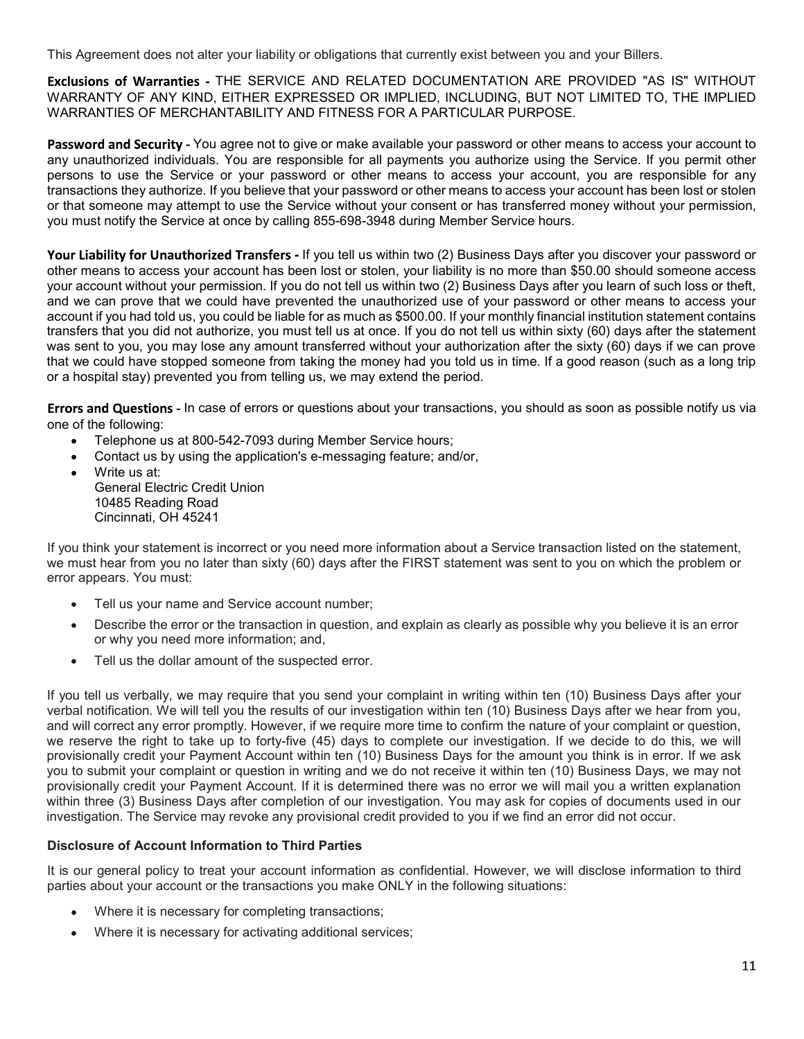This Agreement does not alter your liability or obligations that currently exist between you and your Billers.<br>Exclusions of Warranties - THE SERVICE AND RELATED DOCUMENTATION ARE PROVIDED "AS IS" WITHOUT<br>WARRANTIES OF MER F your liability or obligations that currently exist between you and your Billers.<br>THE SERVICE AND RELATED DOCUMENTATION ARE PROVIDED "AS IS" WITHOUT<br>EITHER EXPRESSED OR IMPLIED, INCLUDING, BUT NOT LIMITED TO, THE IMPLIED<br> This Agreement does not alter your liability or obligations that currently exist between you and your Billers.<br>Exclusions of Warranties - THE SERVICE AND RELATED DOCUMENTATION ARE PROVIDED "AS IS" WITHOUT<br>WARRANTY OF ANY K

This Agreement does not alter your liability or obligations that currently exist between you and your Billers.<br>Exclusions of Warranties - THE SERVICE AND RELATED DOCUMENTATION ARE PROVIDED "AS IS" WITHOUT<br>WARRANTY OF ANY K alter your liability or obligations that currently exist between you and your Billers.<br>
S - THE SERVICE AND RELATED DOCUMENTATION ARE PROVIDED "AS IS" WITHOUT<br>
ND, EITHER EXPRESSED OR IMPLIED, INCLUDING, BUT NOT LIMITED TO This Agreement does not alter your liability or obligations that currently exist between you and your Billers.<br> **Exclusions of Warranties** - THE SERVICE AND RELATED DOCUMENTATION ARE PROVIDED "AS IS" WITHOUT<br>
WARRANTIES OF This Agreement does not alter your liability or obligations that currently exist between you and your Billers.<br>
Exclusions of Warranties - THE SERVICE AND RELATED DOCUMENTATION ARE PROVIDED "AS IS" WITHOUT<br>
WARRANTIES OF M This Agreement does not alter your liability or obligations that currently exist between you and your Billers.<br> **Exclusions of Warranties** - THE SERVICE AND RELATED DOCUMENTATION ARE PROVIDED "AS IS" WITHOUT<br>
WARRANTIES OF This Agreement does not alter your liability or obligations that currently exist between you and your Billers.<br>
Exclusions of Warranties - THE SERVICE AND RELATED DOCUMENTATION ARE PROVIDED "AS IS" WITHOUT<br>
WARRANTIES OF M

This Agreement does not alter your liability or obligations that currently exist between you and your Billers.<br> **Exclusions of Warranties** - THE SERVICE AND RELATED DOCUMENTATION ARE PROVIDED "AS IS" WITHOUT<br>WARRANTY OF AN This Agreement does not alter your liability or obligations that currently exist between you and your Billers.<br>Exclusions of Warranties - THE SERVICE AND RELATED DOCUMENTATION ARE PROVIDED "AS IS" WITHOUT<br>WARRANTICS OF MEY This Agreement does not alter your liability or obligations that currently exist between you and your Billers.<br> **Exclusions of Warranties** - THE SERVICE AND RELATED DOCUMENTATION ARE PROVIDED "AS IS" WITHOUT<br>WARRANTITY OF This Agreement does not alter your liability or obligations that currently exist between you and your Billers.<br>Exclusions of Warranties - THE SERVICE AND RELATED DOCUMENTATION ARE PROVIDED "AS IS" WITHOUT<br>WARRANTIES OF MER This Agreement does not alter your liability or obligations that currently exist between you and your Billers.<br>**Exclusions of Warranties** - THE SERVICE AIND RELATED DOCUMENTATION ARE PROVIDED AS IS" WITHOUT WARRANTY OF ANY This Agreement does not alter your liability or obligations that currently exist between you and your Billers.<br>Exclusions of Warranties - THE SERVICE AND RELATED DOCUMENTATION ARE PROVIDED "AS 1S" WITHOUT<br>WARRANTY OF ANY K This Agreement does not alter your liability or obligations that currently exist between you and your Billers.<br>**Exclusions of Warranties** - THE SERVICE AND RELATED DOCUMENTATION ARE PROVIDED "AS IS" WITHOUT<br>WARRANTY CF ANY This Agreement does not alter your liability or obligations that currently exist between you and your Billers.<br>
Exclusions of Warranties - THE SERVICE AND RELATED DOCUMENTATION ARE PROVIDED "AS IS" WITHOUT<br>WARRANTICS OF ME This Agreement does not alter your liability or obligations that currently exist between you and your Billers.<br> **Exclusions of Warranties** - THE SERVICE AND RELATED DOCUMENTATION ARE PROVIDED "AS IS" WITHOUT<br>WARRANTY CP-AN ies - THE SERVICE AND RELATED DOCUMENTATION ARE PROVIDED "AS IS" WITHOUT<br>KIND, EITHER EXPRESSSED OR IMPLIED, INCLUDING, BUT NOT LIMITED TO, THE IMPLIED<br>RCHANTABILITY AND FITNESS FOR A PARTICULAR PURPOSE.<br>- You agree not to **EXIGNISHOF OF WATHATHEDS - THE SERVICE AND RELATED DOCOMMENTATION WARRANTIES OF MERCHANTABILITY AND FITNESS FOR A PARTICULAR PURP<br>WARRANTIES OF MERCHANTABILITY AND FITNESS FOR A PARTICULAR PURP<br><b>Password and Security** - Y INTE OF ANY KINU, EITHER EXPYREASSED OR MIMELIEU, INCLUDING, BOT NOT USING THE INTERNATION AND FITHESS FOR A PARTICULAR PURPOSE.<br>
IN THE SOF MERCHANTABILITY AND FITHESS FOR A PARTICULAR PURPOSE.<br>
IN and Security - You agre The of the memorial contact in the memorial contact in the application of the application of the memorial contact using the Service. If you permit other dand Security - You agree not to give on make available your password rd and Security - You agree not to give or make available your password or other m<br>thorized individuals. You are responsible for all payments you authorize using the<br>to use the Service or your password or other means to ac absent through the mathematic state in the symbol mathematic you password or outer linears to access your and a structure in the Service of the Service of the Service of the Service of the Service of the Service of the Ser throm/28 in lower less poisities for all payments you attendance than provide the Service or your password or other means to access your account, you atto the surform they atthronic they atthronic they are or once they are to use the service or your password or other means to access your accountr, you<br>toins they authorize. If you believe that your password or other means to access your account<br>omeone may attempt to use the Service without yo or ans amose may areneay to use me service wimour your consent or nas ranssereres money wimour your permission,<br>
Your Liability for Unauthorized Transfers - If you tell us within two (2) Business Days after you discover yo you must notny the service at once by calling ass-bus-Just alling Member service hours.<br>
Your Liability for Unauthorized Transfers - If you to not the lis within two (2) Business Days after you discover your password or<br>
y **Your Liability for Unauthorized Transfers** - If you tell us within two (2) Business Days after youted the means to access your account has been lost or stolen, your liability is no more than \$50<br>your account without your sans to access your account has been lost or stolen, your liability is no more than \$50.00 should someone access<br>count without your permission. If you do not tall us within two (2) Business Days affer you learn of such los count without your permitsion. If you do not fell us within two (2) Business Days affer you learn of such loss or theft, if you do not fell us anyon could be lable for as much a stone to such a state you had to that you di can prove that we could have prevented the unauthorized use of your password or colter means to access<br>if you had told us, you could be liable for as much as \$500.00. If your monthly financial institution statement cont<br>is in you nasulud was, you could us amount transferred without in your inuousness in the suspected error. The suspected error of the suspected in the suspected to the suspected error. We will us that you did not authorize, yo

- 
- 
- 

- 
- 
- 

If you tell us the stapped someone from taking the menney had you told us in time. If a good reason (such as a long trip<br> **Errors and Questions -** In case of errors or questions about your transactions, you should as soon or a hospital stay) prevented you from telling us, we may extend the period.<br> **Errors and Questions** about your transactions, you should as soon as possible notify us via<br>
•• Telephone us at 800-542-7093 during Member Serv **Errors and Questions - In case of errors or questions about your transactions, you should as soon as possible notify us via<br>
•• Telephone us at 800-542-7093 during Member Service hours;<br>
•• Confident us by using the appli Errors and Questions** - In case of errors or questions about your transactions, you should as soon as possible notify us via<br>
• Telephone us at 800-542-7093 during Member Service hours;<br>
• Contat us by using the applicati one of the following:<br>
• Telephone to state and the application's e-messaging feature; and/or,<br>
• Contact us by using the application's e-messaging feature; and/or,<br>
• Write us at Electric Credit Union<br>
• Colets Reading Ro Traisphone is at 800-542-7093 during Member Service hours;<br>
• Contract us by using the application's e-messaging feature; and/or,<br>
Write us at<br>
Content Electric Credit Union<br>
10485 Reading Road<br>
10485 Reading Road<br>
10485 R Contact us by using the application's e-messaging feature; and/or,<br>
Write us attenting Road<br>
Contact Electric Credit Union<br>
Colencial Electric Credit Union<br>
Colencial Electric Credit Union<br>
Contact Be Reading Road<br>
Contact When us at the state of the state of the state of the state of the statement in the statement of the statement of the statement of the statement of the statement of the statement of the statement of the statement of the st For the state of the state of the state may revoke any provisional credit provided to you if we find a service that is incorrect or you need more information about a Service transaction listed on the statement,<br>
The Virgin The Constrained The Constrainent is increased in the station is service transaction listed on the statement,<br>
We constrained that the SECO and the SECO and the FIRST statement was sent to you on which the problem or<br>
we mu If you think your statement is incorrect or you need more information about a Service transaction listed on the statement,<br>we must hear from you no later than sixty (60) days after the FIRST statement was sent to you on wh If you think your content is incorrect or you meet find or the infransion about a Service transaction listed on the statement,<br>
we must hear the your non-thermatic is incorrect or you make infransitions about a Service tra bears. You must:<br>Tell us your name and Service account number;<br>Describe the error or the transaction in question, and explain as clearly as possible why you believe it is an error<br>or why you need more information; and,<br>Tel Tell us your name and Service account number;<br>Describe the error or the transaction in question, and explain as clearly as possible why you believe it is an error<br>or or thy you need more information; and,<br>Tell us the dolla

- 
-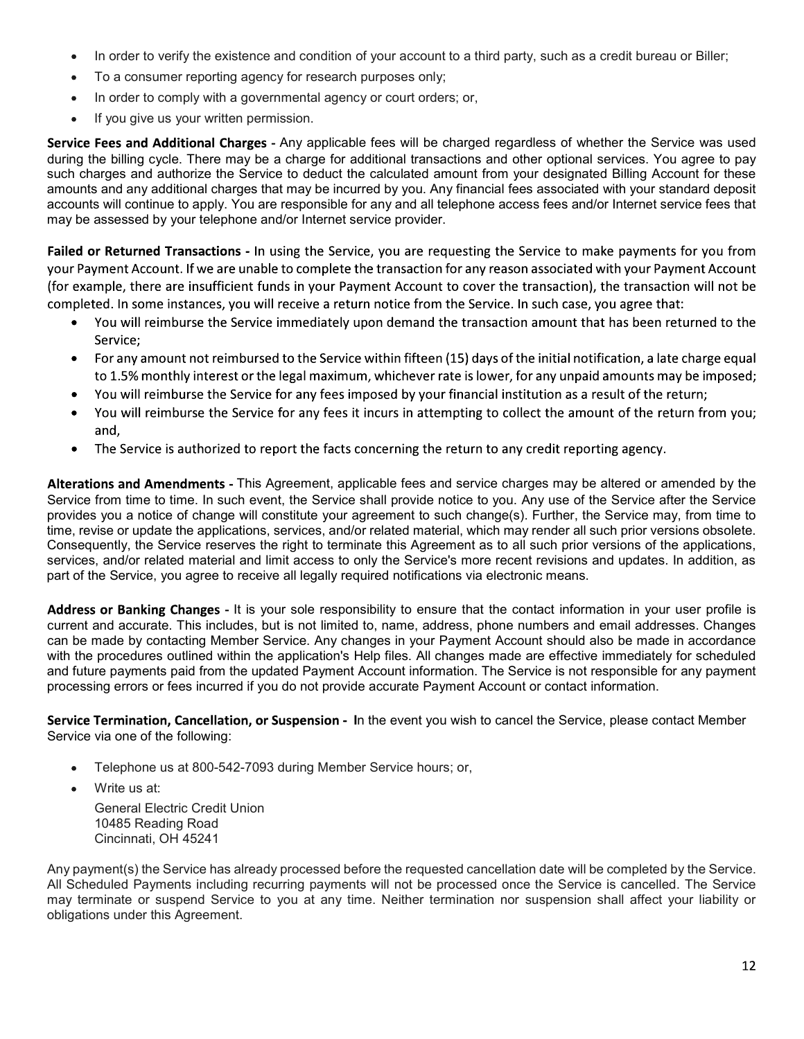- In order to verify the existence and condition of your account to a third party, such as a credit bureau or Biller;<br>To a consumer reporting agency for research purposes only;<br>In order to comply with a governmental agency o
- 
- 
- 

In order to verify the existence and condition of your account to a third party, such as a credit bureau or Biller;<br>To a consumer reporting agency for research purposes only;<br>In order to comply with a governmental agency o In order to verify the existence and condition of your account to a third party, such as a credit bureau or Biller;<br>To a consumer reporting agency for research purposes only;<br>In order to comply with a governmental agency o In order to verify the existence and condition of your account to a third party, such as a credit bureau<br>To a consumer reporting agency for research purposes only;<br>In order to comply with a governmental agency or court ord In the condition of your account to a third party, such as a credit bureau or Biller;<br>
for research purposes only;<br>
mental agency or court orders; or,<br>
ssion.<br>
Any applicable fees will be charged regardless of whether the • In order to verify the existence and condition of your account to a third party, such as a credit bureau or Biller;<br>• To a consumer reporting agency for research purposes only;<br>• In order to comply with a governmental a • In order to verify the existence and condition of your account to a third party, such as a credit bureau or Biller;<br>• To a consumer reporting agency for research purposes only;<br>• In order to comply with a governmental ag • In order to verify the existence and condition of your account to a third party, such as a credit bureau or Biller;<br>• To a consumer reporting agency for research purposes only;<br>• In order to comply with a governmental ag • In order to verify the existence and condition of your account to a third party, such as a credit bureau or Biller;<br>• To a consumer reporting agency for research purposes only;<br>• In order to comply with a governmental ag ■ In order to verify the existence and condition of your account to a third party, such as a credit bureau or Biller;<br>
■ To a consumer reporting agency for research purposes only;<br>
■ In order to comply with a governmental

- 
- 
- 
- 
- 

arges - Amy applicable fees will be charged regardless of wheter the Service was used<br>ay be a charge for additional transactions and other optional services. You agree to pay<br>Service to deduct the calculated amount from yo during the biling cycle. There may be a charge for additional transactions and other options are consequent by a different and any additional charges that may be assessed by you. The method by you. Any financial fees assoc such changes and suttinorize the Service to detail the calculate amount from your designated Billing Account to these<br>sessed by your telephone and/or literate to reay and all telephone access fees and/or literated service amounts and any additional changes that may be necurred by you. Any imanous lees associated with your standard deposits<br>accounts will continue to apply. You are responsible for any and all telephone access fees and/or inte accounts will conserve the spains the responsible for any and all telephone access tees andor internet service tos that<br>Failed or Returned Transactions - in using the Service, you are requesting the Service to make payment may be assessed by your telephone and/or internet service provider.<br>Failed or Returned Transaction 5- in using the Service you are requesting the Service to make payment Account<br>for example, there are instilleiter funds in **Failed or Returned Transactions - In using the Service, you are requesting the Service to make payments for you from<br>your Payment Account. If we are unslet to roomplete the transaction for any reason associated with your** unable to complete the transaction for any resons associated with your Payment Account<br>ent funds in your Payment Account to cover the transaction), the transaction will not be<br>ou will receive a return notice from the Servi of the reaming the the are institutent funds in your Payment Account to cover the transaction, the transaction and the counter of the Service. In such as the service in will receive the Service immediately upon demand the completed. In some instances, you will receive is a return notice from the Service. In such case, you agree that:<br>
You will reimburst the ferminated the Payment and the transaction amount that has been returned to the<br>
Ser • You will reimburse the Service immediately upon demand the transaction amount that has been returned to the<br>For any amount not reimbursed to the Service within fifteen (15) days of the initial notification, a late char Service;<br>
and the Service within fifteen (15) days of the initial notification, a late charge equal<br>
to 1.5% monthly interest the legal maximum, whichever rate is lower, for any unpaid amounts may be imposed;<br>
and will rei **For any amount not reimbursed to the Service within fifteen (15) days of the initial notification, a late charge equal<br>to 1.5% monthly interest or the legal maximum, whichever rate is lower, for any unpaid amounts may be** Im, winclever rate is lower, ior any unparamoninaring ve imposed<br>imposed by your financial institution as a result of the return;<br>it incurs in attempting to collect the amount of the return from you;<br>concerning the return • You will remburse the service for any rees imposed by your manchal institution as a reservice for any fees it incurs in attempting to collect the amound,<br>
• You will reinburse the Service for any fees it incurs in attemp and,<br>The Service is authorized to report the facts concerning the return to any credit reporting agency.<br>The Service is authorized to report the facts concerning the return to any credit reporting agency.<br>Thom and **Amendme** The Service is authorized to report the facts concerning the return to any credit re<br>
ons and Amendments - This Agreement, applicable fees and service charges may<br>
from time to time. In such event, the Service shall provid ons and Amendments - This Agreement, applicable fees and service charges may be altered or<br>from time to time. In such event, the Service shall provide noite to you. Any use of the Service<br>ivou a notice of change will const ons and Amendments - This Agreement, applicable fees and service charges may be alt<br>trom time to time. In such event, the Service shall provide notice to you. Any use of the S<br>you a notice of change will constitute your ag

from line to time. In such event, the Service shall provide notice to you. Any use of the 16<br>iyou a notice of change will constitute your agreement to such change(s). Further, the S<br>ise or update the applications, services time, revise or update the applications, services, and/or related material, which may render all such prior versions of the applications, convey and/or related material and limit access to only the Service inverse and upda Consequently, the Service reserves the right to terminate this Agreement as to all such prior versions of the applications, a<br>services, and/or related material and limit access to only the Service's more recent revisions a services, and/or related material and limit access to only the Service's more recent revisions and updates. In addition, as<br>part of the Service, pou agree to receive all legally required notifications via electronic means. part of the Service, you agree to receive all legally required notifications via electronic means.<br> **Address or Banking Changes** - It is your sole responsibility to ensure that the contact information current and accurate.

- 
-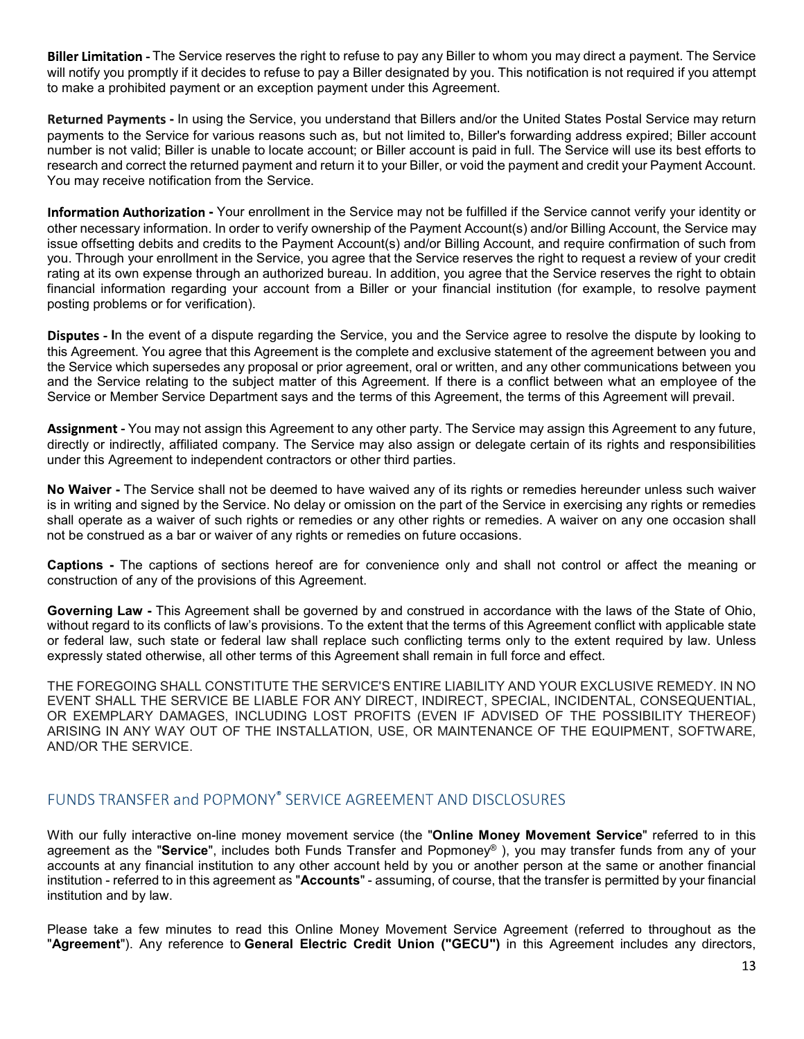The Service reserves the right to refuse to pay any Biller to whom you may direct a payment. The Service<br>pptly if it decides to refuse to pay a Biller designated by you. This notification is not required if you attempt<br>ed **Biller Limitation -** The Service reserves the right to refuse to pay any Biller to whom you may direct a payment. The Service will notify you promptly if it decides to refuse to pay a Biller designated by you. This notifi

**Biller Limitation** - The Service reserves the right to refuse to pay any Biller to whom you may direct a payment. The Service will notify you promptly if it decides to refuse to pay a Biller designated by you. This notifi **Biller Limitation** - The Service reserves the right to refuse to pay any Biller to whom you may direct a payment. The Service will notify you promptly if it decides to refuse to pay a Biller designated by you. This notifi **Biller Limitation -** The Service reserves the right to refuse to pay any Biller to whom you may direct a payment. The Service will notify you promptly if it decides to refuse to pay a Biller designated by you. This notifi **Biller Limitation** - The Service reserves the right to refuse to pay any Biller to whom you may direct a payment. The Service will notify you promptly if it decides to refuse to pay a Biller designated by you. This notifi

**Biller Limitation** - The Service reserves the right to refuse to pay any Biller to whom you may direct a payment. The Service<br>will notify you promptly if it decides to refuse to pay a Biller designated by you. This notifi **Biller Limitation -** The Service reserves the right to refuse to pay any Biller to whom you may direct a payment. The Service will notify you promptly if it decides to refuse to pay a Biller designated by you. This notifi **Biller Limitation** - The Service reserves the right to refuse to pay any Biller to whom you may direct a payment. The Service will notify you promptly if it decides to refuse to pay a Biller designated by you. This notifi **Biller Limitation** - The Service reserves the right to refuse to pay any Biller to whom you may direct a payment. The Service will notify you promptly if it decides to refuse to pay a Biller designated by you. This notifi **Biller Limitation** - The Service reserves the right to refuse to pay any Biller to whom you may direct a payment. The Service<br>will notify you promptly if it decides to refuse to pay a Biller designated by you. This notifi **Biller Limitation** - The Service reserves the right to refuse to pay any Biller to whom you may direct a payment. The Service will notify you promptly if it decides to refuse to pay a Biller designated by you. This notifi **Biller Limitation -** The Service reserves the right to refuse to pay any Biller to whom you may direct<br>will notify you promptly if it decides to refuse to pay a Biller designated by you. This notification is nto<br>to make a **ation** - The Service reserves the right to refuse to pay any Biller to whom you may direct a payment. The Service<br>ou promptly if it decides to refuse to pay a Biller designated by you. This notification is not required if Biller Limitation - The Service reserves the right to refuse to pay any Biller to whom you may direct a payment. The Service<br>will notify you promptly if it decides to relise to pay a Biller designated by you. This notifica **Biller Limitation** - The Service reserves the right to refuse to pay any Biller to whom you may direct a payment. The Service will notify you promptly if it decides to refuse to pay a Biller designated by you. This notifi Biller Limitation - The Service reserves the right to refuse to pay any Biller to whom you may direct a payment. The Service will motify you promptly if it decides to relate to the subject designated by you. This notificat Biller Limitation - The Service reserves the right to retuse to pay any Biller to whom you may direct a payment. The Service or the Service for variant interest and the Biometrical payment of the Service for various reason misted payment or an exception payment under this Agreement.<br>
The ments - In using the Service, you understand that Billiers and/or the United States Postal Service may return<br>
The Service for various reasons such as, but Returned Payments - In using the Service, you understand that Billers and/or the United States Postal Service may return<br>payments to the Service for various reasons such as, but not limited to, Billers forwarding address e Returned Payments - In using the Service, you understand that billiers and/or the Unted States Postal Service may return<br>Resuments to the Service for various reasons such as, but not limited and for the Unted States Poster number is not valid; Billier is unable to locate account; or Biller account is paid in full. The Service stores for the Service of the Service shall not the Service of the service of the service of the Service of the Servi research and correct the retunned payment and return it to your Biller, or void the payment and credit your Payment Account.<br>
Information Authorization - Your enrollment in the Service may not be fulfilled if the Service c You may receive notification from the Service.<br>Information Authorization - Your enrollment in the Service may not be fulfilled if the Service cannot verify your identity or<br>itsue offsetting debits and credits to the Paymen Information Authorization - Your enrollment in the Service may not be fulfilled if the Service cannot verify your identity or<br>orbits necessary information. In order to verify covereship of the Payment Account(s) and/or Bil other necessary information. In order to verify ownership of the Payment Account(s) and/or Billing Account, and require confirmation of such from the payment in the Sections pyous creations of such from the captions in the

issue offsetting debits and credits to the Payment Account(s) and/or Billing Account, and require confirmation of such that<br>is uyou. Through your enrollment in the Service, you agree that the Service reserves the right to rating at its own expense through an authorized bureau. In addition, you agree that the Service reserves the right to obtain posting problems or for verification),<br>
Disputes - In the event of a dispute regarding the Servic financial information regarding your account from a Biller or your financial institution (for example, to resolve payment<br> **Disputes - In** the event of a dispute regarding the Service, you and the Service agree to resolve posting problems or for verification).<br>
Disputes - In the event of a dispute regarding the Service, you and the Service agree to resolve the dispute by looking to<br>
Disputes - In the event of a dispute regarding the Service **Disputes - In** the event of a dispute regarding the Service, you and the Service agree to resolve the dispute by looking to this Agreement. You agree that this Agreement is the complete and exclusive statement of the agre

this Agreement. You agree that this Agreement is the complete and exclusive statement to the agreement and the control of the agreement between you and the Service relating to the subject matter of this Agreement. The term the Service which supersedes any proposal or prior agreement, or all or written, and any other communications between you and the Service relating to the subject matter of this Agreement, the terms of this Agreement will p and the Service relating to the subject matter of this Agreement. If there is a conflict between what an employee of the Service may assign this Agreement to any future.<br>Assignment - You may not assign this Agreement to an Service or Member Service Department says and the terms of this Agreement, the terms of this Agreement will prevail.<br>Arsignment - You may not assign this Agreement to any duber party. The Service may also assign or delegat **Assignment - You may not assign this Agreement to any other party. The Service may as<br>directly or indirectly, affiliated company. The Service may also assign or delegate certai<br>under this Agreement to independent contract** 

With our fully interactive on-line money movement service (the "Online Money Movement Service" referred to in this agreement as the "Service", includes both Funds Transfer and Popmoney®), you may transfer funds from any of your accounts at any financial institution to any other account held by you or another person at the same or another financial institution and the increased on this agreement standard in this agreement with a standard institution of any of the provisions of this Agreement.<br>
Captaming Law - This Agreement shall be governed by and consisted in a con institution and by law.

Please take a few minutes to read this Online Money Movement Service Agreement (referred to throughout as the<br>"Agreement"). Any reference to General Electric Credit Union ("GECU") in this Agreement includes any directors,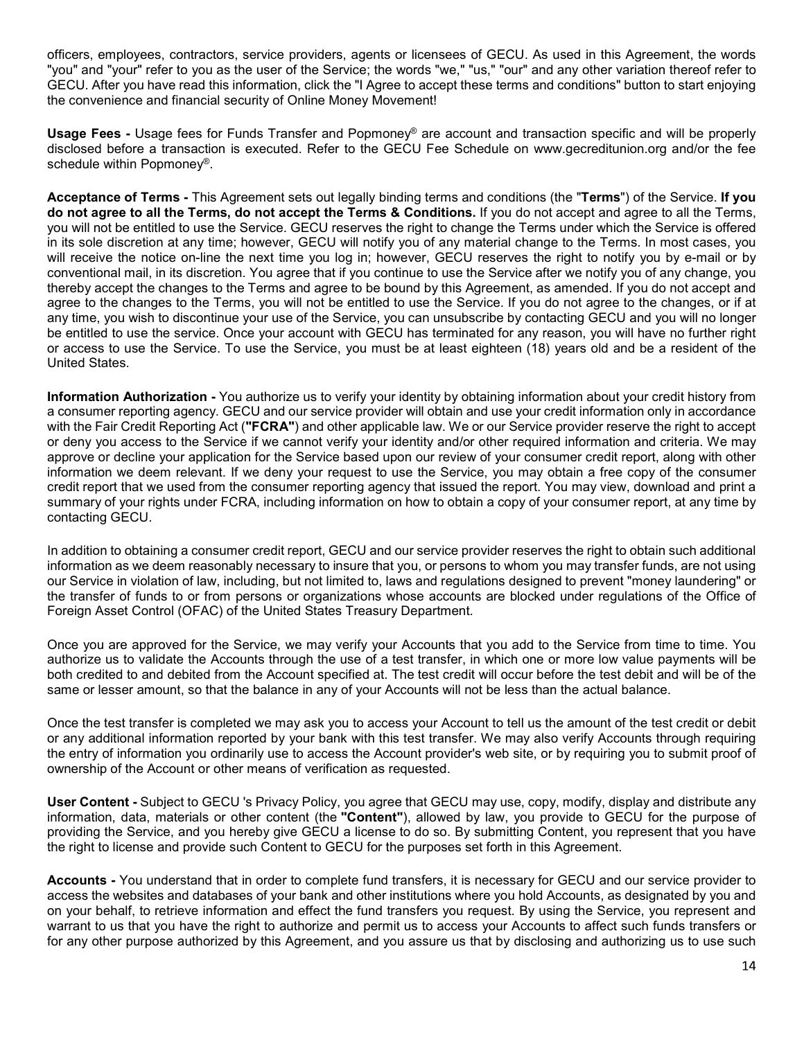officers, employees, contractors, service providers, agents or licensees of GECU. As used in this Agreement, the words "you" and "your" refer to you as the user of the Service; the words "we," "us," "our" and any other variation thereof refer to GECU. After you have read this information, click the "I Agree to accept these terms and conditions" button to start enjoying the convenience and financial security of Online Money Movement! officers, employees, contractors, service providers, agents or licensees of GECU. As used in this Agreement, the words<br>"you" and "your" refer to you as the user of the Service; the words "we," "us," "our" and any other var

disclosed before a transaction is executed. Refer to the GECU Fee Schedule on www.gecreditunion.org and/or the fee

officers, employees, contractors, service providers, agents or licensees of GECU. As used in this Agreement, the words<br>"you" and "your" refer to you as the user of the Service; the words "we," "us," "our" and any other var do not agree to all the Terms, do not accept the Terms & Conditions. If you do not accept and agree to all the Terms, you will not be entitled to use the Service. GECU reserves the right to change the Terms under which the Service is offered in its sole discretion at any time; however, GECU will notify you of any material change to the Terms. In most cases, you will receive the notice on-line the next time you log in; however, GECU reserves the right to notify you by e-mail or by conventional mail, in its discretion. You agree that if you continue to use the Service after we notify you of any change, you thereby accept the changes to the Terms and agree to be bound by this Agreement, as amended. If you do not accept and agree to the changes to the Terms, you will not be entitled to use the Service. If you do not agree to the changes, or if at any time, you wish to discontinue your use of the Service, you can unsubscribe by contacting GECU and you will no longer be entitled to use the service. Once your account with GECU has terminated for any reason, you will have no further right or access to use the Service. To use the Service, you must be at least eighteen (18) years old and be a resident of the United States. omicers, employees, contractors, service providers, agents or necreases or useual many apprenents, men words whenever the Service (the CECU. Are you and my other warishon thereof refer to GECU. After you have read this inf do not agree to all the Terms, do not accept the Terms & Conditions. If you do not accept and agree to all the Terms<br>in its sole discretion at any time; however, GECU userves the right to charge the Terms under which the S

a consumer reporting agency. GECU and our service provider will obtain and use your credit information only in accordance with the Fair Credit Reporting Act ("FCRA") and other applicable law. We or our Service provider reserve the right to accept or deny you access to the Service if we cannot verify your identity and/or other required information and criteria. We may approve or decline your application for the Service based upon our review of your consumer credit report, along with other information we deem relevant. If we deny your request to use the Service, you may obtain a free copy of the consumer credit report that we used from the consumer reporting agency that issued the report. You may view, download and print a summary of your rights under FCRA, including information on how to obtain a copy of your consumer report, at any time by contacting GECU. in its sole discretion at any time; however, GECU and uniformy our of any material change to the Terms. In most cases, you<br>indirective the single, in its discretion. You agree that if you continue to use the Service after Information Authorization - You authorize us to verify your identity by obtaining information about your credit has consume reporting agency. GECU and our service provide revorded monthloformation only in accordance of or

information as we deem reasonably necessary to insure that you, or persons to whom you may transfer funds, are not using the transfer of funds to or from persons or organizations whose accounts are blocked under regulations of the Office of Foreign Asset Control (OFAC) of the United States Treasury Department. spectro to the user of the Accounts for the venture of the Content of the represent that we are the state of the priority. The content represent represent represent that we use to the properties of the consumer report, the In addition to obtaining a consumer credit report. GECU and our service provider reserves the right to obtain such additional information as we deem reasonably necessary to insure further and transfers are ont using<br>not Ge

Once you are approved for the Service, we may verify your Accounts that you add to the Service from time to time. You authorize us to validate the Accounts through the use of a test transfer, in which one or more low value payments will be both credited to and debited from the Account specified at. The test credit will occur before the test debit and will be of the same or lesser amount, so that the balance in any of your Accounts will not be less than the actual balance.

or any additional information reported by your bank with this test transfer. We may also verify Accounts through requiring the entry of information you ordinarily use to access the Account provider's web site, or by requiring you to submit proof of ownership of the Account or other means of verification as requested.

information, data, materials or other content (the "Content"), allowed by law, you provide to GECU for the purpose of providing the Service, and you hereby give GECU a license to do so. By submitting Content, you represent that you have the right to license and provide such Content to GECU for the purposes set forth in this Agreement.

access the websites and databases of your bank and other institutions where you hold Accounts, as designated by you and on your behalf, to retrieve information and effect the fund transfers you request. By using the Service, you represent and warrant to us that you have the right to authorize and permit us to access your Accounts to affect such funds transfers or for any other purpose authorized by this Agreement, and you assure us that by disclosing and authorizing us to use such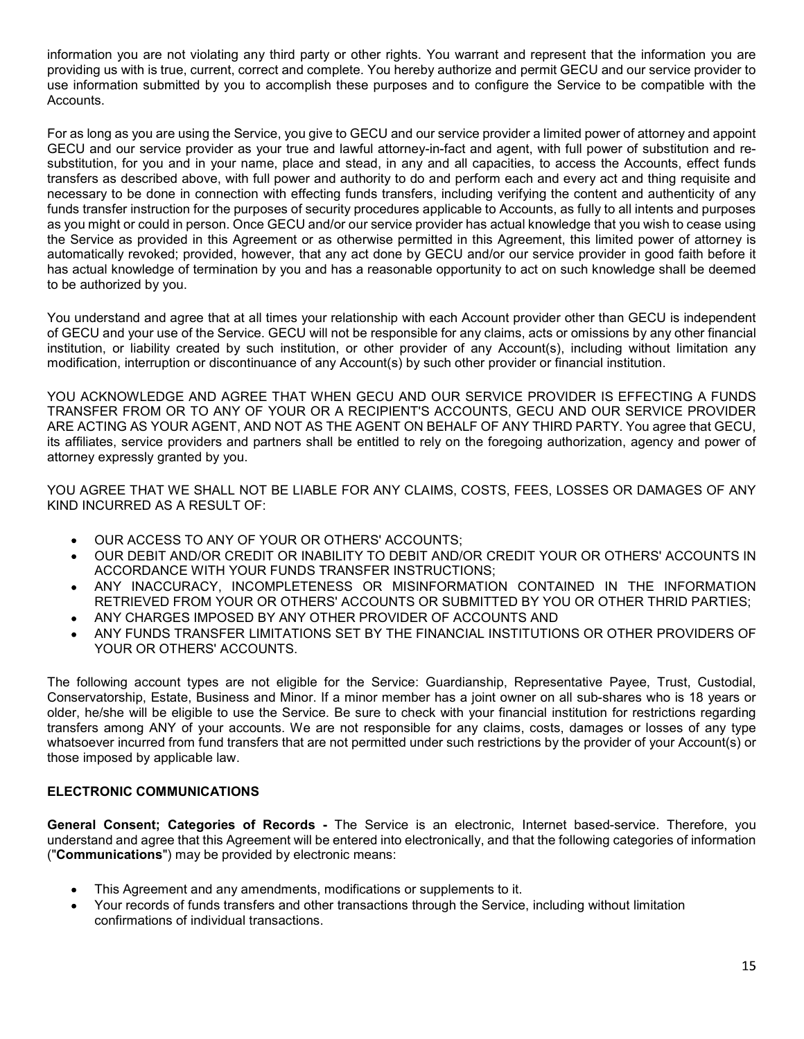information you are not violating any third party or other rights. You warrant and represent that the information you are providing us with is true, current, correct and complete. You hereby authorize and permit GECU and our service provider to use information submitted by you to accomplish these purposes and to configure the Service to be compatible with the Accounts.

For as long as you are using the Service, you give to GECU and our service provider a limited power of attorney and appoint information you are not violating any third party or other rights. You warrant and represent that the information you are provider to use information submitted by you to accomplish these purposes and to configure the Servi substitution, for you and in your name, place and stead, in any and all capacities, to access the Accounts, effect funds transfers as described above, with full power and authority to do and perform each and every act and thing requisite and necessary to be done in connection with effecting funds transfers, including verifying the content and authenticity of any<br>funds transfer instruction for the purposes of security procedures applicable to Accounts, as fully information you are not violating any third party or other rights. You warrant and represent that the information you are<br>providing us with is true, current, correct and complete. You hereby authorize and permit GECU and o as you might or could in person. Once GECU and/or our service provider has actual knowledge that you wish to cease using the Service as provided in this Agreement or as otherwise permitted in this Agreement, this limited power of attorney is automatically revoked; provided, however, that any act done by GECU and/or our service provider in good faith before it has actual knowledge of termination by you and has a reasonable opportunity to act on such knowledge shall be deemed to be authorized by you. GECU and our service provider as your two and through and the marked and agent, with tull power of substitution, for you and in your and in your and the strates and steps. In any and all capacities, to access the Accounts,

You understand and agree that at all times your relationship with each Account provider other than GECU is independent of GECU and your use of the Service. GECU will not be responsible for any claims, acts or omissions by any other financial institution, or liability created by such institution, or other provider of any Account(s), including without limitation any modification, interruption or discontinuance of any Account(s) by such other provider or financial institution.

YOU ACKNOWLEDGE AND AGREE THAT WHEN GECU AND OUR SERVICE PROVIDER IS EFFECTING A FUNDS TRANSFER FROM OR TO ANY OF YOUR OR A RECIPIENT'S ACCOUNTS, GECU AND OUR SERVICE PROVIDER ARE ACTING AS YOUR AGENT, AND NOT AS THE AGENT ON BEHALF OF ANY THIRD PARTY. You agree that GECU, its affiliates, service providers and partners shall be entitled to rely on the foregoing authorization, agency and power of attorney expressly granted by you. ial knowledge of termination by you and has a reasonable opportunity to act on such knowledge shall be deened<br>thorized by you.<br>Therapy and and gare that at all times your relationship with each Account provider other than

KIND INCURRED AS A RESULT OF:

- OUR ACCESS TO ANY OF YOUR OR OTHERS' ACCOUNTS;
- OUR DEBIT AND/OR CREDIT OR INABILITY TO DEBIT AND/OR CREDIT YOUR OR OTHERS' ACCOUNTS IN ACCORDANCE WITH YOUR FUNDS TRANSFER INSTRUCTIONS;
- ANY INACCURACY, INCOMPLETENESS OR MISINFORMATION CONTAINED IN THE INFORMATION
- ANY CHARGES IMPOSED BY ANY OTHER PROVIDER OF ACCOUNTS AND
- ANY FUNDS TRANSFER LIMITATIONS SET BY THE FINANCIAL INSTITUTIONS OR OTHER PROVIDERS OF YOUR OR OTHERS' ACCOUNTS.

The following account types are not eligible for the Service: Guardianship, Representative Payee, Trust, Custodial, Conservatorship, Estate, Business and Minor. If a minor member has a joint owner on all sub-shares who is 18 years or older, he/she will be eligible to use the Service. Be sure to check with your financial institution for restrictions regarding transfers among ANY of your accounts. We are not responsible for any claims, costs, damages or losses of any type whatsoever incurred from fund transfers that are not permitted under such restrictions by the provider of your Account(s) or those imposed by applicable law. attorney expressly granted by you.<br>
YOU AGREE THAT WE SHALL NOT BE LIABLE FOR ANY CLAIMS, COSTS, FEES, LOGYNTHAT WE SHALL NOT BE LIABLE FOR ANY CLAIMS, COSTS, FEES, LOGYNTHAT IN COUR DEBIT AND ONE OREDIT YOU CORNITY TO DEB YOU AGREE THAT WE SHALL NOT BE LIABLE FOR ANY CLAIMS, COSTS, FEES, LOSSES OR DAMAGES OF ANY<br>
CUIR ACCESS TO ANY OF YOUR OR OTHERS ACCOUNTS;<br>
• OUR ACCESS TO ANY OF YOUR OR OTHERS ACCOUNTS;<br>
• ACCORDANCE WITH YOUR PRODUCTOR

understand and agree that this Agreement will be entered into electronically, and that the following categories of information ("Communications") may be provided by electronic means:

- This Agreement and any amendments, modifications or supplements to it.
- Your records of funds transfers and other transactions through the Service, including without limitation confirmations of individual transactions.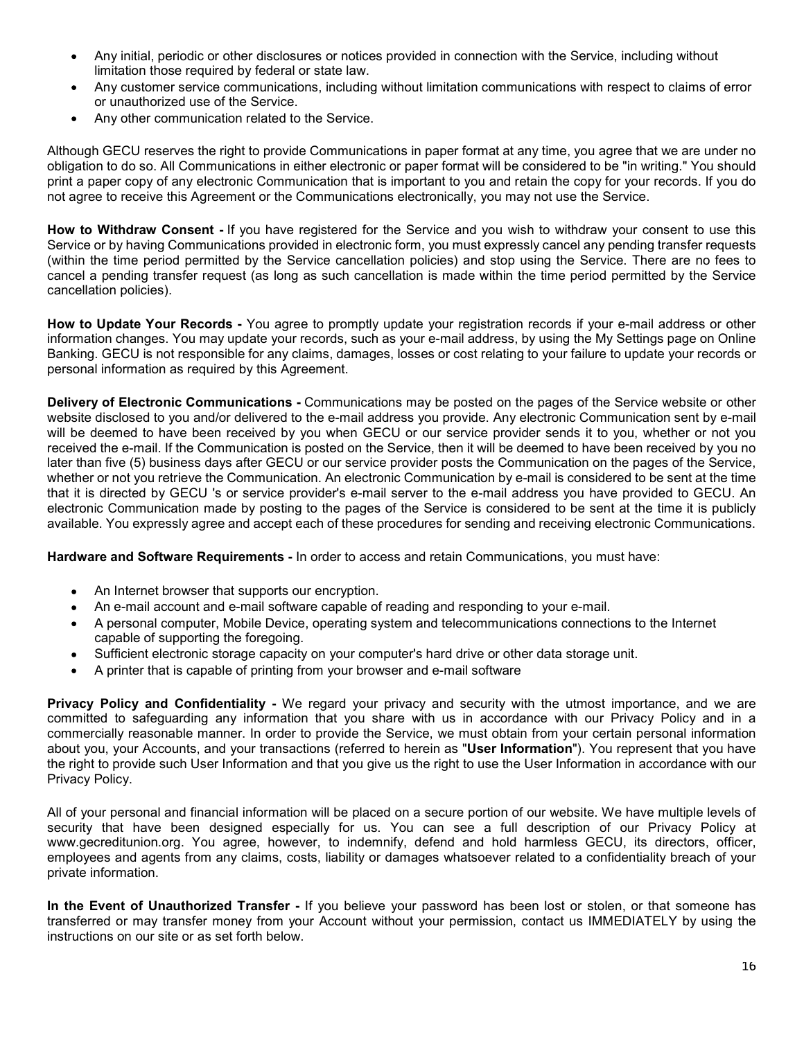- Any initial, periodic or other disclosures or notices provided in connection with the Service, including without limitation those required by federal or state law.
- Any customer service communications, including without limitation communications with respect to claims of error
- Any other communication related to the Service.

Any initial, periodic or other disclosures or notices provided in connection with the Service, includi<br>limitation those required by federal or state law.<br>Any customer service communications, including without limitation co Although GECU reserves the right to provide Communications in paper format at any time, you agree that we are under no obligation to do so. All Communications in either electronic or paper format will be considered to be "in writing." You should print a paper copy of any electronic Communication that is important to you and retain the copy for your records. If you do not agree to receive this Agreement or the Communications electronically, you may not use the Service.

How to Withdraw Consent - If you have registered for the Service and you wish to withdraw your consent to use this Service or by having Communications provided in electronic form, you must expressly cancel any pending transfer requests (within the time period permitted by the Service cancellation policies) and stop using the Service. There are no fees to cancel a pending transfer request (as long as such cancellation is made within the time period permitted by the Service • Any initial, periodic or other disclosures or notices provided in connection with<br>
ilmitation those required by federal or state law.<br>
• Any customer service communications, including without limitation communicat<br>
or un

How to Update Your Records - You agree to promptly update your registration records if your e-mail address or other information changes. You may update your records, such as your e-mail address, by using the My Settings page on Online Banking. GECU is not responsible for any claims, damages, losses or cost relating to your failure to update your records or personal information as required by this Agreement.

Imitation those required by federal or state law.<br>
Any customer service communications, including without limitation communications with respect to claims of error<br>
Any other communication related to the Service.<br>
Any othe website disclosed to you and/or delivered to the e-mail address you provide. Any electronic Communication sent by e-mail will be deemed to have been received by you when GECU or our service provider sends it to you, whether or not you received the e-mail. If the Communication is posted on the Service, then it will be deemed to have been received by you no later than five (5) business days after GECU or our service provider posts the Communication on the pages of the Service, Although GECU reserves the right to provide Communications in paper format at any time, you agree that we are under not<br>obtigation to do so. All Communications in either electronic or paper format will be considered to be that it is directed by GECU 's or service provider's e-mail server to the e-mail address you have provided to GECU. An electronic Communication made by posting to the pages of the Service is considered to be sent at the time it is publicly available. You expressly agree and accept each of these procedures for sending and receiving electronic Communications. The policies).<br>
Update Your Records - You agree to promptly update your registration records if your e-mail address or other<br>
Information shares, You may update your records, such as your e-mail address, by using the My Se personal information as required by this Agreement.<br> **Delivery of Electronic Communications -** Communications are permetric communication sent by e-mail<br>
website disclosed to you and/or delivered to the e-mail address you **Delivery of Electronic Communications - Communications may be posted on the pages of the Service website or other<br>website disclosed to you and/or delivered to the e-mail address you provide. Any electronic Communication s** 

Hardware and Software Requirements - In order to access and retain Communications, you must have:

- An Internet browser that supports our encryption.
- An e-mail account and e-mail software capable of reading and responding to your e-mail.
- capable of supporting the foregoing.
- Sufficient electronic storage capacity on your computer's hard drive or other data storage unit.
- A printer that is capable of printing from your browser and e-mail software

committed to safeguarding any information that you share with us in accordance with our Privacy Policy and in a about you, your Accounts, and your transactions (referred to herein as "User Information"). You represent that you have the right to provide such User Information and that you give us the right to use the User Information in accordance with our Privacy Policy. available. You expressly agree and accept each of these procedures for sending and receiving electronic Communications.<br>
Hardware and Software Requirements - In order to access and retain Communications, you must have:<br>
An **An Internet browser that supports our encryption.** An e-mail account and e-mail software capable of reading and responding to your e-mail.<br>
A personal computer, Mobile Device, operating system and telecommunications conne

All of your personal and financial information will be placed on a secure portion of our website. We have multiple levels of security that have been designed especially for us. You can see a full description of our Privacy Policy at www.gecreditunion.org. You agree, however, to indemnify, defend and hold harmless GECU, its directors, officer, private information.

transferred or may transfer money from your Account without your permission, contact us IMMEDIATELY by using the instructions on our site or as set forth below.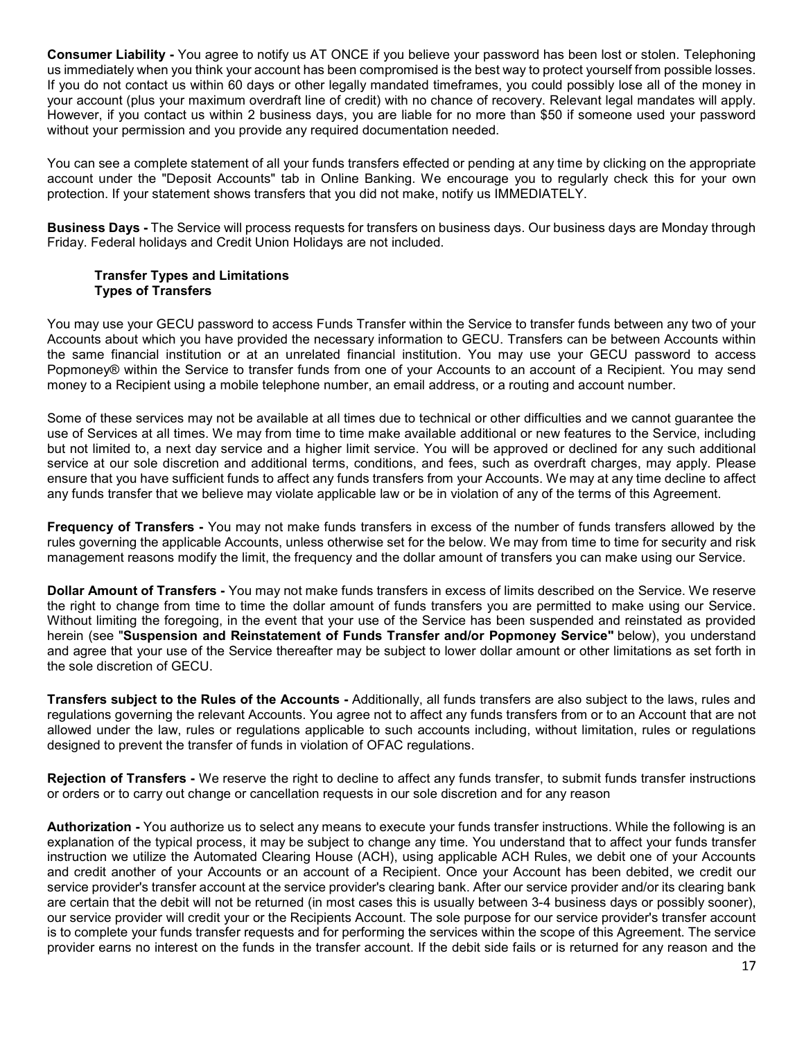**Consumer Liability -** You agree to notify us AT ONCE if you believe your password has been lost or stolen. Telephoning us immediately when you think your account has been compromised is the best way to protect yourself fr us immediately when you think your account has been compromised is the best way to protect yourself from possible losses. If you do not contact us within 60 days or other legally mandated timeframes, you could possibly lose all of the money in your account (plus your maximum overdraft line of credit) with no chance of recovery. Relevant legal mandates will apply. However, if you contact us within 2 business days, you are liable for no more than \$50 if someone used your password without your permission and you provide any required documentation needed. Consumer Liability - You agree to notify us AT ONCE if you believe your password has been lost or stolen. Telephoning<br>us immediately when you think your account has been compromised is the best way to protect yourself from

You can see a complete statement of all your funds transfers effected or pending at any time by clicking on the appropriate account under the "Deposit Accounts" tab in Online Banking. We encourage you to regularly check this for your own protection. If your statement shows transfers that you did not make, notify us IMMEDIATELY.

Friday. Federal holidays and Credit Union Holidays are not included.

## Transfer Types and Limitations Types of Transfers

You may use your GECU password to access Funds Transfer within the Service to transfer funds between any two of your Accounts about which you have provided the necessary information to GECU. Transfers can be between Accounts within the same financial institution or at an unrelated financial institution. You may use your GECU password to access Popmoney® within the Service to transfer funds from one of your Accounts to an account of a Recipient. You may send money to a Recipient using a mobile telephone number, an email address, or a routing and account number.

Some of these services may not be available at all times due to technical or other difficulties and we cannot guarantee the use of Services at all times. We may from time to time make available additional or new features to the Service, including but not limited to, a next day service and a higher limit service. You will be approved or declined for any such additional service at our sole discretion and additional terms, conditions, and fees, such as overdraft charges, may apply. Please ensure that you have sufficient funds to affect any funds transfers from your Accounts. We may at any time decline to affect any funds transfer that we believe may violate applicable law or be in violation of any of the terms of this Agreement. protection. If your statement shows transfers that you did not make, notify us IMMEDIATELY.<br>
Business Days - The Service will process requests for transfers on business days. Our business days are Monday through<br>
Friday. F

rules governing the applicable Accounts, unless otherwise set for the below. We may from time to time for security and risk management reasons modify the limit, the frequency and the dollar amount of transfers you can make using our Service.

Transfer Types and Limitations<br>
Transfer Types and Limitations<br>
You may use your GECU password to access Funds Transfer within the Service to transfers can be between any two of your<br>
Accounts about which you have provided the right to change from time to time the dollar amount of funds transfers you are permitted to make using our Service. Without limiting the foregoing, in the event that your use of the Service has been suspended and reinstated as provided herein (see "Suspension and Reinstatement of Funds Transfer and/or Popmoney Service" below), you understand and agree that your use of the Service thereafter may be subject to lower dollar amount or other limitations as set forth in the sole discretion of GECU. Transfers in institution of the Rules of the Service to first the Rules of the Accounts of the Replent of the Replent Nour may send on Pepronans/9 within the Service to transfer tunes the momen of your Accounts to an accou repunsive when in evertive to its and relevant and relevant Accounts are a state of the relevant Account The relevant Account Account The relevant Account Account The Counter of the Same of Services at all times due to the Les the transfers and metallities of the Accounts - Additional was the value of the right to the right to the right to the right to the right to the right to the right to the right to the right to the right to the right to

allowed under the law, rules or regulations applicable to such accounts including, without limitation, rules or regulations designed to prevent the transfer of funds in violation of OFAC regulations.

or orders or to carry out change or cancellation requests in our sole discretion and for any reason

any funds transfer that we believe may violate applicable law or be in violation of any of the terms of this Agreement.<br>**Frequency of Transfers** - You may not make funds transfers in excess of the number of funds transfers explanation of the typical process, it may be subject to change any time. You understand that to affect your funds transfer instruction we utilize the Automated Clearing House (ACH), using applicable ACH Rules, we debit one of your Accounts and credit another of your Accounts or an account of a Recipient. Once your Account has been debited, we credit our service provider's transfer account at the service provider's clearing bank. After our service provider and/or its clearing bank are certain that the debit will not be returned (in most cases this is usually between 3-4 business days or possibly sooner), our service provider will credit your or the Recipients Account. The sole purpose for our service provider's transfer account is to complete your funds transfer requests and for performing the services within the scope of this Agreement. The service provider earns no interest on the funds in the transfer account. If the debit side fails or is returned for any reason and the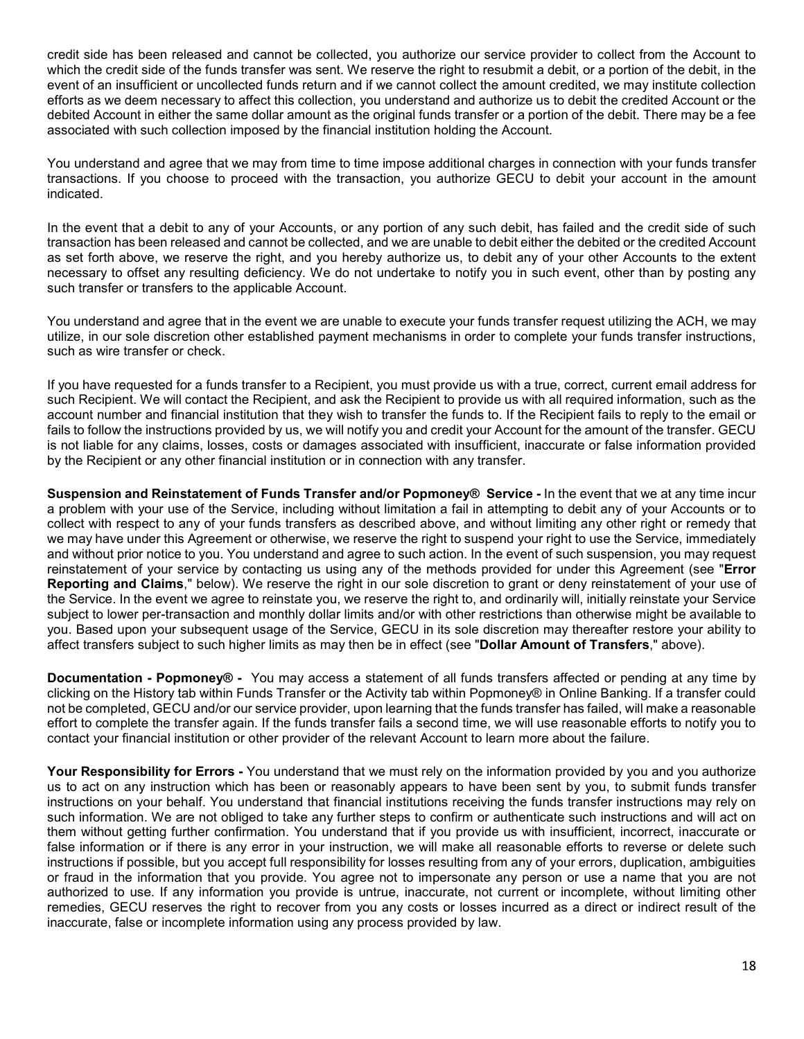credit side has been released and cannot be collected, you authorize our service provider to collect from the Account to<br>which the credit side of the funds transfer was sent. We reserve the right to resubmit a debit, or a credit side has been released and cannot be collected, you authorize our service provider to collect from the Account to<br>which the credit side of the funds transfer was sent. We reserve the right to resubmit a debit, or a event of an insufficient or uncollected funds return and if we cannot collect the amount credited, we may institute collection efforts as we deem necessary to affect this collection, you understand and authorize us to debit the credited Account or the debited Account in either the same dollar amount as the original funds transfer or a portion of the debit. There may be a fee associated with such collection imposed by the financial institution holding the Account.

You understand and agree that we may from time to time impose additional charges in connection with your funds transfer transactions. If you choose to proceed with the transaction, you authorize GECU to debit your account in the amount indicated.

In the event that a debit to any of your Accounts, or any portion of any such debit, has failed and the credit side of such transaction has been released and cannot be collected, and we are unable to debit either the debited or the credited Account as set forth above, we reserve the right, and you hereby authorize us, to debit any of your other Accounts to the extent necessary to offset any resulting deficiency. We do not undertake to notify you in such event, other than by posting any such transfer or transfers to the applicable Account.

You understand and agree that in the event we are unable to execute your funds transfer request utilizing the ACH, we may utilize, in our sole discretion other established payment mechanisms in order to complete your funds transfer instructions, such as wire transfer or check.

If you have requested for a funds transfer to a Recipient, you must provide us with a true, correct, current email address for such Recipient. We will contact the Recipient, and ask the Recipient to provide us with all required information, such as the account number and financial institution that they wish to transfer the funds to. If the Recipient fails to reply to the email or fails to follow the instructions provided by us, we will notify you and credit your Account for the amount of the transfer. GECU is not liable for any claims, losses, costs or damages associated with insufficient, inaccurate or false information provided by the Recipient or any other financial institution or in connection with any transfer.

You understand and agree that we may from time to time impose additional charges in connection with your funds transfer transmaction. If you choose to proceed with the transaction, you authorize GECU to debit your account a problem with your use of the Service, including without limitation a fail in attempting to debit any of your Accounts or to collect with respect to any of your funds transfers as described above, and without limiting any other right or remedy that we may have under this Agreement or otherwise, we reserve the right to suspend your right to use the Service, immediately In the event that a debit to any of your Accounts, or any portion of any such debit, has failed and the credit side of such<br>transaction has been released and cannot be collected, and we are unable to debit elithe the debit reinstatement of your service by contacting us using any of the methods provided for under this Agreement (see "Error Reporting and Claims," below). We reserve the right in our sole discretion to grant or deny reinstatement of your use of the Service. In the event we agree to reinstate you, we reserve the right to, and ordinarily will, initially reinstate your Service necessary to offset any resulting delicioney. We control through the subject to monthly dollar the subject to monthly be the subject to the subject to the applicable Account.<br>You understand and agree that in the event we a you. Based upon your subsequent usage of the Service, GECU in its sole discretion may thereafter restore your ability to affect transfers subject to such higher limits as may then be in effect (see "Dollar Amount of Transfers," above). utilitye, in our sole exerged onter established payment mechanisms in order to compilee your tunos transfer instructions,<br>they us have requested for a funds transfer to a Recipient, you must provide us with a true, correct Traits to forlow in the traits are one of the responsed by us, we will not the final matter in the traits are constructed by the Recipient or any other final call institution or in connection with any transfer. Sectival by

clicking on the History tab within Funds Transfer or the Activity tab within Popmoney® in Online Banking. If a transfer could not be completed, GECU and/or our service provider, upon learning that the funds transfer has failed, will make a reasonable effort to complete the transfer again. If the funds transfer fails a second time, we will use reasonable efforts to notify you to contact your financial institution or other provider of the relevant Account to learn more about the failure.

us to act on any instruction which has been or reasonably appears to have been sent by you, to submit funds transfer instructions on your behalf. You understand that financial institutions receiving the funds transfer instructions may rely on such information. We are not obliged to take any further steps to confirm or authenticate such instructions and will act on them without getting further confirmation. You understand that if you provide us with insufficient, incorrect, inaccurate or false information or if there is any error in your instruction, we will make all reasonable efforts to reverse or delete such instructions if possible, but you accept full responsibility for losses resulting from any of your errors, duplication, ambiguities we may have under this Agreement or chtenwise, we researve the right to suspend your right to use the Service, immediately increding to the methods provide for under the increding term reinstalarement of your may request r authorized to use. If any information you provide is untrue, inaccurate, not current or incomplete, without limiting other remedies, GECU reserves the right to recover from you any costs or losses incurred as a direct or indirect result of the inaccurate, false or incomplete information using any process provided by law.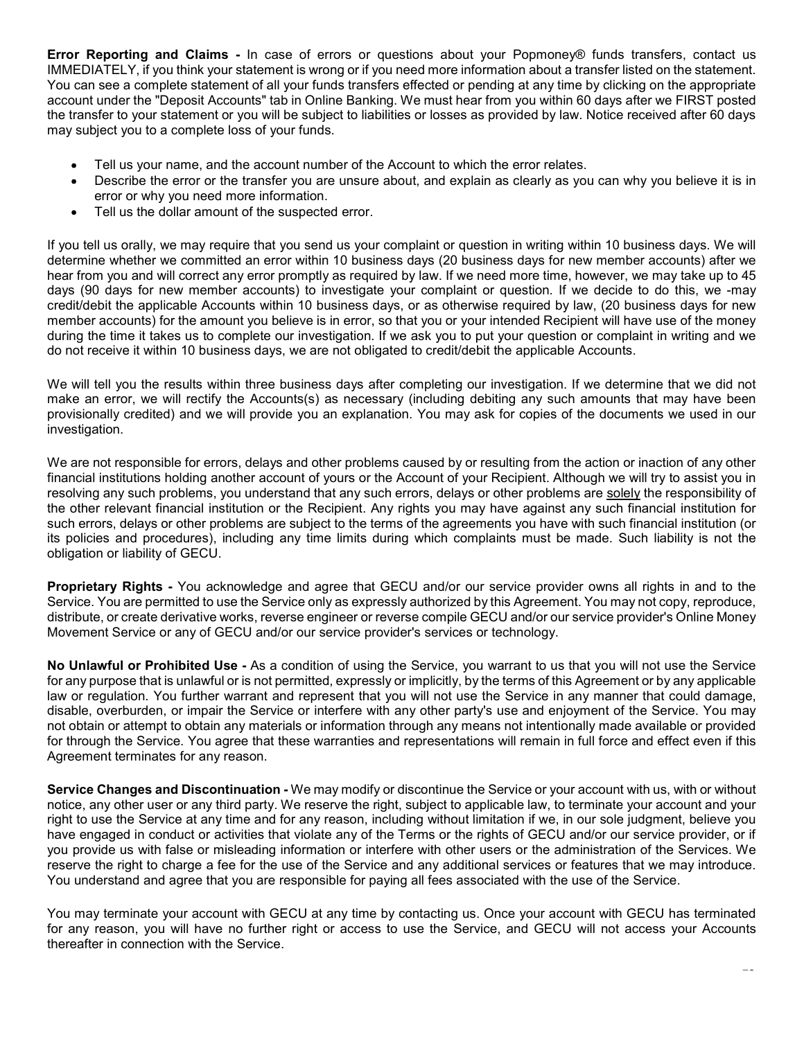Error Reporting and Claims - In case of errors or questions about your Popmoney® funds transfers, contact us<br>IMMEDIATELY, if you think your statement is wrong or if you need more information about a transfer listed on the IMMEDIATELY, if you think your statement is wrong or if you need more information about a transfer listed on the statement. You can see a complete statement of all your funds transfers effected or pending at any time by clicking on the appropriate account under the "Deposit Accounts" tab in Online Banking. We must hear from you within 60 days after we FIRST posted the transfer to your statement or you will be subject to liabilities or losses as provided by law. Notice received after 60 days may subject you to a complete loss of your funds. eporting and Claims - In case of errors or questions about your Popmoney® field ATELY, if you think your statement is wrong or if you need more information about a tran see a complete statement of all your funds transfers

- Tell us your name, and the account number of the Account to which the error relates.
- Describe the error or the transfer you are unsure about, and explain as clearly as you can why you believe it is in
- Tell us the dollar amount of the suspected error.

If you tell us orally, we may require that you send us your complaint or question in writing within 10 business days. We will **Error Reporting and Claims** - In case of errors or questions about your Popmoney® funds transfers, contact us<br>YMMEDIATELY, if you think your statement is wrong or if you need more information about a transfer listed on t hear from you and will correct any error promptly as required by law. If we need more time, however, we may take up to 45 days (90 days for new member accounts) to investigate your complaint or question. If we decide to do this, we -may credit/debit the applicable Accounts within 10 business days, or as otherwise required by law, (20 business days for new member accounts) for the amount you believe is in error, so that you or your intended Recipient will have use of the money during the time it takes us to complete our investigation. If we ask you to put your question or complaint in writing and we do not receive it within 10 business days, we are not obligated to credit/debit the applicable Accounts. Fell us your name, and the account number of the Account to which the error relates.<br>
• Describe the error or the transfer you are unsure about, and explain as clearly as you can why you believe it is in<br>
error or why you If you tell us orally, we may reculter that you serve this your contplaint or duestine in twitten in to business asys. We will then the section that the detection in the denter from you dand will correct any enter from you

We will tell you the results within three business days after completing our investigation. If we determine that we did not make an error, we will rectify the Accounts(s) as necessary (including debiting any such amounts that may have been provisionally credited) and we will provide you an explanation. You may ask for copies of the documents we used in our investigation.

We are not responsible for errors, delays and other problems caused by or resulting from the action or inaction of any other financial institutions holding another account of yours or the Account of your Recipient. Although we will try to assist you in the other relevant financial institution or the Recipient. Any rights you may have against any such financial institution for such errors, delays or other problems are subject to the terms of the agreements you have with such financial institution (or its policies and procedures), including any time limits during which complaints must be made. Such liability is not the obligation or liability of GECU. noring the accounts) on the antiver who versive is not only a whore the Service of the Service is the Service to the Service Condition of the Service of the Service of the Service Big and the Disting the Service plus and t We are not responsible for errors, delays and other problems caused by or resulting from the action or instanction for any the minimation institutions holding another account of yours or the Account of your Recipent. Altho

Service. You are permitted to use the Service only as expressly authorized by this Agreement. You may not copy, reproduce, distribute, or create derivative works, reverse engineer or reverse compile GECU and/or our service provider's Online Money Movement Service or any of GECU and/or our service provider's services or technology.

for any purpose that is unlawful or is not permitted, expressly or implicitly, by the terms of this Agreement or by any applicable law or regulation. You further warrant and represent that you will not use the Service in any manner that could damage, disable, overburden, or impair the Service or interfere with any other party's use and enjoyment of the Service. You may not obtain or attempt to obtain any materials or information through any means not intentionally made available or provided for through the Service. You agree that these warranties and representations will remain in full force and effect even if this Agreement terminates for any reason.

notice, any other user or any third party. We reserve the right, subject to applicable law, to terminate your account and your right to use the Service at any time and for any reason, including without limitation if we, in our sole judgment, believe you have engaged in conduct or activities that violate any of the Terms or the rights of GECU and/or our service provider, or if you provide us with false or misleading information or interfere with other users or the administration of the Services. We reserve the right to charge a fee for the use of the Service and any additional services or features that we may introduce. You understand and agree that you are responsible for paying all fees associated with the use of the Service. **Proprietary Rights - You acknowledge and agree that GECU and/or our service provider owns all rights in and to the Service, You are perminted to use the Service of varia permember of the Minemath C with Agreement (You may** 

for any reason, you will have no further right or access to use the Service, and GECU will not access your Accounts thereafter in connection with the Service.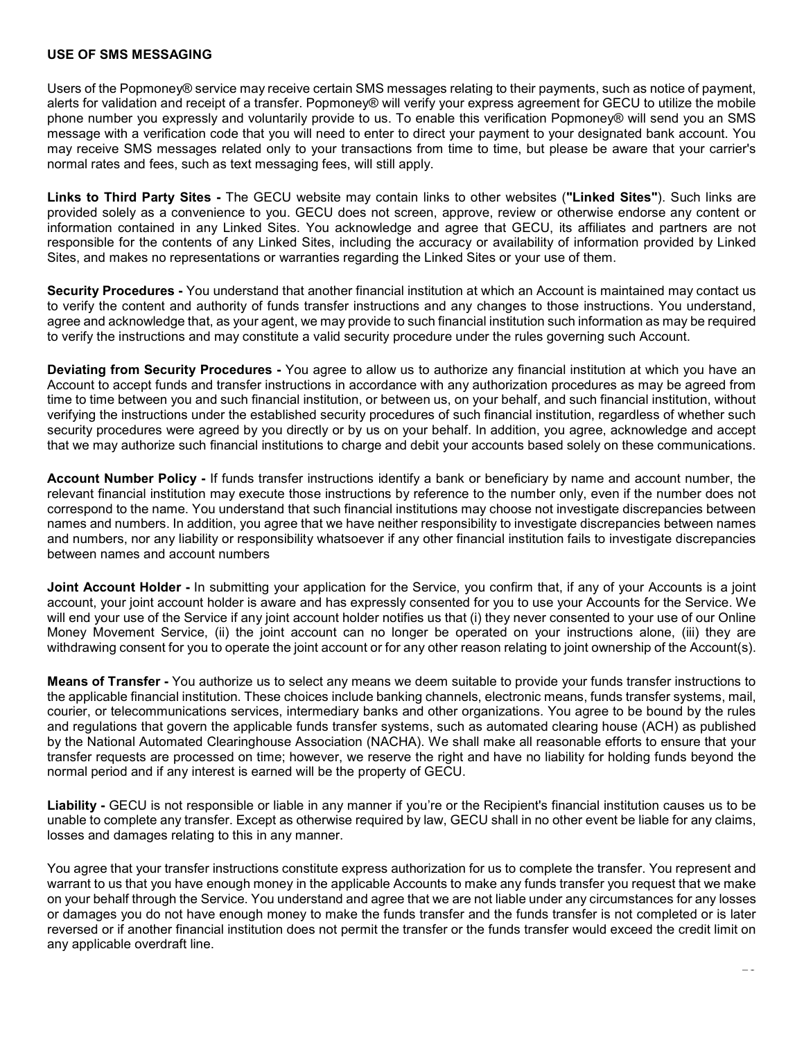### USE OF SMS MESSAGING

USE OF SMS MESSAGING<br>Users of the Popmoney® service may receive certain SMS messages relating to their payments, such as notice of payment,<br>alerts for validation and receipt of a transfer. Popmoney® will verify your expre alerts for validation and receipt of a transfer. Popmoney® will verify your express agreement for GECU to utilize the mobile USE OF SMS MESSAGING<br>Users of the Popmoney® service may receive certain SMS messages relating to their payments, such as notice of payment,<br>alerts for validation and receipt of a transfer. Popmoney® will verify your expres message with a verification code that you will need to enter to direct your payment to your designated bank account. You may receive SMS messages related only to your transactions from time to time, but please be aware that your carrier's normal rates and fees, such as text messaging fees, will still apply. USE OF SMS MESSAGING<br>Users of the Popmoney® service may receive certain SMS messages relating to their payments, such as notice of payment,<br>alerts for validation and receipt of a transfer. Popmoney® will verify your expres USE OF SMS MESSAGING<br>Users of the Popmoney® service may receive certain SMS messages relating to their payments, such as notice of payment,<br>alierts for validation and receipt of a transfer. Popmoney® will verify your expre

provided solely as a convenience to you. GECU does not screen, approve, review or otherwise endorse any content or information contained in any Linked Sites. You acknowledge and agree that GECU, its affiliates and partners are not responsible for the contents of any Linked Sites, including the accuracy or availability of information provided by Linked Sites, and makes no representations or warranties regarding the Linked Sites or your use of them.

to verify the content and authority of funds transfer instructions and any changes to those instructions. You understand, agree and acknowledge that, as your agent, we may provide to such financial institution such information as may be required to verify the instructions and may constitute a valid security procedure under the rules governing such Account.

USE OF SMS MESSAGING<br>Users of the Popmoney® service may receive certain SMS messages relating to their payments, such as notice of payment,<br>alients for validation and receipt of a transfer. Popmoney® will verify your expre Account to accept funds and transfer instructions in accordance with any authorization procedures as may be agreed from time to time between you and such financial institution, or between us, on your behalf, and such financial institution, without verifying the instructions under the established security procedures of such financial institution, regardless of whether such security procedures were agreed by you directly or by us on your behalf. In addition, you agree, acknowledge and accept that we may authorize such financial institutions to charge and debit your accounts based solely on these communications. Inseased win a venue and sole and you win linear to mean vulnes; you hay need to design winding the sympatical states and fees, such as text messaging fees, will still apply.<br>
Informal rates and fees, such as text messagin is espinalion of the United Control of the Service of the Service and Monaray of the Service Form in submitted in the Security Procedures - You understand that another financial institution at which an Account is maintaine to verify the content and authomity of tunds transfer instructions and any onarge to those instructions. You understand, the hydrogeneer and acknowledge that, as your agent, we may provide to such financial institution suc

relevant financial institution may execute those instructions by reference to the number only, even if the number does not correspond to the name. You understand that such financial institutions may choose not investigate discrepancies between names and numbers. In addition, you agree that we have neither responsibility to investigate discrepancies between names and numbers, nor any liability or responsibility whatsoever if any other financial institution fails to investigate discrepancies between names and account numbers

account, your joint account holder is aware and has expressly consented for you to use your Accounts for the Service. We will end your use of the Service if any joint account holder notifies us that (i) they never consented to your use of our Online Money Movement Service, (ii) the joint account can no longer be operated on your instructions alone, (iii) they are

to venty the instructions and regional of the conductions of the conduction and instrained institution at which the Security Proceduation and the Conduction and which are the select any means of Conduction any the any mean the applicable financial institution. These choices include banking channels, electronic means, funds transfer systems, mail, courier, or telecommunications services, intermediary banks and other organizations. You agree to be bound by the rules and regulations that govern the applicable funds transfer systems, such as automated clearing house (ACH) as published by the National Automated Clearinghouse Association (NACHA). We shall make all reasonable efforts to ensure that your transfer requests are processed on time; however, we reserve the right and have no liability for holding funds beyond the normal period and if any interest is earned will be the property of GECU. Account Number Policy - If funds transfer instructions identify a bank or beneficiary by name and account number, the relevant financial institution may execute those instituctions by reference to the number only. even if isines and numbers, in resolution, you agree that we inster instructions constitute accounts of the Service instruction fails to investigate discrepancies between names and account unithers in substitute in structions cons between rismies and excount numbers<br>
solvent Holder - in submitting your application for the Service, you confirm that, if any of your Accounts for the Service. We<br>
will end your use of the Service if any joint account hol

unable to complete any transfer. Except as otherwise required by law, GECU shall in no other event be liable for any claims, losses and damages relating to this in any manner.

warrant to us that you have enough money in the applicable Accounts to make any funds transfer you request that we make or damages you do not have enough money to make the funds transfer and the funds transfer is not completed or is later reversed or if another financial institution does not permit the transfer or the funds transfer would exceed the credit limit on any applicable overdraft line.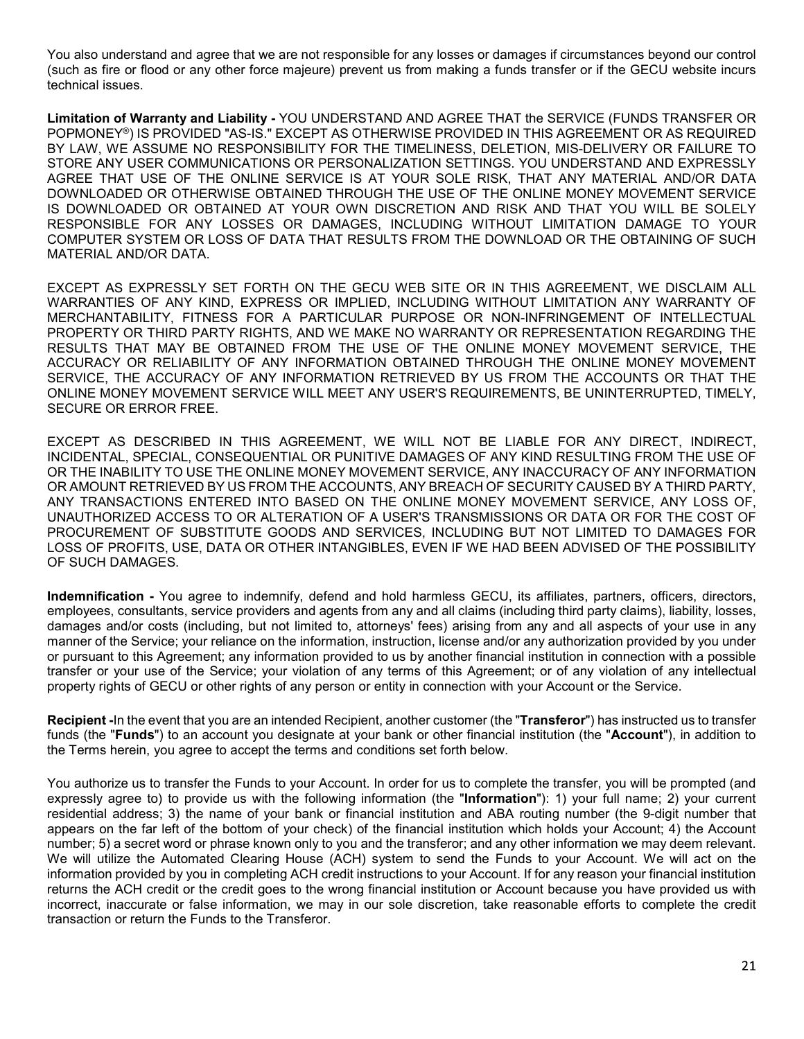You also understand and agree that we are not responsible for any losses or damages if circumstances beyond our control (such as fire or flood or any other force majeure) prevent us from making a funds transfer or if the GECU website incurs technical issues.

You also understand and agree that we are not responsible for any losses or damages if circumstances beyond our control<br>(such as fire or flood or any other force majeure) prevent us from making a funds transfer or if the G POPMONEY®) IS PROVIDED "AS-IS." EXCEPT AS OTHERWISE PROVIDED IN THIS AGREEMENT OR AS REQUIRED BY LAW, WE ASSUME NO RESPONSIBILITY FOR THE TIMELINESS, DELETION, MIS-DELIVERY OR FAILURE TO STORE ANY USER COMMUNICATIONS OR PERSONALIZATION SETTINGS. YOU UNDERSTAND AND EXPRESSLY AGREE THAT USE OF THE ONLINE SERVICE IS AT YOUR SOLE RISK, THAT ANY MATERIAL AND/OR DATA DOWNLOADED OR OTHERWISE OBTAINED THROUGH THE USE OF THE ONLINE MONEY MOVEMENT SERVICE IS DOWNLOADED OR OBTAINED AT YOUR OWN DISCRETION AND RISK AND THAT YOU WILL BE SOLELY RESPONSIBLE FOR ANY LOSSES OR DAMAGES, INCLUDING WITHOUT LIMITATION DAMAGE TO YOUR COMPUTER SYSTEM OR LOSS OF DATA THAT RESULTS FROM THE DOWNLOAD OR THE OBTAINING OF SUCH MATERIAL AND/OR DATA.

EXCEPT AS EXPRESSLY SET FORTH ON THE GECU WEB SITE OR IN THIS AGREEMENT, WE DISCLAIM ALL WARRANTIES OF ANY KIND, EXPRESS OR IMPLIED, INCLUDING WITHOUT LIMITATION ANY WARRANTY OF MERCHANTABILITY, FITNESS FOR A PARTICULAR PURPOSE OR NON-INFRINGEMENT OF INTELLECTUAL PROPERTY OR THIRD PARTY RIGHTS, AND WE MAKE NO WARRANTY OR REPRESENTATION REGARDING THE RESULTS THAT MAY BE OBTAINED FROM THE USE OF THE ONLINE MONEY MOVEMENT SERVICE, THE ACCURACY OR RELIABILITY OF ANY INFORMATION OBTAINED THROUGH THE ONLINE MONEY MOVEMENT SERVICE, THE ACCURACY OF ANY INFORMATION RETRIEVED BY US FROM THE ACCOUNTS OR THAT THE ONLINE MONEY MOVEMENT SERVICE WILL MEET ANY USER'S REQUIREMENTS, BE UNINTERRUPTED, TIMELY, SECURE OR ERROR FREE. MATERNIA ANOUGK DATA.<br>
EXCEPT AS EXPRESSIVY SET FORTH ON THE GECU WEB SITE OR IN THIS AGREEMENT, WE DISCLAIM ALL<br>
EVARERANTIES OF ANY KIND, EXPRESS OR IMPLIED, INCLUDING WITHOUT LIMITATION ANY WARRANTY OF<br>
MERCHANTABILITY,

EXCEPT AS DESCRIBED IN THIS AGREEMENT, WE WILL NOT BE LIABLE FOR ANY DIRECT, INDIRECT, INCIDENTAL, SPECIAL, CONSEQUENTIAL OR PUNITIVE DAMAGES OF ANY KIND RESULTING FROM THE USE OF OR THE INABILITY TO USE THE ONLINE MONEY MOVEMENT SERVICE, ANY INACCURACY OF ANY INFORMATION OR AMOUNT RETRIEVED BY US FROM THE ACCOUNTS, ANY BREACH OF SECURITY CAUSED BY A THIRD PARTY, ANY TRANSACTIONS ENTERED INTO BASED ON THE ONLINE MONEY MOVEMENT SERVICE, ANY LOSS OF, UNAUTHORIZED ACCESS TO OR ALTERATION OF A USER'S TRANSMISSIONS OR DATA OR FOR THE COST OF PROCUREMENT OF SUBSTITUTE GOODS AND SERVICES, INCLUDING BUT NOT LIMITED TO DAMAGES FOR LOSS OF PROFITS, USE, DATA OR OTHER INTANGIBLES, EVEN IF WE HAD BEEN ADVISED OF THE POSSIBILITY OF SUCH DAMAGES. SERIVIDE: The ACCURACY OF ANY INFORMATION KEI MEVEL BY US FROM THE ACCOUNTS ORT THE ACCURD ON THE MATTERT AND MENT THE RECOUNTS ARROR FREE.<br>EXCEPT AS DESCRIBED IN THIS AGREEMENT, WE WILL NOT BE LIABLE FOR ANY DIRECT. INDIR

employees, consultants, service providers and agents from any and all claims (including third party claims), liability, losses, damages and/or costs (including, but not limited to, attorneys' fees) arising from any and all aspects of your use in any manner of the Service; your reliance on the information, instruction, license and/or any authorization provided by you under or pursuant to this Agreement; any information provided to us by another financial institution in connection with a possible transfer or your use of the Service; your violation of any terms of this Agreement; or of any violation of any intellectual property rights of GECU or other rights of any person or entity in connection with your Account or the Service.

funds (the "Funds") to an account you designate at your bank or other financial institution (the "Account"), in addition to the Terms herein, you agree to accept the terms and conditions set forth below.

You authorize us to transfer the Funds to your Account. In order for us to complete the transfer, you will be prompted (and expressly agree to) to provide us with the following information (the "Information"): 1) your full name; 2) your current residential address; 3) the name of your bank or financial institution and ABA routing number (the 9-digit number that appears on the far left of the bottom of your check) of the financial institution which holds your Account; 4) the Account number; 5) a secret word or phrase known only to you and the transferor; and any other information ANN TRANSACTIONS EVITER GOODS AND BASED ON THE UNIME MOVER WOVERNOT SERVICE, ANY LUSS OT,<br>FROCUREMENT OF SUBSTITUITE GOODS AND SERVICES, INCLUDING BUT NOT LIMITED TO DAMAGES<br>COURNEL COST OF PROFITS. USE, DATA OR OTHER INTA We will utilize the Automated Clearing House (ACH) system to send the Funds to your Account. We will act on the information provided by you in completing ACH credit instructions to your Account. If for any reason your financial institution returns the ACH credit or the credit goes to the wrong financial institution or Account because you have provided us with incorrect, inaccurate or false information, we may in our sole discretion, take reasonable efforts to complete the credit transaction or return the Funds to the Transferor.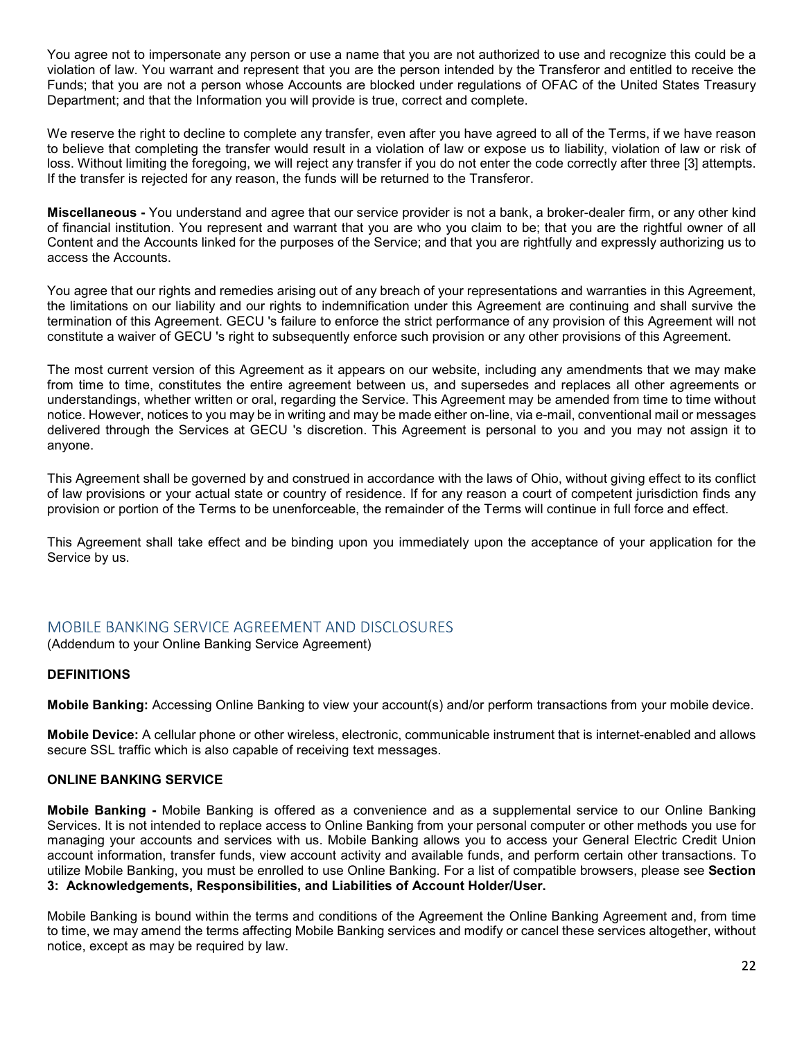You agree not to impersonate any person or use a name that you are not authorized to use and recognize this could be a You agree not to impersonate any person or use a name that you are not authorized to use and recognize this could be a<br>violation of law. You warrant and represent that you are the person intended by the Transferor and enti Funds; that you are not a person whose Accounts are blocked under regulations of OFAC of the United States Treasury Department; and that the Information you will provide is true, correct and complete. You agree not to impersonate any person or use a name that you are not authorized to use and recognize this could be a<br>violation of law. You warrant and represent that you are the person intended by the Transferor and enti

We reserve the right to decline to complete any transfer, even after you have agreed to all of the Terms, if we have reason to believe that completing the transfer would result in a violation of law or expose us to liability, violation of law or risk of If the transfer is rejected for any reason, the funds will be returned to the Transferor.

You agree not to impersonate any person or use a name that you are not authorized to use and recognize this could be a violation of law. You warrant and represent that you are the person intended by the Transferor and enti of financial institution. You represent and warrant that you are who you claim to be; that you are the rightful owner of all Content and the Accounts linked for the purposes of the Service; and that you are rightfully and expressly authorizing us to access the Accounts.

You agree that our rights and remedies arising out of any breach of your representations and warranties in this Agreement, the limitations on our liability and our rights to indemnification under this Agreement are continuing and shall survive the termination of this Agreement. GECU 's failure to enforce the strict performance of any provision of this Agreement will not constitute a waiver of GECU 's right to subsequently enforce such provision or any other provisions of this Agreement.

The most current version of this Agreement as it appears on our website, including any amendments that we may make from time to time, constitutes the entire agreement between us, and supersedes and replaces all other agreements or understandings, whether written or oral, regarding the Service. This Agreement may be amended from time to time without notice. However, notices to you may be in writing and may be made either on-line, via e-mail, conventional mail or messages delivered through the Services at GECU 's discretion. This Agreement is personal to you and you may not assign it to anyone.

This Agreement shall be governed by and construed in accordance with the laws of Ohio, without giving effect to its conflict of law provisions or your actual state or country of residence. If for any reason a court of competent jurisdiction finds any provision or portion of the Terms to be unenforceable, the remainder of the Terms will continue in full force and effect.

This Agreement shall take effect and be binding upon you immediately upon the acceptance of your application for the Service by us.

(Addendum to your Online Banking Service Agreement)

## DEFINITIONS

Mobile Banking: Accessing Online Banking to view your account(s) and/or perform transactions from your mobile device.

Mobile Device: A cellular phone or other wireless, electronic, communicable instrument that is internet-enabled and allows secure SSL traffic which is also capable of receiving text messages.

## ONLINE BANKING SERVICE

This Agreement shall be governed by and constructed in accordance with the laws of Ohio without gliving effect to its conflict<br>of law provisions or your actual state or country of residence. If for any reason a court of co Services. It is not intended to replace access to Online Banking from your personal computer or other methods you use for managing your accounts and services with us. Mobile Banking allows you to access your General Electric Credit Union account information, transfer funds, view account activity and available funds, and perform certain other transactions. To utilize Mobile Banking, you must be enrolled to use Online Banking. For a list of compatible browsers, please see Section 3: Acknowledgements, Responsibilities, and Liabilities of Account Holder/User.

Mobile Banking is bound within the terms and conditions of the Agreement the Online Banking Agreement and, from time to time, we may amend the terms affecting Mobile Banking services and modify or cancel these services altogether, without notice, except as may be required by law.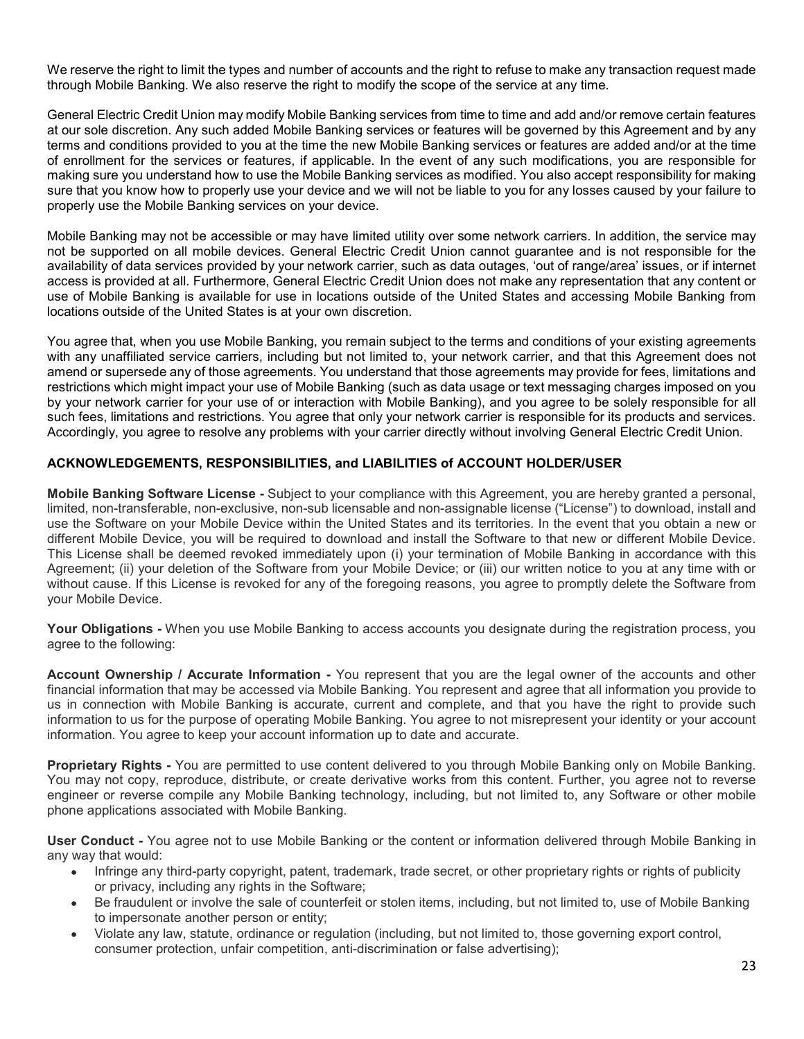We reserve the right to limit the types and number of accounts and the right to refuse to make any transaction request made through Mobile Banking. We also reserve the right to modify the scope of the service at any time.

General Electric Credit Union may modify Mobile Banking services from time to time and add and/or remove certain features at our sole discretion. Any such added Mobile Banking services or features will be governed by this Agreement and by any terms and conditions provided to you at the time the new Mobile Banking services or features are added and/or at the time of enrollment for the services or features, if applicable. In the event of any such modifications, you are responsible for making sure you understand how to use the Mobile Banking services as modified. You also accept responsibility for making sure that you know how to properly use your device and we will not be liable to you for any losses caused by your failure to properly use the Mobile Banking services on your device. We reserve the right to limit the types and number of accounts and the right to refuse to make any transaction request made through Mobile Banking. We also reserve the right to modify the scope of the service at any time.<br> We neseare the right to limit the types and number of accounts and the right to refuse to make any transaction request made through Mobile Banking. We also reserve the right to modify the socope of the service at any time.

Mobile Banking may not be accessible or may have limited utility over some network carriers. In addition, the service may availability of data services provided by your network carrier, such as data outages, 'out of range/area' issues, or if internet access is provided at all. Furthermore, General Electric Credit Union does not make any representation that any content or use of Mobile Banking is available for use in locations outside of the United States and accessing Mobile Banking from locations outside of the United States is at your own discretion.

You agree that, when you use Mobile Banking, you remain subject to the terms and conditions of your existing agreements with any unaffiliated service carriers, including but not limited to, your network carrier, and that this Agreement does not amend or supersede any of those agreements. You understand that those agreements may provide for fees, limitations and restrictions which might impact your use of Mobile Banking (such as data usage or text messaging charges imposed on you such fees, limitations and restrictions. You agree that only your network carrier is responsible for its products and services. Accordingly, you agree to resolve any problems with your carrier directly without involving General Electric Credit Union. of enrollment for the services or features; if applicable, in the event of any such modifications, you are responsible for the secepted particle in the services as modified. You also accept responsible for making sure you

## ACKNOWLEDGEMENTS, RESPONSIBILITIES, and LIABILITIES of ACCOUNT HOLDER/USER

limited, non-transferable, non-exclusive, non-sub licensable and non-assignable license ("License") to download, install and use the Software on your Mobile Device within the United States and its territories. In the event that you obtain a new or different Mobile Device, you will be required to download and install the Software to that new or different Mobile Device. This License shall be deemed revoked immediately upon (i) your termination of Mobile Banking in accordance with this Agreement; (ii) your deletion of the Software from your Mobile Device; or (iii) our written notice to you at any time with or without cause. If this License is revoked for any of the foregoing reasons, you agree to promptly delete the Software from your Mobile Device. use of Mobile Banking is available for use in locations outside of the United States and accessing Mobile Banking from<br>Croustions outside of the United States is at your own discretion.<br>The terms and conditions of your exi You agree that, when you use Mobile Banking, you remain subject to the terms and conditions of your and filmed the curate and conditions of your and filmed any unaffillated service carriers, including but not limited to, y amend or supersede any of those agreements. You understand that those agreements may provide for feres, limitations and<br>restrictions which might impact your use of Mobile Banking (such as data usage or text messaging charg Accordingly, you agree to resolve any problems with your carrier directly without involving General Electric Credit Union.<br>
ACKNOWLEDGEMENTS, RESPONSIBILITIES, and LIABILITIES of ACCOUNT HOLDERVUSER<br>
Mobile Banking Softwar Ilmited, non-transferable, non-exclusive, non-subi licensable and non-assignable license<sup>c</sup> ("License") in download, Install and<br>the energy than the selection of the selection of the Submar or the content Mobile Device, ou

agree to the following:

financial information that may be accessed via Mobile Banking. You represent and agree that all information you provide to information to us for the purpose of operating Mobile Banking. You agree to not misrepresent your identity or your account information. You agree to keep your account information up to date and accurate.

You may not copy, reproduce, distribute, or create derivative works from this content. Further, you agree not to reverse engineer or reverse compile any Mobile Banking technology, including, but not limited to, any Software or other mobile phone applications associated with Mobile Banking.

any way that would:

- Infringe any third-party copyright, patent, trademark, trade secret, or other proprietary rights or rights of publicity or privacy, including any rights in the Software;
- Be fraudulent or involve the sale of counterfeit or stolen items, including, but not limited to, use of Mobile Banking to impersonate another person or entity;
- Violate any law, statute, ordinance or regulation (including, but not limited to, those governing export control, consumer protection, unfair competition, anti-discrimination or false advertising);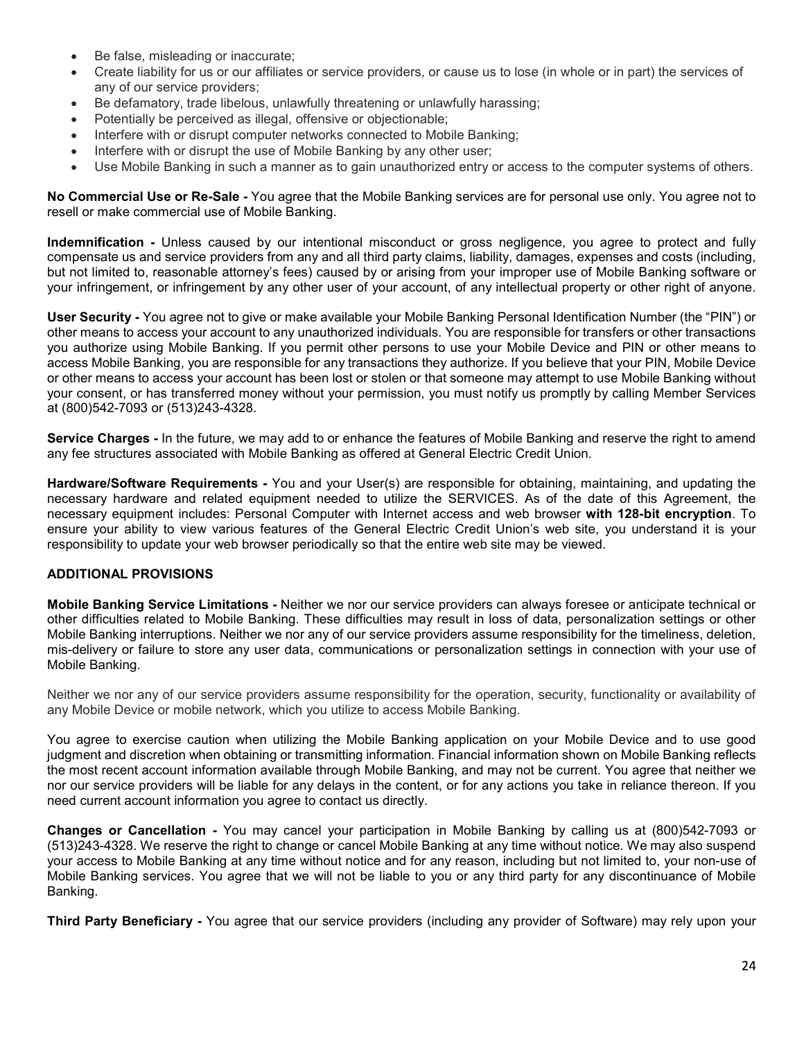- Be false, misleading or inaccurate;
- Create liability for us or our affiliates or service providers, or cause us to lose (in whole or in part) the services of any of our service providers; Be false, misleading or inaccurate;<br>Create liability for us or our affiliates or service providers, or cause us to lose (in whole or in part) the service<br>any of our service providers;<br>Be defamatory, trade libelous, unlawfu Be false, misleading or inaccurate;<br>Create liability for us or our affiliates or service providers, or cause us to lose (in whole or in part) the services of<br>any of our service providers;<br>Be defamatory, trade libelous, unl
- Be defamatory, trade libelous, unlawfully threatening or unlawfully harassing;
- Potentially be perceived as illegal, offensive or objectionable;
- 
- Interfere with or disrupt the use of Mobile Banking by any other user;
- 

resell or make commercial use of Mobile Banking.

• Be false, misleading or inaccurate;<br>• Create liability for us or our affiliates or service providers, or cause us to lose (in whole or in part) the services of<br>any of our service providers;<br>• Be defamatory, trade libel Indemnification - Unless caused by our intentional misconduct or gross negligence, you agree to protect and fully compensate us and service providers from any and all third party claims, liability, damages, expenses and costs (including, but not limited to, reasonable attorney's fees) caused by or arising from your improper use of Mobile Banking software or your infringement, or infringement by any other user of your account, of any intellectual property or other right of anyone.

• Be false, misleading or inaccurate;<br>• Create liability for us or our affiliates or service providers, or cause us to lose (in whole or in part) the services of<br>• Hyderiality be precived as illegal, offensive or objectio other means to access your account to any unauthorized individuals. You are responsible for transfers or other transactions you authorize using Mobile Banking. If you permit other persons to use your Mobile Device and PIN or other means to access Mobile Banking, you are responsible for any transactions they authorize. If you believe that your PIN, Mobile Device or other means to access your account has been lost or stolen or that someone may attempt to use Mobile Banking without • Be false, misleading or inaccurate;<br>Create liability for us or our arffiliates or service providers, or cause us to lose (in whole or in part) the services of<br>any of our service providers;<br>• Beterlinity be preceived as at (800)542-7093 or (513)243-4328. • Be defamatory, trade libelous, unlaw/hilly threatening or unlaw/hilly harassing;<br>• Potentially be perceived as lilegal, offensive or objectionable;<br>• Interfere with or disrupt computer networks connected to Mobile Banki Interfere with or distuply the use of Mobile Banking by any other user;<br>
No Commercial Use Darking in such a manner as to gain unauthorized entry or access to the computer systems of others.<br>
No Commercial Use or Re-Safe -**Indemnification** - Unless caused by our intentional misconduct or gross negligence<br>compensate us and service providers from any and all third party claims, liability, damages<br>but not limited to, reasonable attorney's fees but mot limited to, reasonable attomey's fees) caused by or ansing from your improper use of Mobile Banking software or<br>your infringement, or infringement to you roth user of your account, of any intellectual property or o

any fee structures associated with Mobile Banking as offered at General Electric Credit Union.

necessary hardware and related equipment needed to utilize the SERVICES. As of the date of this Agreement, the necessary equipment includes: Personal Computer with Internet access and web browser with 128-bit encryption. To ensure your ability to view various features of the General Electric Credit Union's web site, you understand it is your responsibility to update your web browser periodically so that the entire web site may be viewed. stretion Chargers - In the future, we may add to or enhance the features of Mobile Banking and reserve the right to amend<br>any fee structures associated with Mobile Banking as offered at General Electric Credit Union.<br>Hardw

other difficulties related to Mobile Banking. These difficulties may result in loss of data, personalization settings or other Mobile Banking interruptions. Neither we nor any of our service providers assume responsibility for the timeliness, deletion, mis-delivery or failure to store any user data, communications or personalization settings in connection with your use of Mobile Banking. necessary hardware and realisted equinment needed to utilize the SERVICES. As of the date of this Agreement the<br>necessary equipment includes Personal Computer with internet access and web browser with 128-bit encryption To **Mobile Banking for the Unitations** - Neither we nor our service providers can always foresee or anticipate technical or<br>other difficulties related to Mobile Banking. These difficulties may result in loss of data, personal

Neither we nor any of our service providers assume responsibility for the operation, security, functionality or availability of any Mobile Device or mobile network, which you utilize to access Mobile Banking.

You agree to exercise caution when utilizing the Mobile Banking application on your Mobile Device and to use good the most recent account information available through Mobile Banking, and may not be current. You agree that neither we nor our service providers will be liable for any delays in the content, or for any actions you take in reliance thereon. If you need current account information you agree to contact us directly.

(513)243-4328. We reserve the right to change or cancel Mobile Banking at any time without notice. We may also suspend your access to Mobile Banking at any time without notice and for any reason, including but not limited to, your non-use of Mobile Banking services. You agree that we will not be liable to you or any third party for any discontinuance of Mobile Banking.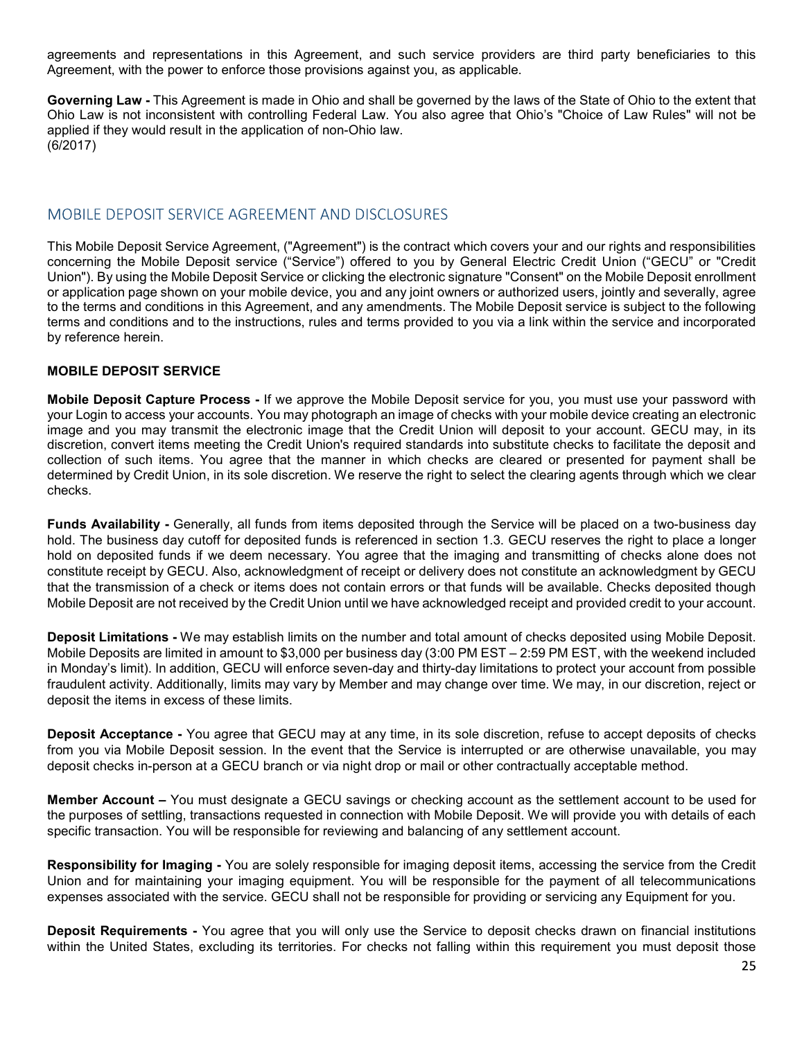agreements and representations in this Agreement, and such service providers are third party beneficiaries to this Agreement, with the power to enforce those provisions against you, as applicable.

agreements and representations in this Agreement, and such service providers are third party beneficiaries to this Agreement, with the power to enforce those provisions against you, as applicable.<br>Governing Law - This Agre Ohio Law is not inconsistent with controlling Federal Law. You also agree that Ohio's "Choice of Law Rules" will not be applied if they would result in the application of non-Ohio law. (6/2017)

This Mobile Deposit Service Agreement, ("Agreement") is the contract which covers your and our rights and responsibilities concerning the Mobile Deposit service ("Service") offered to you by General Electric Credit Union ("GECU" or "Credit Union"). By using the Mobile Deposit Service or clicking the electronic signature "Consent" on the Mobile Deposit enrollment or application page shown on your mobile device, you and any joint owners or authorized users, jointly and severally, agree agreements and representations in this Agreement, and such service providers are third party beneficiaries to this Agreement, with the power to enforce those provisions against you, as applicable.<br> **Governing Law -** This A terms and conditions and to the instructions, rules and terms provided to you via a link within the service and incorporated by reference herein. egrement, with the power to enforce those provisions against you, as applicable.<br>
Coverning Law - This Agreement is made in Ohio and shall be governed by the laws of the State of Ohio to the extent that<br>
Ohio Laws not inco ry emerical, war use power to emotic is made in Ohio and shall be governed by the laws of the State of Ohio to the extent that Gohio Law is not inconsistent with controlling Federal Law. You also agree that Ohio's "Choice MOBILE DEPOSIT SERVICE AGREEMENT AND DISCLOSURES<br>This Mobile Deposit Service Agreement, ("Agreement") is the contract which covers your and our rights and responsibilities<br>concerning the Mobile Deposit service ("Service")

## MOBILE DEPOSIT SERVICE

image and you may transmit the electronic image that the Credit Union will deposit to your account. GECU may, in its discretion, convert items meeting the Credit Union's required standards into substitute checks to facilitate the deposit and collection of such items. You agree that the manner in which checks are cleared or presented for payment shall be determined by Credit Union, in its sole discretion. We reserve the right to select the clearing agents through which we clear checks. is a stable and conditions in this Agreement, and any mendments. The Mobile Deposit service is subject to the Glubwing<br>by reference herein.<br>By reference herein, and the instituctions, rules and terms provided to you wia al term and conditions and to the institutions, rules and terms provided to you was limit within the service and incorporated<br>by reference herein.<br>MOBILE DEPOSIT SERVICE<br>MOBILE DEPOSITS SERVICE<br>MOBILE DEPOSITS SERVICE<br>MOBILE **Mobile Deposit Capture Process - If we approve the Mobile Deposit service for you, you must use your password with<br>Wour Login to access your accounts. You may photograph an image of checks with your mobile device creating** 

hold. The business day cutoff for deposited funds is referenced in section 1.3. GECU reserves the right to place a longer hold on deposited funds if we deem necessary. You agree that the imaging and transmitting of checks alone does not constitute receipt by GECU. Also, acknowledgment of receipt or delivery does not constitute an acknowledgment by GECU that the transmission of a check or items does not contain errors or that funds will be available. Checks deposited though Mobile Deposit are not received by the Credit Union until we have acknowledged receipt and provided credit to your account. collection of such items. You agree that the manner in which checks are cleared or presented for payment shall be<br>determined by Credit Union, in its sole discretion. We reserve the right to select the detaing agents throug

in Monday's limit). In addition, GECU will enforce seven-day and thirty-day limitations to protect your account from possible fraudulent activity. Additionally, limits may vary by Member and may change over time. We may, in our discretion, reject or deposit the items in excess of these limits. nold. The business are vuolar for deposited timds is retremend in sectom 13.3. GCU reserves the right to place a longer<br>hold on deposited funds if we deem necessary. You agree that the imaging and transmitting of checks al use we are ansures of the account of a conto will only use not contain entos or the account of checks deposited using Mobile Deposit.<br>Deposit Limitations - We may establish limits on the number and total amount of checks d

from you via Mobile Deposit session. In the event that the Service is interrupted or are otherwise unavailable, you may deposit checks in-person at a GECU branch or via night drop or mail or other contractually acceptable method.

the purposes of settling, transactions requested in connection with Mobile Deposit. We will provide you with details of each specific transaction. You will be responsible for reviewing and balancing of any settlement account.

Responsibility for Imaging - You are solely responsible for imaging deposit items, accessing the service from the Credit expenses associated with the service. GECU shall not be responsible for providing or servicing any Equipment for you.

within the United States, excluding its territories. For checks not falling within this requirement you must deposit those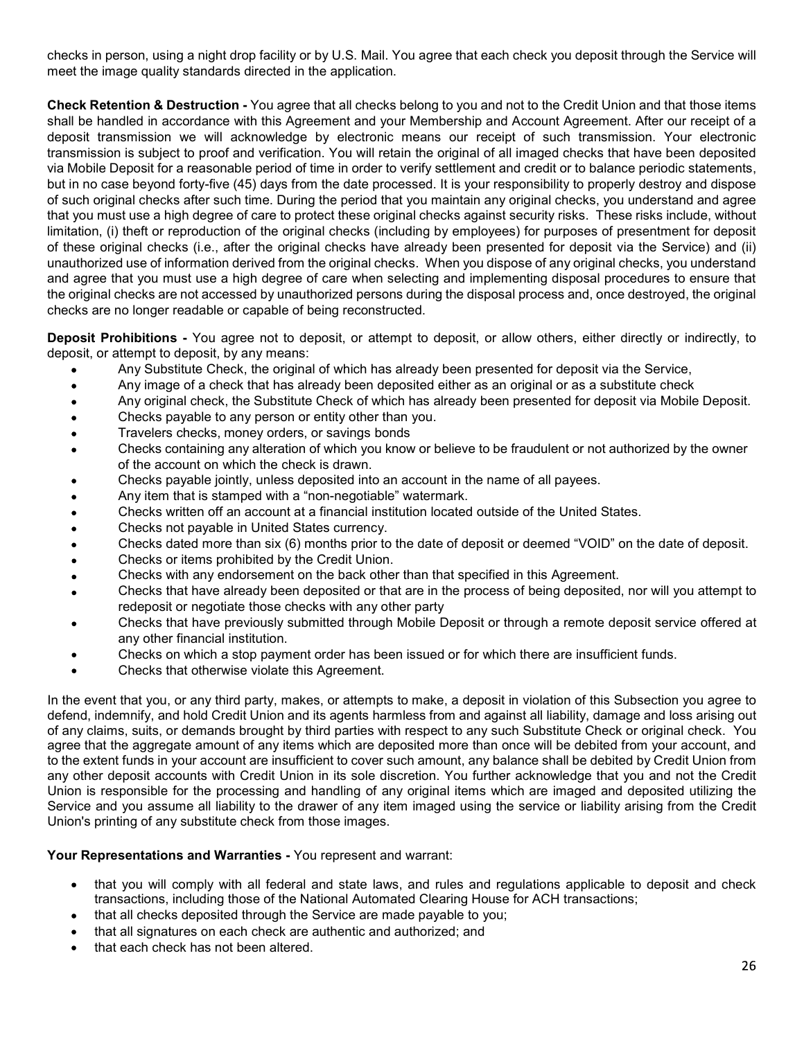checks in person, using a night drop facility or by U.S. Mail. You agree that each check you deposit through the Service will meet the image quality standards directed in the application.

checks in person, using a night drop facility or by U.S. Mail. You agree that each check you deposit through the Service will<br>meet the image quality standards directed in the application.<br>Check Retention & Destruction - Yo shall be handled in accordance with this Agreement and your Membership and Account Agreement. After our receipt of a deposit transmission we will acknowledge by electronic means our receipt of such transmission. Your electronic transmission is subject to proof and verification. You will retain the original of all imaged checks that have been deposited via Mobile Deposit for a reasonable period of time in order to verify settlement and credit or to balance periodic statements, but in no case beyond forty-five (45) days from the date processed. It is your responsibility to properly destroy and dispose of such original checks after such time. During the period that you maintain any original checks, you understand and agree checks in person, using a night drop facility or by U.S. Mail. You agree that each check you deposit through the Service will<br>check Retention & Destruction - You agree that all checks belong to you and not to the Credit Un limitation, (i) theft or reproduction of the original checks (including by employees) for purposes of presentment for deposit of these original checks (i.e., after the original checks have already been presented for deposit via the Service) and (ii) checks in person, using a night drop facility or by U.S. Mail. You agree that each check you deposit through the Service will<br>meet the image quality standards directed in the application.<br>Check Retention & Destruction - Yo and agree that you must use a high degree of care when selecting and implementing disposal procedures to ensure that the original checks are not accessed by unauthorized persons during the disposal process and, once destroyed, the original checks are no longer readable or capable of being reconstructed. checks in person, using a night drop facility or by U.S. Mail. You agree that each check you deposit through the Service will<br>meet the image quality standards directed in the application.<br>Check Retention & Destruction - Yo

deposit, or attempt to deposit, by any means:

- Any Substitute Check, the original of which has already been presented for deposit via the Service,
- Any image of a check that has already been deposited either as an original or as a substitute check
- Any original check, the Substitute Check of which has already been presented for deposit via Mobile Deposit.
- Checks payable to any person or entity other than you.
- Travelers checks, money orders, or savings bonds
- Checks containing any alteration of which you know or believe to be fraudulent or not authorized by the owner of the account on which the check is drawn.
- Checks payable jointly, unless deposited into an account in the name of all payees.
- Any item that is stamped with a "non-negotiable" watermark.
- Checks written off an account at a financial institution located outside of the United States.
- Checks not payable in United States currency.
- Checks dated more than six (6) months prior to the date of deposit or deemed "VOID" on the date of deposit.
- Checks or items prohibited by the Credit Union.
- Checks with any endorsement on the back other than that specified in this Agreement.
- Checks that have already been deposited or that are in the process of being deposited, nor will you attempt to redeposit or negotiate those checks with any other party
- Checks that have previously submitted through Mobile Deposit or through a remote deposit service offered at any other financial institution.
- Checks on which a stop payment order has been issued or for which there are insufficient funds.
- Checks that otherwise violate this Agreement.

In the event that are exercised to the event that are accepted to the event that has already been presented for deposit via the Ary image of erekeck that has already been presented for deposit on the event of the event of defend, indemnify, and hold Credit Union and its agents harmless from and against all liability, damage and loss arising out of any claims, suits, or demands brought by third parties with respect to any such Substitute Check or original check. You agree that the aggregate amount of any items which are deposited more than once will be debited from your account, and to the extent funds in your account are insufficient to cover such amount, any balance shall be debited by Credit Union from any other deposit accounts with Credit Union in its sole discretion. You further acknowledge that you and not the Credit Union is responsible for the processing and handling of any original items which are imaged and deposited utilizing the Service and you assume all liability to the drawer of any item imaged using the service or liability arising from the Credit Union's printing of any substitute check from those images.

### Your Representations and Warranties - You represent and warrant:

- that you will comply with all federal and state laws, and rules and regulations applicable to deposit and check  $\bullet$ transactions, including those of the National Automated Clearing House for ACH transactions;
- that all checks deposited through the Service are made payable to you;
- that all signatures on each check are authentic and authorized; and
- that each check has not been altered.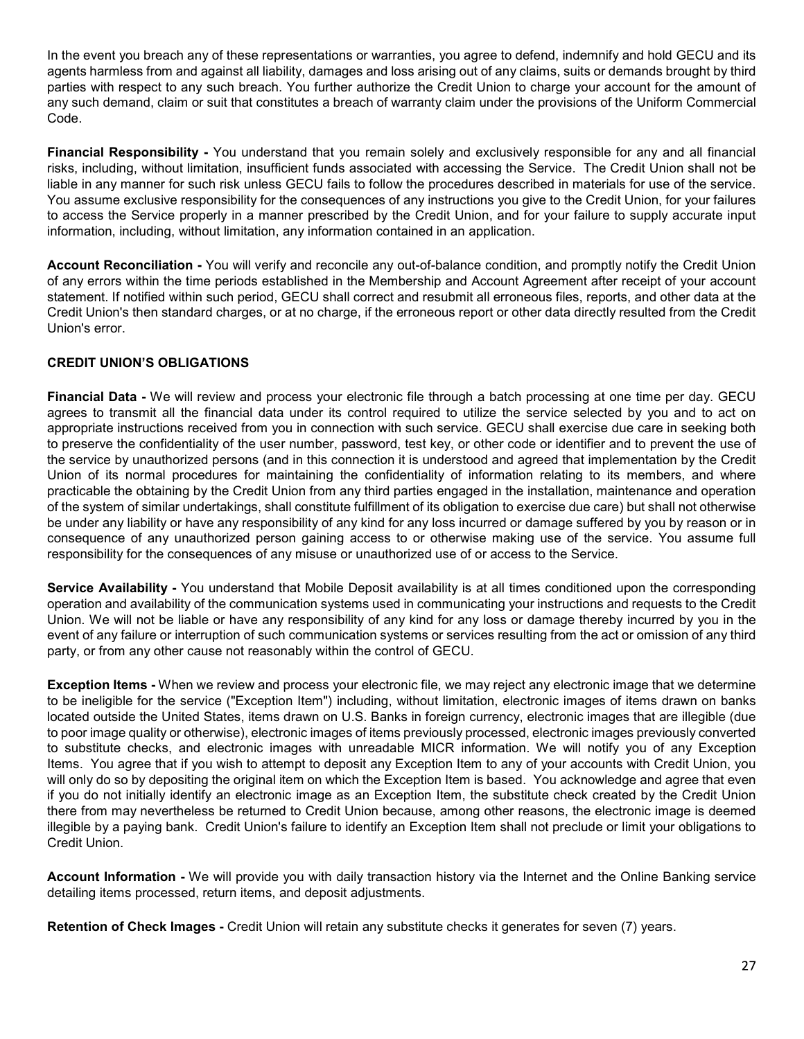In the event you breach any of these representations or warranties, you agree to defend, indemnify and hold GECU and its agents harmless from and against all liability, damages and loss arising out of any claims, suits or demands brought by third parties with respect to any such breach. You further authorize the Credit Union to charge your account for the amount of any such demand, claim or suit that constitutes a breach of warranty claim under the provisions of the Uniform Commercial Code.

In the event you breach any of these representations or warranties, you agree to defend, indemnify and hold GECU and its agents harmless from and against all liability, damages and loss arising out of any claims, suits or In the event you breach any of these representations or warranties, you agree to defend, indemnify and hold GECU and its<br>agents harmless from and against all liability, damages and loss arising out of any claims, suits or liable in any manner for such risk unless GECU fails to follow the procedures described in materials for use of the service. You assume exclusive responsibility for the consequences of any instructions you give to the Credit Union, for your failures to access the Service properly in a manner prescribed by the Credit Union, and for your failure to supply accurate input information, including, without limitation, any information contained in an application. In the event you breach any of these representations or warranties, you agree to defend, indemnify and hold GECU and its agents harmless from and against all liability, damages and loss arising out of any claims, suits or In the event you breach any others representations or warranties, you agree to deend, internations and bid de-CU and its<br>agents harmless from and against all liability, dramages and loss arising out of any daim, autis or d

of any errors within the time periods established in the Membership and Account Agreement after receipt of your account statement. If notified within such period, GECU shall correct and resubmit all erroneous files, reports, and other data at the Credit Union's then standard charges, or at no charge, if the erroneous report or other data directly resulted from the Credit Union's error.

## CREDIT UNION'S OBLIGATIONS

agress harmmens from and agress transmitted likely an anges and loss arising out of any claims, suits or elements for ought to transmitted the monut of control the financial data under the provisions of the Uniform Commerc appropriate instructions received from you in connection with such service. GECU shall exercise due care in seeking both to preserve the confidentiality of the user number, password, test key, or other code or identifier and to prevent the use of the service by unauthorized persons (and in this connection it is understood and agreed that implementation by the Credit Union of its normal procedures for maintaining the confidentiality of information relating to its members, and where practicable the obtaining by the Credit Union from any third parties engaged in the installation, maintenance and operation of the system of similar undertakings, shall constitute fulfillment of its obligation to exercise due care) but shall not otherwise be under any liability or have any responsibility of any kind for any loss incurred or damage suffered by you by reason or in consequence of any unauthorized person gaining access to or otherwise making use of the service. You assume full responsibility for the consequences of any misuse or unauthorized use of or access to the Service. Account Reconciliation - You will verify and reconcile any out-of-balance condition, and promptly notify the Credit Union<br>of any errors within the time periods established in the Membership and Account Agreement affer reco **CREDIT UNION'S OBLIGATIONS**<br> **Efnancial Data - We will review and process your electronic file through a batch processing at one lime per day. GECU agrees to transmit all the financial data under its control required to u** agres to transmit all the financial data under its control required to utilize the service selected by you and to act on<br>to preserve the confidentiality of the user number, password, test key, or other code or identifier a

operation and availability of the communication systems used in communicating your instructions and requests to the Credit Union. We will not be liable or have any responsibility of any kind for any loss or damage thereby incurred by you in the event of any failure or interruption of such communication systems or services resulting from the act or omission of any third party, or from any other cause not reasonably within the control of GECU.

to be ineligible for the service ("Exception Item") including, without limitation, electronic images of items drawn on banks located outside the United States, items drawn on U.S. Banks in foreign currency, electronic images that are illegible (due to poor image quality or otherwise), electronic images of items previously processed, electronic images previously converted appropriate instructions received from you in connection with such service. GECU shall exercise to care in seeking both<br>to preserve the confidentiality of the user number, password, test key, or other code or identifier an to presere the conflentiality of the user number, password, test key, or other code or identifier and to prevent the use of the original itel undon of its nonecolour iest some conflentiality of information the normal proce if you do not initially identify an electronic image as an Exception Item, the substitute check created by the Credit Union Union of its normal procedures for maintaining the confidentiality of information relating to the smembers, and where the proferent constrained to the system of small constrained or do the system of sominar properties be u practicable the obtaining by the Credit Union from any third parties engaged in the installation, maintenance and operation<br>of the system of similar undertakings, shall constitute fulfillment of its obligation to exercise Credit Union. consequence of any unauthbrized person gaining access to or or the wisie making use of the service. You assume full<br>responsibility or the consequences of any misuse or unauthorized use of or access to the Service. You assu Service Availability - You understand that Mobile Deposit availability is at all times conditioned upon the studing<br>operation and availability of the communication systems used in communicating your instructions and reques

detailing items processed, return items, and deposit adjustments.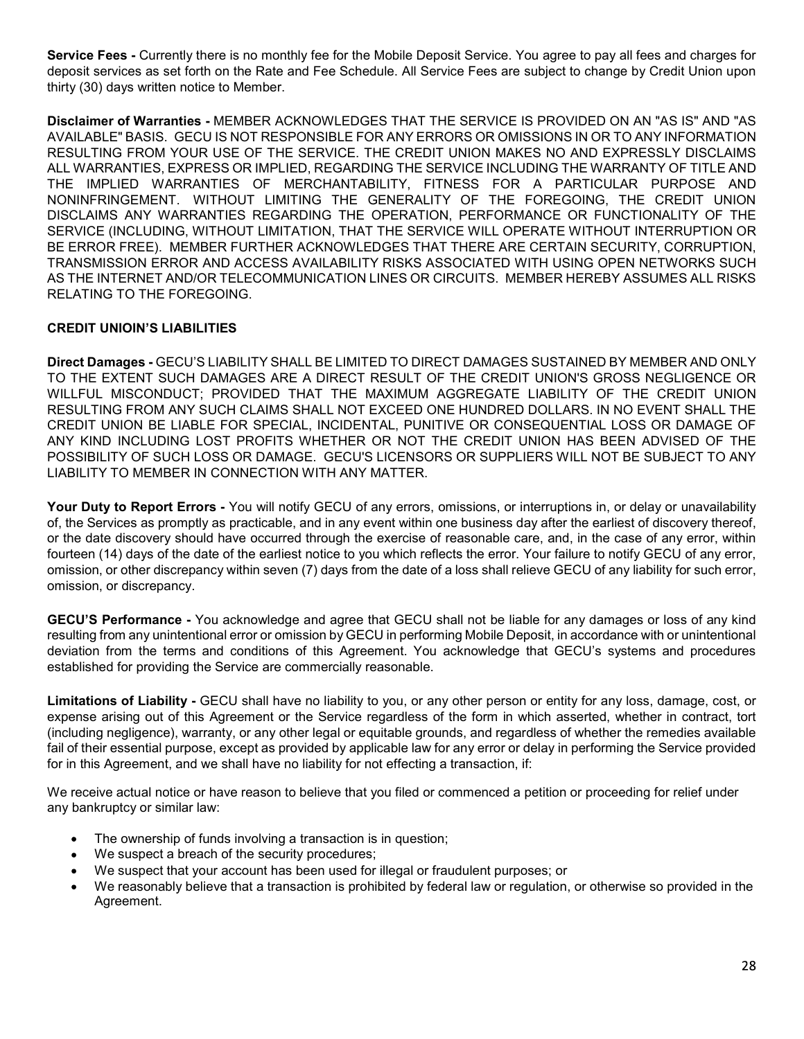**Service Fees -** Currently there is no monthly fee for the Mobile Deposit Service. You agree to pay all fees and charges for<br>deposit services as set forth on the Rate and Fee Schedule. All Service Fees are subject to chang deposit services as set forth on the Rate and Fee Schedule. All Service Fees are subject to change by Credit Union upon thirty (30) days written notice to Member.

Disclaimer of Warranties - MEMBER ACKNOWLEDGES THAT THE SERVICE IS PROVIDED ON AN "AS IS" AND "AS **Service Fees -** Currently there is no monthly fee for the Mobile Deposit Service. You agree to pay all fees and charges for<br>deposit services as set forth on the Rate and Fee Schedule. All Service Fees are subject to chang RESULTING FROM YOUR USE OF THE SERVICE. THE CREDIT UNION MAKES NO AND EXPRESSLY DISCLAIMS ALL WARRANTIES, EXPRESS OR IMPLIED, REGARDING THE SERVICE INCLUDING THE WARRANTY OF TITLE AND THE IMPLIED WARRANTIES OF MERCHANTABILITY, FITNESS FOR A PARTICULAR PURPOSE AND **Service Fees -** Currently there is no monthly fee for the Mobile Deposit Service. You agree to pay all fees and charges for<br>deposit services as set forth on the Rate and Fee Schedule. All Service Fees are subject to chang DISCLAIMS ANY WARRANTIES REGARDING THE OPERATION, PERFORMANCE OR FUNCTIONALITY OF THE SERVICE (INCLUDING, WITHOUT LIMITATION, THAT THE SERVICE WILL OPERATE WITHOUT INTERRUPTION OR **Service Fees -** Currently there is no monthly fee for the Mobile Deposit Service. You agree to pay all fees and charges for deposit services as set forth on the Rate and Fee Schedule. All Service Fees are subject to chang TRANSMISSION ERROR AND ACCESS AVAILABILITY RISKS ASSOCIATED WITH USING OPEN NETWORKS SUCH **Service Fees** - Currently there is no monthly fee for the Mobile Deposit Service. You agree to pay all fees and charges for deposit services as set forth on the Rate and Fee Schedule. All Service Fees are subject to chang RELATING TO THE FOREGOING. **Disclaimer of Warrantés - MEMBER ACKNOWLEDGES THAT THE SERVICE IS PROVIDED ON AN "AS IS" AND "AS NOT A THE SERVICE INCLUDING THE MAN THOM A THAT HAN REALLY OF THE SERVICE INCLUDING THE WARRANTY OF TITLE AND REALLY INCLUDI** ALL WARRANTIES, EXPRESS OR IMPLIED, REGORDING THE SERVICE INCLUDING THE WARRANTY OF TITLE AND NOTIFICAND THE CONSTRUCTURE THE CONSTRUCTURE THE CONSTRUCTURE INCOLUDING THE CONSTRUCTURE ON DISCLAINS ANY WARRANTIES REGARDING

## CREDIT UNIOIN'S LIABILITIES

Direct Damages - GECU'S LIABILITY SHALL BE LIMITED TO DIRECT DAMAGES SUSTAINED BY MEMBER AND ONLY TO THE EXTENT SUCH DAMAGES ARE A DIRECT RESULT OF THE CREDIT UNION'S GROSS NEGLIGENCE OR WILLFUL MISCONDUCT; PROVIDED THAT THE MAXIMUM AGGREGATE LIABILITY OF THE CREDIT UNION RESULTING FROM ANY SUCH CLAIMS SHALL NOT EXCEED ONE HUNDRED DOLLARS. IN NO EVENT SHALL THE CREDIT UNION BE LIABLE FOR SPECIAL, INCIDENTAL, PUNITIVE OR CONSEQUENTIAL LOSS OR DAMAGE OF ANY KIND INCLUDING LOST PROFITS WHETHER OR NOT THE CREDIT UNION HAS BEEN ADVISED OF THE LIABILITY TO MEMBER IN CONNECTION WITH ANY MATTER. RELATING TO THE FOREGOING.<br>
Direct Damages - GECU'S LIABILITY SHALL BE LIMITED TO DIRECT DAMAGES SUSTAINED BY MEMBER AND ONLY<br>
ITO THE EXTENT SUCH DAMAGES ARE A DIRECT RESULT OF THE CREDIT UNIONS GROSS NEGLIGENCE OR<br>
WILLF

of, the Services as promptly as practicable, and in any event within one business day after the earliest of discovery thereof, or the date discovery should have occurred through the exercise of reasonable care, and, in the case of any error, within fourteen (14) days of the date of the earliest notice to you which reflects the error. Your failure to notify GECU of any error, omission, or other discrepancy within seven (7) days from the date of a loss shall relieve GECU of any liability for such error, omission, or discrepancy.

GECU'S Performance - You acknowledge and agree that GECU shall not be liable for any damages or loss of any kind deviation from the terms and conditions of this Agreement. You acknowledge that GECU's systems and procedures established for providing the Service are commercially reasonable.

Limitations of Liability - GECU shall have no liability to you, or any other person or entity for any loss, damage, cost, or expense arising out of this Agreement or the Service regardless of the form in which asserted, whether in contract, tort (including negligence), warranty, or any other legal or equitable grounds, and regardless of whether the remedies available fail of their essential purpose, except as provided by applicable law for any error or delay in performing the Service provided for in this Agreement, and we shall have no liability for not effecting a transaction, if:

We receive actual notice or have reason to believe that you filed or commenced a petition or proceeding for relief under any bankruptcy or similar law:

- The ownership of funds involving a transaction is in question;
- We suspect a breach of the security procedures;
- We suspect that your account has been used for illegal or fraudulent purposes; or
- We reasonably believe that a transaction is prohibited by federal law or regulation, or otherwise so provided in the Agreement.